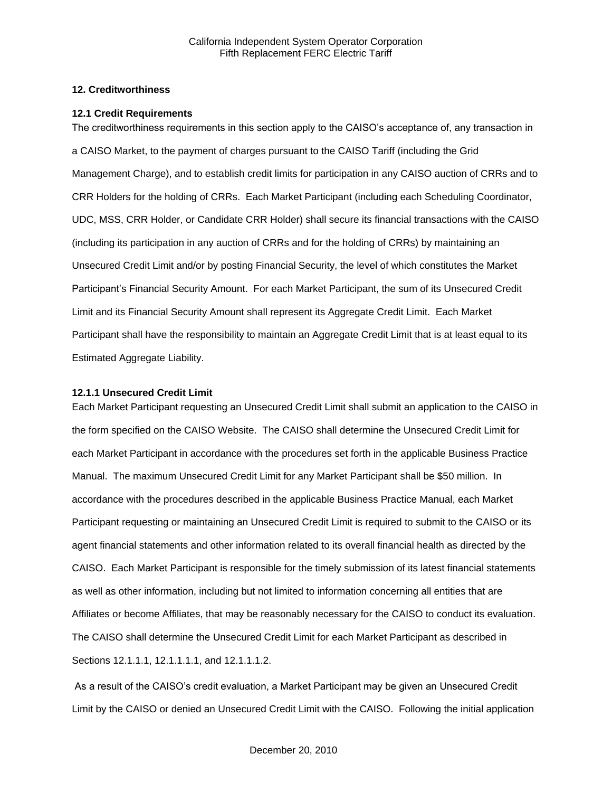## **12. Creditworthiness**

#### **12.1 Credit Requirements**

The creditworthiness requirements in this section apply to the CAISO's acceptance of, any transaction in a CAISO Market, to the payment of charges pursuant to the CAISO Tariff (including the Grid Management Charge), and to establish credit limits for participation in any CAISO auction of CRRs and to CRR Holders for the holding of CRRs. Each Market Participant (including each Scheduling Coordinator, UDC, MSS, CRR Holder, or Candidate CRR Holder) shall secure its financial transactions with the CAISO (including its participation in any auction of CRRs and for the holding of CRRs) by maintaining an Unsecured Credit Limit and/or by posting Financial Security, the level of which constitutes the Market Participant's Financial Security Amount. For each Market Participant, the sum of its Unsecured Credit Limit and its Financial Security Amount shall represent its Aggregate Credit Limit. Each Market Participant shall have the responsibility to maintain an Aggregate Credit Limit that is at least equal to its Estimated Aggregate Liability.

#### **12.1.1 Unsecured Credit Limit**

Each Market Participant requesting an Unsecured Credit Limit shall submit an application to the CAISO in the form specified on the CAISO Website. The CAISO shall determine the Unsecured Credit Limit for each Market Participant in accordance with the procedures set forth in the applicable Business Practice Manual. The maximum Unsecured Credit Limit for any Market Participant shall be \$50 million. In accordance with the procedures described in the applicable Business Practice Manual, each Market Participant requesting or maintaining an Unsecured Credit Limit is required to submit to the CAISO or its agent financial statements and other information related to its overall financial health as directed by the CAISO. Each Market Participant is responsible for the timely submission of its latest financial statements as well as other information, including but not limited to information concerning all entities that are Affiliates or become Affiliates, that may be reasonably necessary for the CAISO to conduct its evaluation. The CAISO shall determine the Unsecured Credit Limit for each Market Participant as described in Sections 12.1.1.1, 12.1.1.1.1, and 12.1.1.1.2.

As a result of the CAISO's credit evaluation, a Market Participant may be given an Unsecured Credit Limit by the CAISO or denied an Unsecured Credit Limit with the CAISO. Following the initial application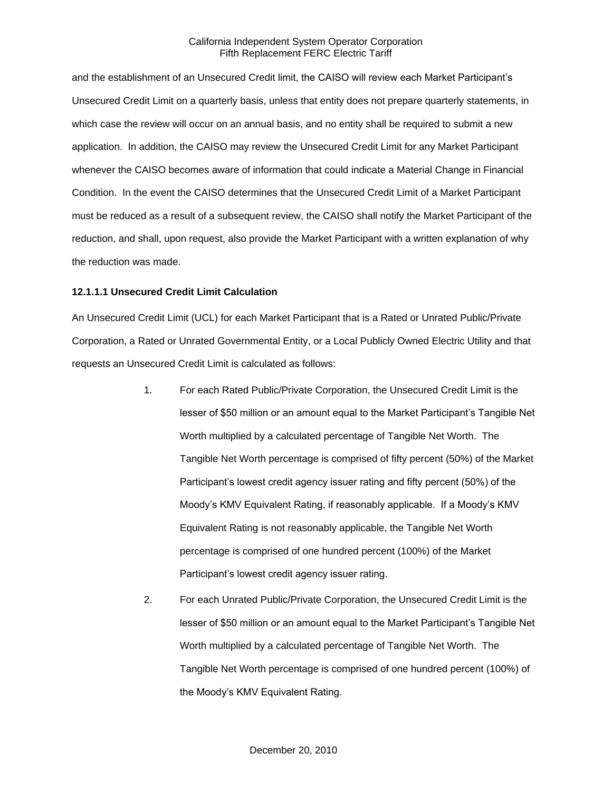and the establishment of an Unsecured Credit limit, the CAISO will review each Market Participant's Unsecured Credit Limit on a quarterly basis, unless that entity does not prepare quarterly statements, in which case the review will occur on an annual basis, and no entity shall be required to submit a new application. In addition, the CAISO may review the Unsecured Credit Limit for any Market Participant whenever the CAISO becomes aware of information that could indicate a Material Change in Financial Condition. In the event the CAISO determines that the Unsecured Credit Limit of a Market Participant must be reduced as a result of a subsequent review, the CAISO shall notify the Market Participant of the reduction, and shall, upon request, also provide the Market Participant with a written explanation of why the reduction was made.

#### **12.1.1.1 Unsecured Credit Limit Calculation**

An Unsecured Credit Limit (UCL) for each Market Participant that is a Rated or Unrated Public/Private Corporation, a Rated or Unrated Governmental Entity, or a Local Publicly Owned Electric Utility and that requests an Unsecured Credit Limit is calculated as follows:

- 1. For each Rated Public/Private Corporation, the Unsecured Credit Limit is the lesser of \$50 million or an amount equal to the Market Participant's Tangible Net Worth multiplied by a calculated percentage of Tangible Net Worth. The Tangible Net Worth percentage is comprised of fifty percent (50%) of the Market Participant's lowest credit agency issuer rating and fifty percent (50%) of the Moody's KMV Equivalent Rating, if reasonably applicable. If a Moody's KMV Equivalent Rating is not reasonably applicable, the Tangible Net Worth percentage is comprised of one hundred percent (100%) of the Market Participant's lowest credit agency issuer rating.
- 2. For each Unrated Public/Private Corporation, the Unsecured Credit Limit is the lesser of \$50 million or an amount equal to the Market Participant's Tangible Net Worth multiplied by a calculated percentage of Tangible Net Worth. The Tangible Net Worth percentage is comprised of one hundred percent (100%) of the Moody's KMV Equivalent Rating.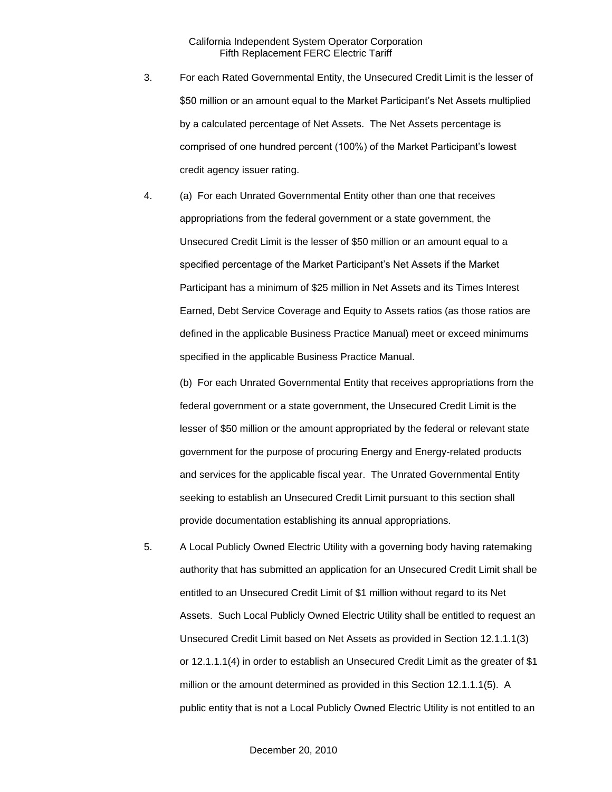- 3. For each Rated Governmental Entity, the Unsecured Credit Limit is the lesser of \$50 million or an amount equal to the Market Participant's Net Assets multiplied by a calculated percentage of Net Assets. The Net Assets percentage is comprised of one hundred percent (100%) of the Market Participant's lowest credit agency issuer rating.
- 4. (a) For each Unrated Governmental Entity other than one that receives appropriations from the federal government or a state government, the Unsecured Credit Limit is the lesser of \$50 million or an amount equal to a specified percentage of the Market Participant's Net Assets if the Market Participant has a minimum of \$25 million in Net Assets and its Times Interest Earned, Debt Service Coverage and Equity to Assets ratios (as those ratios are defined in the applicable Business Practice Manual) meet or exceed minimums specified in the applicable Business Practice Manual.

(b) For each Unrated Governmental Entity that receives appropriations from the federal government or a state government, the Unsecured Credit Limit is the lesser of \$50 million or the amount appropriated by the federal or relevant state government for the purpose of procuring Energy and Energy-related products and services for the applicable fiscal year. The Unrated Governmental Entity seeking to establish an Unsecured Credit Limit pursuant to this section shall provide documentation establishing its annual appropriations.

5. A Local Publicly Owned Electric Utility with a governing body having ratemaking authority that has submitted an application for an Unsecured Credit Limit shall be entitled to an Unsecured Credit Limit of \$1 million without regard to its Net Assets. Such Local Publicly Owned Electric Utility shall be entitled to request an Unsecured Credit Limit based on Net Assets as provided in Section 12.1.1.1(3) or 12.1.1.1(4) in order to establish an Unsecured Credit Limit as the greater of \$1 million or the amount determined as provided in this Section 12.1.1.1(5). A public entity that is not a Local Publicly Owned Electric Utility is not entitled to an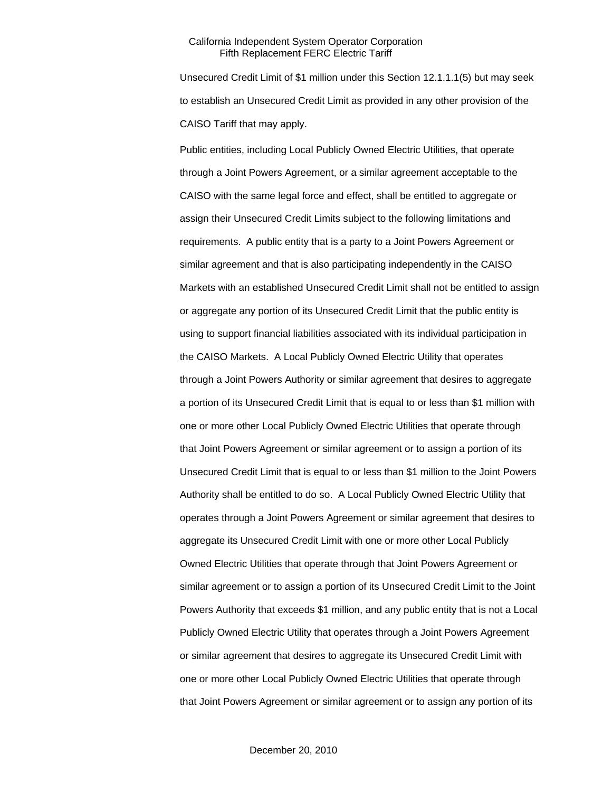Unsecured Credit Limit of \$1 million under this Section 12.1.1.1(5) but may seek to establish an Unsecured Credit Limit as provided in any other provision of the CAISO Tariff that may apply.

Public entities, including Local Publicly Owned Electric Utilities, that operate through a Joint Powers Agreement, or a similar agreement acceptable to the CAISO with the same legal force and effect, shall be entitled to aggregate or assign their Unsecured Credit Limits subject to the following limitations and requirements. A public entity that is a party to a Joint Powers Agreement or similar agreement and that is also participating independently in the CAISO Markets with an established Unsecured Credit Limit shall not be entitled to assign or aggregate any portion of its Unsecured Credit Limit that the public entity is using to support financial liabilities associated with its individual participation in the CAISO Markets. A Local Publicly Owned Electric Utility that operates through a Joint Powers Authority or similar agreement that desires to aggregate a portion of its Unsecured Credit Limit that is equal to or less than \$1 million with one or more other Local Publicly Owned Electric Utilities that operate through that Joint Powers Agreement or similar agreement or to assign a portion of its Unsecured Credit Limit that is equal to or less than \$1 million to the Joint Powers Authority shall be entitled to do so. A Local Publicly Owned Electric Utility that operates through a Joint Powers Agreement or similar agreement that desires to aggregate its Unsecured Credit Limit with one or more other Local Publicly Owned Electric Utilities that operate through that Joint Powers Agreement or similar agreement or to assign a portion of its Unsecured Credit Limit to the Joint Powers Authority that exceeds \$1 million, and any public entity that is not a Local Publicly Owned Electric Utility that operates through a Joint Powers Agreement or similar agreement that desires to aggregate its Unsecured Credit Limit with one or more other Local Publicly Owned Electric Utilities that operate through that Joint Powers Agreement or similar agreement or to assign any portion of its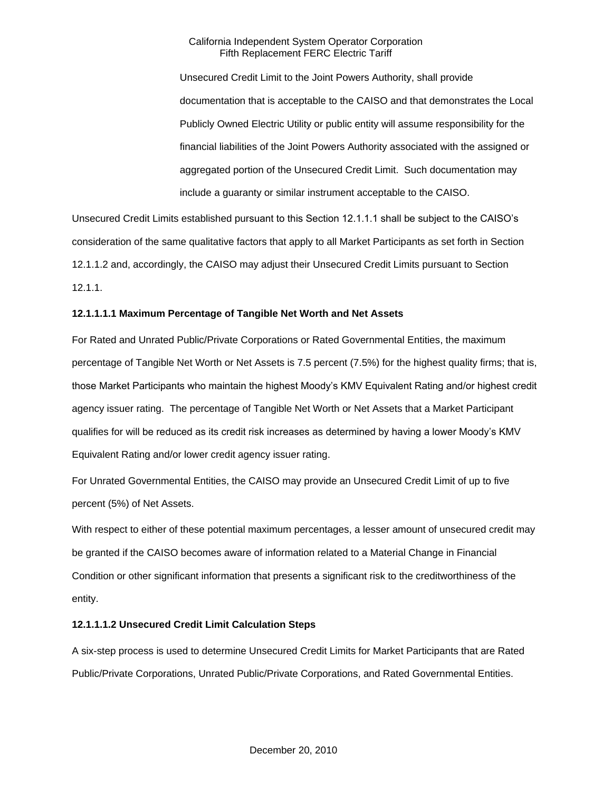Unsecured Credit Limit to the Joint Powers Authority, shall provide documentation that is acceptable to the CAISO and that demonstrates the Local Publicly Owned Electric Utility or public entity will assume responsibility for the financial liabilities of the Joint Powers Authority associated with the assigned or aggregated portion of the Unsecured Credit Limit. Such documentation may include a guaranty or similar instrument acceptable to the CAISO.

Unsecured Credit Limits established pursuant to this Section 12.1.1.1 shall be subject to the CAISO's consideration of the same qualitative factors that apply to all Market Participants as set forth in Section 12.1.1.2 and, accordingly, the CAISO may adjust their Unsecured Credit Limits pursuant to Section 12.1.1.

# **12.1.1.1.1 Maximum Percentage of Tangible Net Worth and Net Assets**

For Rated and Unrated Public/Private Corporations or Rated Governmental Entities, the maximum percentage of Tangible Net Worth or Net Assets is 7.5 percent (7.5%) for the highest quality firms; that is, those Market Participants who maintain the highest Moody's KMV Equivalent Rating and/or highest credit agency issuer rating. The percentage of Tangible Net Worth or Net Assets that a Market Participant qualifies for will be reduced as its credit risk increases as determined by having a lower Moody's KMV Equivalent Rating and/or lower credit agency issuer rating.

For Unrated Governmental Entities, the CAISO may provide an Unsecured Credit Limit of up to five percent (5%) of Net Assets.

With respect to either of these potential maximum percentages, a lesser amount of unsecured credit may be granted if the CAISO becomes aware of information related to a Material Change in Financial Condition or other significant information that presents a significant risk to the creditworthiness of the entity.

# **12.1.1.1.2 Unsecured Credit Limit Calculation Steps**

A six-step process is used to determine Unsecured Credit Limits for Market Participants that are Rated Public/Private Corporations, Unrated Public/Private Corporations, and Rated Governmental Entities.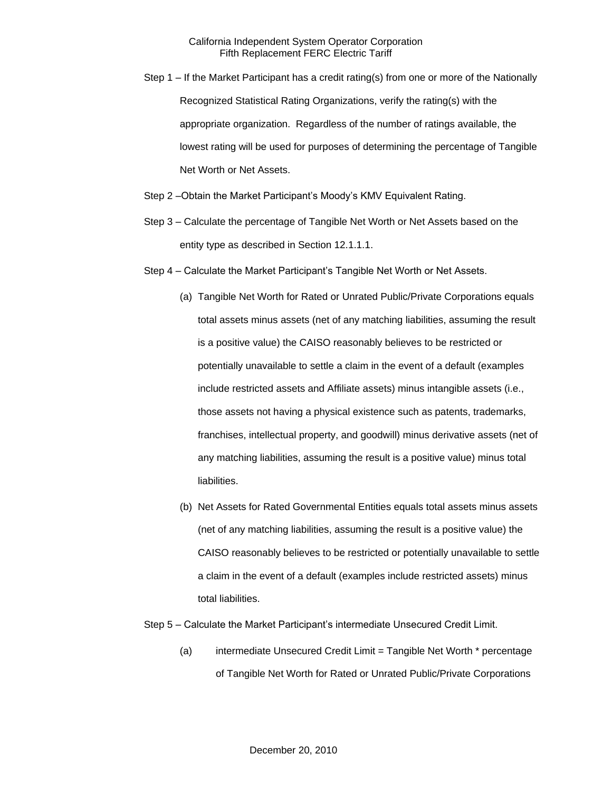- Step 1 If the Market Participant has a credit rating(s) from one or more of the Nationally Recognized Statistical Rating Organizations, verify the rating(s) with the appropriate organization. Regardless of the number of ratings available, the lowest rating will be used for purposes of determining the percentage of Tangible Net Worth or Net Assets.
- Step 2 –Obtain the Market Participant's Moody's KMV Equivalent Rating.
- Step 3 Calculate the percentage of Tangible Net Worth or Net Assets based on the entity type as described in Section 12.1.1.1.
- Step 4 Calculate the Market Participant's Tangible Net Worth or Net Assets.
	- (a) Tangible Net Worth for Rated or Unrated Public/Private Corporations equals total assets minus assets (net of any matching liabilities, assuming the result is a positive value) the CAISO reasonably believes to be restricted or potentially unavailable to settle a claim in the event of a default (examples include restricted assets and Affiliate assets) minus intangible assets (i.e., those assets not having a physical existence such as patents, trademarks, franchises, intellectual property, and goodwill) minus derivative assets (net of any matching liabilities, assuming the result is a positive value) minus total liabilities.
	- (b) Net Assets for Rated Governmental Entities equals total assets minus assets (net of any matching liabilities, assuming the result is a positive value) the CAISO reasonably believes to be restricted or potentially unavailable to settle a claim in the event of a default (examples include restricted assets) minus total liabilities.
- Step 5 Calculate the Market Participant's intermediate Unsecured Credit Limit.
	- (a) intermediate Unsecured Credit Limit = Tangible Net Worth \* percentage of Tangible Net Worth for Rated or Unrated Public/Private Corporations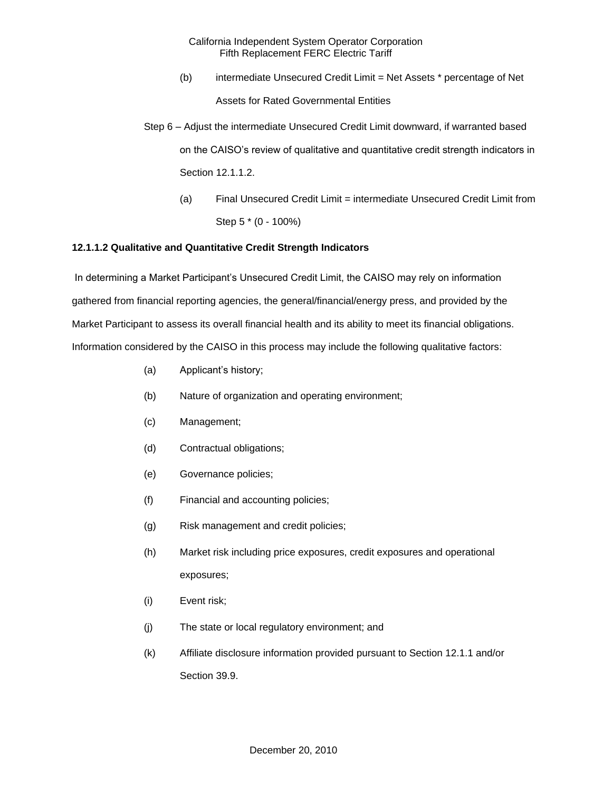- (b) intermediate Unsecured Credit Limit = Net Assets \* percentage of Net Assets for Rated Governmental Entities
- Step 6 Adjust the intermediate Unsecured Credit Limit downward, if warranted based on the CAISO's review of qualitative and quantitative credit strength indicators in Section 12.1.1.2.
	- (a) Final Unsecured Credit Limit = intermediate Unsecured Credit Limit from Step 5 \* (0 - 100%)

# **12.1.1.2 Qualitative and Quantitative Credit Strength Indicators**

In determining a Market Participant's Unsecured Credit Limit, the CAISO may rely on information gathered from financial reporting agencies, the general/financial/energy press, and provided by the Market Participant to assess its overall financial health and its ability to meet its financial obligations. Information considered by the CAISO in this process may include the following qualitative factors:

- (a) Applicant's history;
- (b) Nature of organization and operating environment;
- (c) Management;
- (d) Contractual obligations;
- (e) Governance policies;
- (f) Financial and accounting policies;
- (g) Risk management and credit policies;
- (h) Market risk including price exposures, credit exposures and operational exposures;
- (i) Event risk;
- (j) The state or local regulatory environment; and
- (k) Affiliate disclosure information provided pursuant to Section 12.1.1 and/or Section 39.9.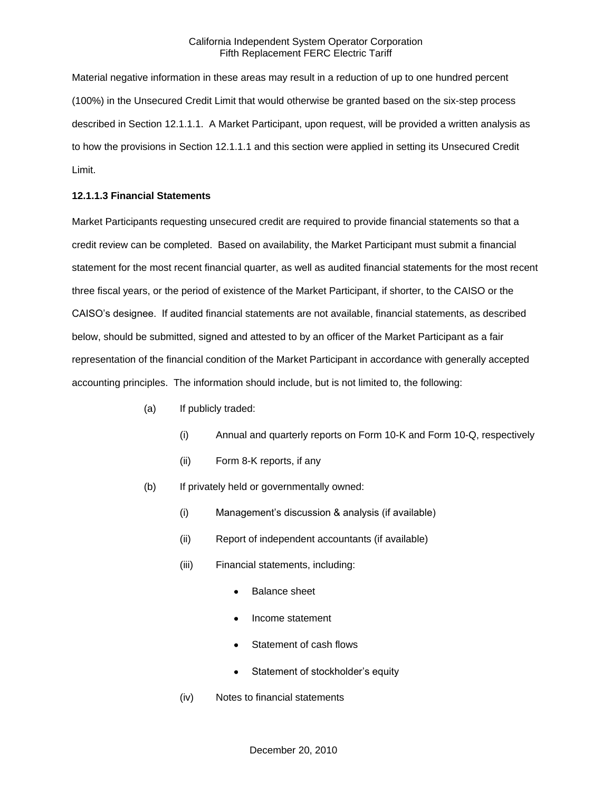Material negative information in these areas may result in a reduction of up to one hundred percent (100%) in the Unsecured Credit Limit that would otherwise be granted based on the six-step process described in Section 12.1.1.1. A Market Participant, upon request, will be provided a written analysis as to how the provisions in Section 12.1.1.1 and this section were applied in setting its Unsecured Credit Limit.

## **12.1.1.3 Financial Statements**

Market Participants requesting unsecured credit are required to provide financial statements so that a credit review can be completed. Based on availability, the Market Participant must submit a financial statement for the most recent financial quarter, as well as audited financial statements for the most recent three fiscal years, or the period of existence of the Market Participant, if shorter, to the CAISO or the CAISO's designee. If audited financial statements are not available, financial statements, as described below, should be submitted, signed and attested to by an officer of the Market Participant as a fair representation of the financial condition of the Market Participant in accordance with generally accepted accounting principles. The information should include, but is not limited to, the following:

- (a) If publicly traded:
	- (i) Annual and quarterly reports on Form 10-K and Form 10-Q, respectively
	- (ii) Form 8-K reports, if any
- (b) If privately held or governmentally owned:
	- (i) Management's discussion & analysis (if available)
	- (ii) Report of independent accountants (if available)
	- (iii) Financial statements, including:
		- Balance sheet
		- Income statement
		- Statement of cash flows
		- Statement of stockholder's equity
	- (iv) Notes to financial statements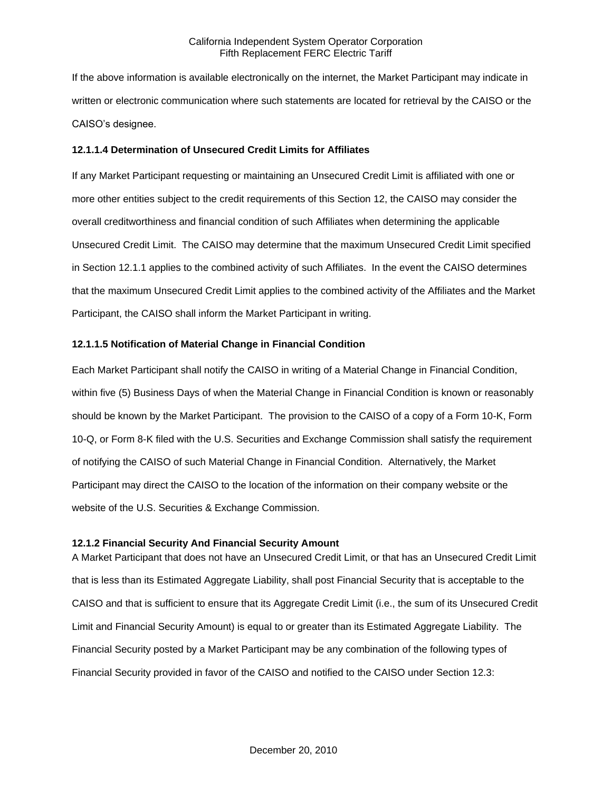If the above information is available electronically on the internet, the Market Participant may indicate in written or electronic communication where such statements are located for retrieval by the CAISO or the CAISO's designee.

## **12.1.1.4 Determination of Unsecured Credit Limits for Affiliates**

If any Market Participant requesting or maintaining an Unsecured Credit Limit is affiliated with one or more other entities subject to the credit requirements of this Section 12, the CAISO may consider the overall creditworthiness and financial condition of such Affiliates when determining the applicable Unsecured Credit Limit. The CAISO may determine that the maximum Unsecured Credit Limit specified in Section 12.1.1 applies to the combined activity of such Affiliates. In the event the CAISO determines that the maximum Unsecured Credit Limit applies to the combined activity of the Affiliates and the Market Participant, the CAISO shall inform the Market Participant in writing.

#### **12.1.1.5 Notification of Material Change in Financial Condition**

Each Market Participant shall notify the CAISO in writing of a Material Change in Financial Condition, within five (5) Business Days of when the Material Change in Financial Condition is known or reasonably should be known by the Market Participant. The provision to the CAISO of a copy of a Form 10-K, Form 10-Q, or Form 8-K filed with the U.S. Securities and Exchange Commission shall satisfy the requirement of notifying the CAISO of such Material Change in Financial Condition. Alternatively, the Market Participant may direct the CAISO to the location of the information on their company website or the website of the U.S. Securities & Exchange Commission.

#### **12.1.2 Financial Security And Financial Security Amount**

A Market Participant that does not have an Unsecured Credit Limit, or that has an Unsecured Credit Limit that is less than its Estimated Aggregate Liability, shall post Financial Security that is acceptable to the CAISO and that is sufficient to ensure that its Aggregate Credit Limit (i.e., the sum of its Unsecured Credit Limit and Financial Security Amount) is equal to or greater than its Estimated Aggregate Liability. The Financial Security posted by a Market Participant may be any combination of the following types of Financial Security provided in favor of the CAISO and notified to the CAISO under Section 12.3: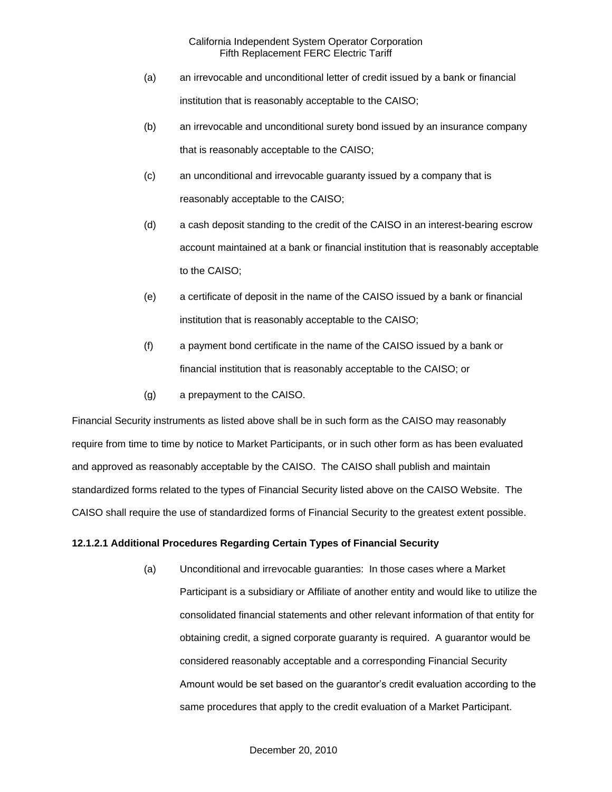- (a) an irrevocable and unconditional letter of credit issued by a bank or financial institution that is reasonably acceptable to the CAISO;
- (b) an irrevocable and unconditional surety bond issued by an insurance company that is reasonably acceptable to the CAISO;
- (c) an unconditional and irrevocable guaranty issued by a company that is reasonably acceptable to the CAISO;
- (d) a cash deposit standing to the credit of the CAISO in an interest-bearing escrow account maintained at a bank or financial institution that is reasonably acceptable to the CAISO;
- (e) a certificate of deposit in the name of the CAISO issued by a bank or financial institution that is reasonably acceptable to the CAISO;
- (f) a payment bond certificate in the name of the CAISO issued by a bank or financial institution that is reasonably acceptable to the CAISO; or
- (g) a prepayment to the CAISO.

Financial Security instruments as listed above shall be in such form as the CAISO may reasonably require from time to time by notice to Market Participants, or in such other form as has been evaluated and approved as reasonably acceptable by the CAISO. The CAISO shall publish and maintain standardized forms related to the types of Financial Security listed above on the CAISO Website. The CAISO shall require the use of standardized forms of Financial Security to the greatest extent possible.

# **12.1.2.1 Additional Procedures Regarding Certain Types of Financial Security**

(a) Unconditional and irrevocable guaranties: In those cases where a Market Participant is a subsidiary or Affiliate of another entity and would like to utilize the consolidated financial statements and other relevant information of that entity for obtaining credit, a signed corporate guaranty is required. A guarantor would be considered reasonably acceptable and a corresponding Financial Security Amount would be set based on the guarantor's credit evaluation according to the same procedures that apply to the credit evaluation of a Market Participant.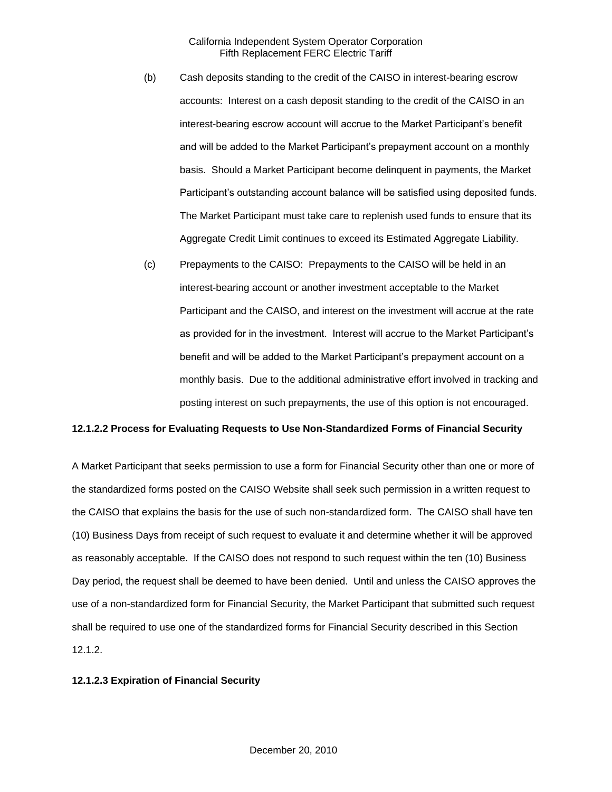- (b) Cash deposits standing to the credit of the CAISO in interest-bearing escrow accounts: Interest on a cash deposit standing to the credit of the CAISO in an interest-bearing escrow account will accrue to the Market Participant's benefit and will be added to the Market Participant's prepayment account on a monthly basis. Should a Market Participant become delinquent in payments, the Market Participant's outstanding account balance will be satisfied using deposited funds. The Market Participant must take care to replenish used funds to ensure that its Aggregate Credit Limit continues to exceed its Estimated Aggregate Liability.
- (c) Prepayments to the CAISO: Prepayments to the CAISO will be held in an interest-bearing account or another investment acceptable to the Market Participant and the CAISO, and interest on the investment will accrue at the rate as provided for in the investment. Interest will accrue to the Market Participant's benefit and will be added to the Market Participant's prepayment account on a monthly basis. Due to the additional administrative effort involved in tracking and posting interest on such prepayments, the use of this option is not encouraged.

# **12.1.2.2 Process for Evaluating Requests to Use Non-Standardized Forms of Financial Security**

A Market Participant that seeks permission to use a form for Financial Security other than one or more of the standardized forms posted on the CAISO Website shall seek such permission in a written request to the CAISO that explains the basis for the use of such non-standardized form. The CAISO shall have ten (10) Business Days from receipt of such request to evaluate it and determine whether it will be approved as reasonably acceptable. If the CAISO does not respond to such request within the ten (10) Business Day period, the request shall be deemed to have been denied. Until and unless the CAISO approves the use of a non-standardized form for Financial Security, the Market Participant that submitted such request shall be required to use one of the standardized forms for Financial Security described in this Section 12.1.2.

#### **12.1.2.3 Expiration of Financial Security**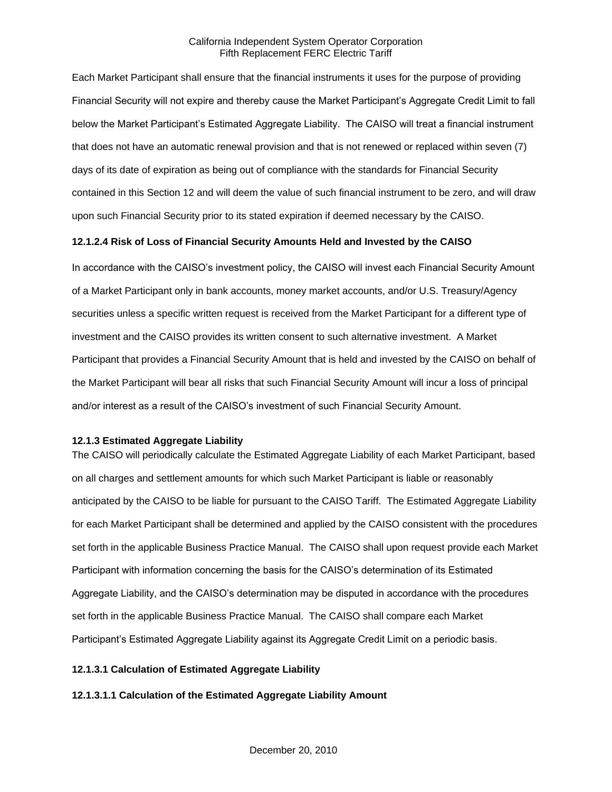Each Market Participant shall ensure that the financial instruments it uses for the purpose of providing Financial Security will not expire and thereby cause the Market Participant's Aggregate Credit Limit to fall below the Market Participant's Estimated Aggregate Liability. The CAISO will treat a financial instrument that does not have an automatic renewal provision and that is not renewed or replaced within seven (7) days of its date of expiration as being out of compliance with the standards for Financial Security contained in this Section 12 and will deem the value of such financial instrument to be zero, and will draw upon such Financial Security prior to its stated expiration if deemed necessary by the CAISO.

# **12.1.2.4 Risk of Loss of Financial Security Amounts Held and Invested by the CAISO**

In accordance with the CAISO's investment policy, the CAISO will invest each Financial Security Amount of a Market Participant only in bank accounts, money market accounts, and/or U.S. Treasury/Agency securities unless a specific written request is received from the Market Participant for a different type of investment and the CAISO provides its written consent to such alternative investment. A Market Participant that provides a Financial Security Amount that is held and invested by the CAISO on behalf of the Market Participant will bear all risks that such Financial Security Amount will incur a loss of principal and/or interest as a result of the CAISO's investment of such Financial Security Amount.

#### **12.1.3 Estimated Aggregate Liability**

The CAISO will periodically calculate the Estimated Aggregate Liability of each Market Participant, based on all charges and settlement amounts for which such Market Participant is liable or reasonably anticipated by the CAISO to be liable for pursuant to the CAISO Tariff. The Estimated Aggregate Liability for each Market Participant shall be determined and applied by the CAISO consistent with the procedures set forth in the applicable Business Practice Manual. The CAISO shall upon request provide each Market Participant with information concerning the basis for the CAISO's determination of its Estimated Aggregate Liability, and the CAISO's determination may be disputed in accordance with the procedures set forth in the applicable Business Practice Manual. The CAISO shall compare each Market Participant's Estimated Aggregate Liability against its Aggregate Credit Limit on a periodic basis.

# **12.1.3.1 Calculation of Estimated Aggregate Liability**

#### **12.1.3.1.1 Calculation of the Estimated Aggregate Liability Amount**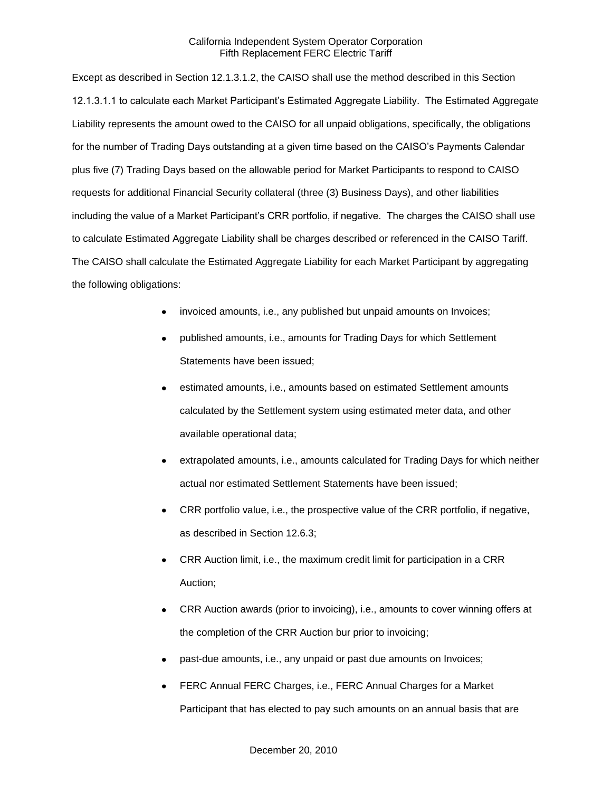Except as described in Section 12.1.3.1.2, the CAISO shall use the method described in this Section 12.1.3.1.1 to calculate each Market Participant's Estimated Aggregate Liability. The Estimated Aggregate Liability represents the amount owed to the CAISO for all unpaid obligations, specifically, the obligations for the number of Trading Days outstanding at a given time based on the CAISO's Payments Calendar plus five (7) Trading Days based on the allowable period for Market Participants to respond to CAISO requests for additional Financial Security collateral (three (3) Business Days), and other liabilities including the value of a Market Participant's CRR portfolio, if negative. The charges the CAISO shall use to calculate Estimated Aggregate Liability shall be charges described or referenced in the CAISO Tariff. The CAISO shall calculate the Estimated Aggregate Liability for each Market Participant by aggregating the following obligations:

- invoiced amounts, i.e., any published but unpaid amounts on Invoices;
- published amounts, i.e., amounts for Trading Days for which Settlement Statements have been issued;
- estimated amounts, i.e., amounts based on estimated Settlement amounts calculated by the Settlement system using estimated meter data, and other available operational data;
- extrapolated amounts, i.e., amounts calculated for Trading Days for which neither actual nor estimated Settlement Statements have been issued;
- CRR portfolio value, i.e., the prospective value of the CRR portfolio, if negative, as described in Section 12.6.3;
- CRR Auction limit, i.e., the maximum credit limit for participation in a CRR Auction;
- CRR Auction awards (prior to invoicing), i.e., amounts to cover winning offers at the completion of the CRR Auction bur prior to invoicing;
- past-due amounts, i.e., any unpaid or past due amounts on Invoices;
- FERC Annual FERC Charges, i.e., FERC Annual Charges for a Market Participant that has elected to pay such amounts on an annual basis that are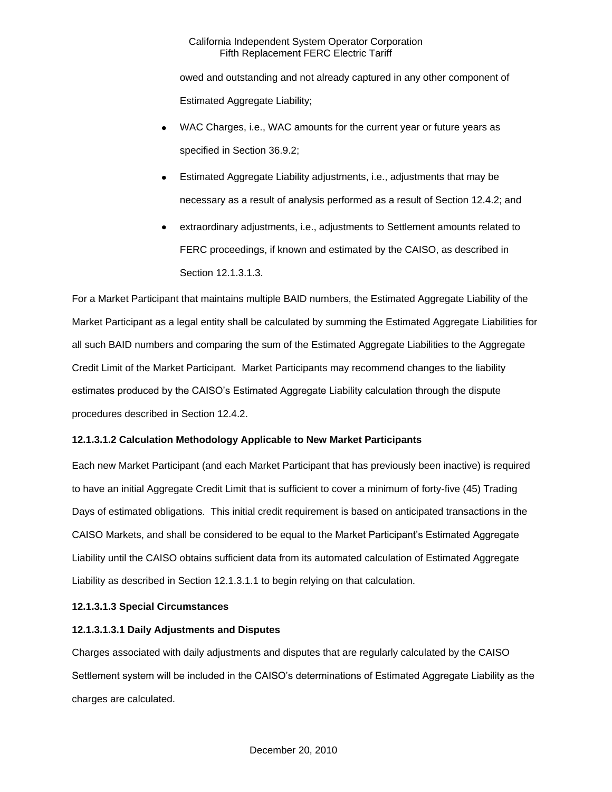owed and outstanding and not already captured in any other component of Estimated Aggregate Liability;

- WAC Charges, i.e., WAC amounts for the current year or future years as specified in Section 36.9.2;
- Estimated Aggregate Liability adjustments, i.e., adjustments that may be necessary as a result of analysis performed as a result of Section 12.4.2; and
- extraordinary adjustments, i.e., adjustments to Settlement amounts related to FERC proceedings, if known and estimated by the CAISO, as described in Section 12.1.3.1.3.

For a Market Participant that maintains multiple BAID numbers, the Estimated Aggregate Liability of the Market Participant as a legal entity shall be calculated by summing the Estimated Aggregate Liabilities for all such BAID numbers and comparing the sum of the Estimated Aggregate Liabilities to the Aggregate Credit Limit of the Market Participant. Market Participants may recommend changes to the liability estimates produced by the CAISO's Estimated Aggregate Liability calculation through the dispute procedures described in Section 12.4.2.

# **12.1.3.1.2 Calculation Methodology Applicable to New Market Participants**

Each new Market Participant (and each Market Participant that has previously been inactive) is required to have an initial Aggregate Credit Limit that is sufficient to cover a minimum of forty-five (45) Trading Days of estimated obligations. This initial credit requirement is based on anticipated transactions in the CAISO Markets, and shall be considered to be equal to the Market Participant's Estimated Aggregate Liability until the CAISO obtains sufficient data from its automated calculation of Estimated Aggregate Liability as described in Section 12.1.3.1.1 to begin relying on that calculation.

# **12.1.3.1.3 Special Circumstances**

# **12.1.3.1.3.1 Daily Adjustments and Disputes**

Charges associated with daily adjustments and disputes that are regularly calculated by the CAISO Settlement system will be included in the CAISO's determinations of Estimated Aggregate Liability as the charges are calculated.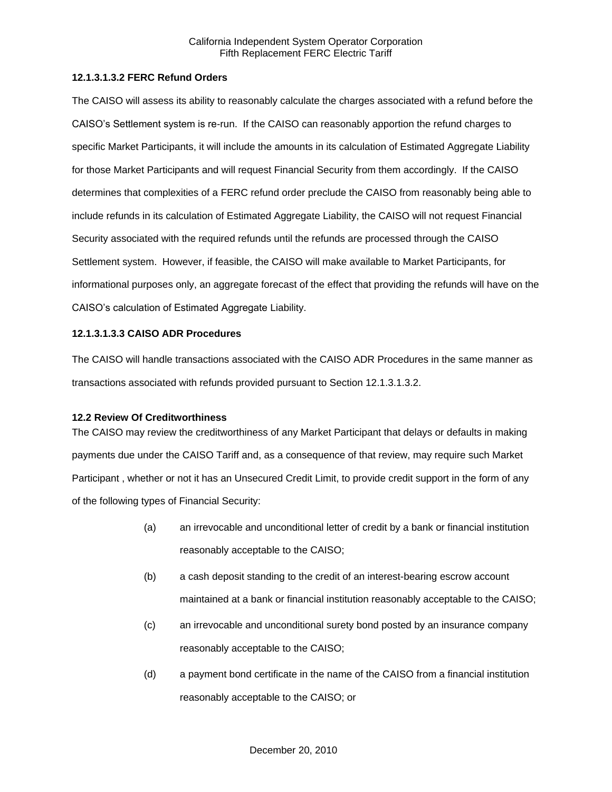## **12.1.3.1.3.2 FERC Refund Orders**

The CAISO will assess its ability to reasonably calculate the charges associated with a refund before the CAISO's Settlement system is re-run. If the CAISO can reasonably apportion the refund charges to specific Market Participants, it will include the amounts in its calculation of Estimated Aggregate Liability for those Market Participants and will request Financial Security from them accordingly. If the CAISO determines that complexities of a FERC refund order preclude the CAISO from reasonably being able to include refunds in its calculation of Estimated Aggregate Liability, the CAISO will not request Financial Security associated with the required refunds until the refunds are processed through the CAISO Settlement system. However, if feasible, the CAISO will make available to Market Participants, for informational purposes only, an aggregate forecast of the effect that providing the refunds will have on the CAISO's calculation of Estimated Aggregate Liability.

## **12.1.3.1.3.3 CAISO ADR Procedures**

The CAISO will handle transactions associated with the CAISO ADR Procedures in the same manner as transactions associated with refunds provided pursuant to Section 12.1.3.1.3.2.

#### **12.2 Review Of Creditworthiness**

The CAISO may review the creditworthiness of any Market Participant that delays or defaults in making payments due under the CAISO Tariff and, as a consequence of that review, may require such Market Participant , whether or not it has an Unsecured Credit Limit, to provide credit support in the form of any of the following types of Financial Security:

- (a) an irrevocable and unconditional letter of credit by a bank or financial institution reasonably acceptable to the CAISO;
- (b) a cash deposit standing to the credit of an interest-bearing escrow account maintained at a bank or financial institution reasonably acceptable to the CAISO;
- (c) an irrevocable and unconditional surety bond posted by an insurance company reasonably acceptable to the CAISO;
- (d) a payment bond certificate in the name of the CAISO from a financial institution reasonably acceptable to the CAISO; or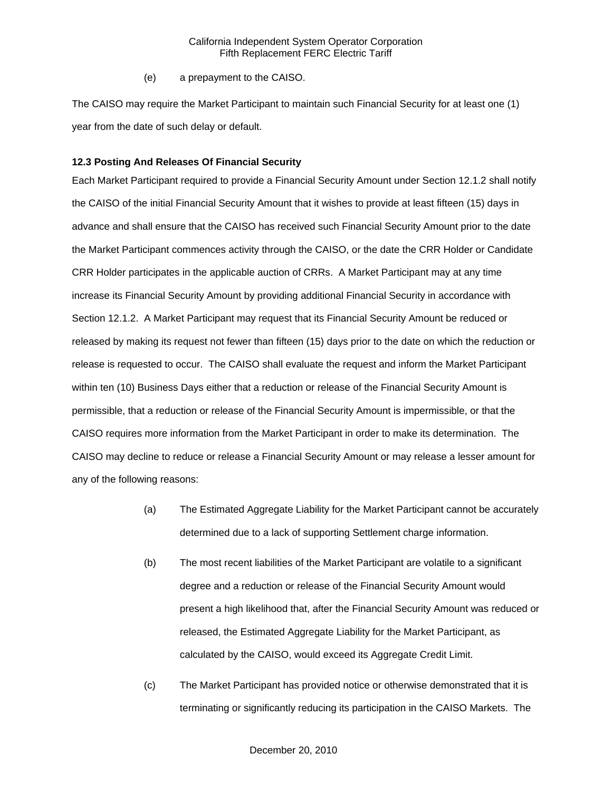(e) a prepayment to the CAISO.

The CAISO may require the Market Participant to maintain such Financial Security for at least one (1) year from the date of such delay or default.

#### **12.3 Posting And Releases Of Financial Security**

Each Market Participant required to provide a Financial Security Amount under Section 12.1.2 shall notify the CAISO of the initial Financial Security Amount that it wishes to provide at least fifteen (15) days in advance and shall ensure that the CAISO has received such Financial Security Amount prior to the date the Market Participant commences activity through the CAISO, or the date the CRR Holder or Candidate CRR Holder participates in the applicable auction of CRRs. A Market Participant may at any time increase its Financial Security Amount by providing additional Financial Security in accordance with Section 12.1.2. A Market Participant may request that its Financial Security Amount be reduced or released by making its request not fewer than fifteen (15) days prior to the date on which the reduction or release is requested to occur. The CAISO shall evaluate the request and inform the Market Participant within ten (10) Business Days either that a reduction or release of the Financial Security Amount is permissible, that a reduction or release of the Financial Security Amount is impermissible, or that the CAISO requires more information from the Market Participant in order to make its determination. The CAISO may decline to reduce or release a Financial Security Amount or may release a lesser amount for any of the following reasons:

- (a) The Estimated Aggregate Liability for the Market Participant cannot be accurately determined due to a lack of supporting Settlement charge information.
- (b) The most recent liabilities of the Market Participant are volatile to a significant degree and a reduction or release of the Financial Security Amount would present a high likelihood that, after the Financial Security Amount was reduced or released, the Estimated Aggregate Liability for the Market Participant, as calculated by the CAISO, would exceed its Aggregate Credit Limit.
- (c) The Market Participant has provided notice or otherwise demonstrated that it is terminating or significantly reducing its participation in the CAISO Markets. The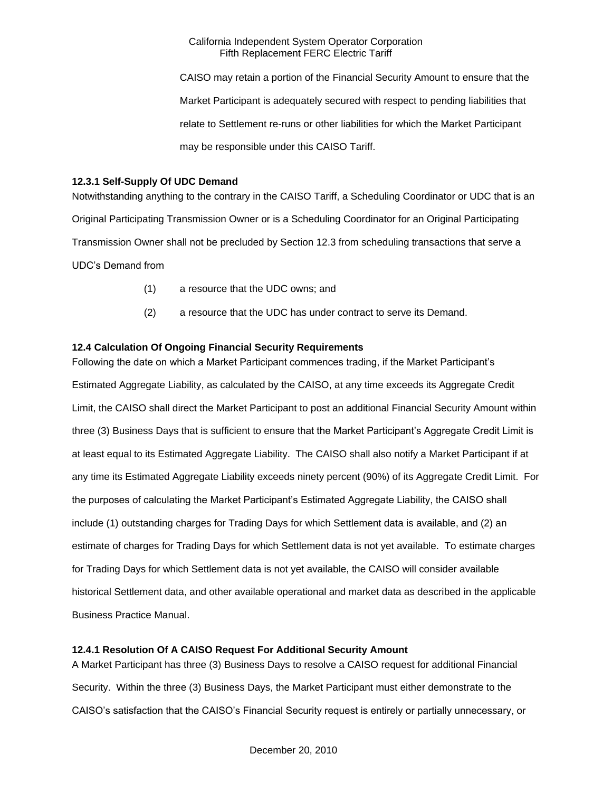CAISO may retain a portion of the Financial Security Amount to ensure that the Market Participant is adequately secured with respect to pending liabilities that relate to Settlement re-runs or other liabilities for which the Market Participant may be responsible under this CAISO Tariff.

## **12.3.1 Self-Supply Of UDC Demand**

Notwithstanding anything to the contrary in the CAISO Tariff, a Scheduling Coordinator or UDC that is an Original Participating Transmission Owner or is a Scheduling Coordinator for an Original Participating Transmission Owner shall not be precluded by Section 12.3 from scheduling transactions that serve a UDC's Demand from

- (1) a resource that the UDC owns; and
- (2) a resource that the UDC has under contract to serve its Demand.

# **12.4 Calculation Of Ongoing Financial Security Requirements**

Following the date on which a Market Participant commences trading, if the Market Participant's Estimated Aggregate Liability, as calculated by the CAISO, at any time exceeds its Aggregate Credit Limit, the CAISO shall direct the Market Participant to post an additional Financial Security Amount within three (3) Business Days that is sufficient to ensure that the Market Participant's Aggregate Credit Limit is at least equal to its Estimated Aggregate Liability. The CAISO shall also notify a Market Participant if at any time its Estimated Aggregate Liability exceeds ninety percent (90%) of its Aggregate Credit Limit. For the purposes of calculating the Market Participant's Estimated Aggregate Liability, the CAISO shall include (1) outstanding charges for Trading Days for which Settlement data is available, and (2) an estimate of charges for Trading Days for which Settlement data is not yet available. To estimate charges for Trading Days for which Settlement data is not yet available, the CAISO will consider available historical Settlement data, and other available operational and market data as described in the applicable Business Practice Manual.

# **12.4.1 Resolution Of A CAISO Request For Additional Security Amount**

A Market Participant has three (3) Business Days to resolve a CAISO request for additional Financial Security. Within the three (3) Business Days, the Market Participant must either demonstrate to the CAISO's satisfaction that the CAISO's Financial Security request is entirely or partially unnecessary, or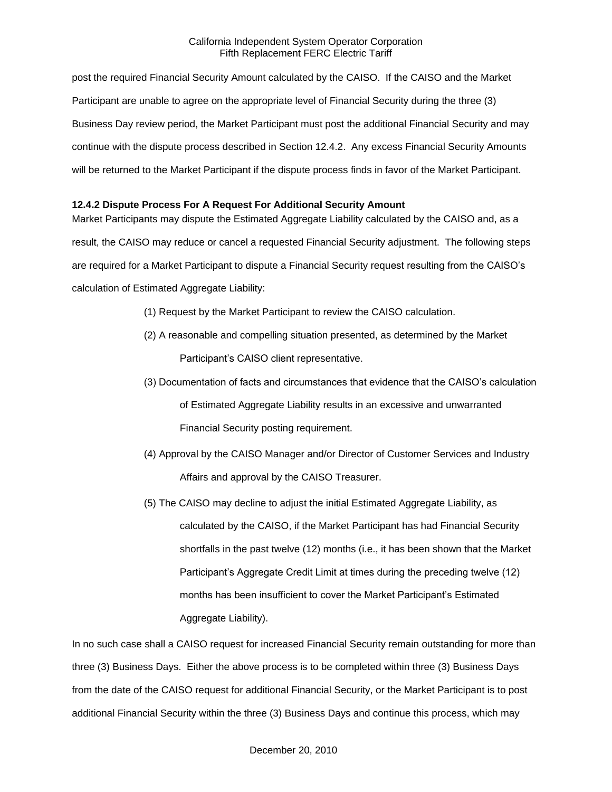post the required Financial Security Amount calculated by the CAISO. If the CAISO and the Market Participant are unable to agree on the appropriate level of Financial Security during the three (3) Business Day review period, the Market Participant must post the additional Financial Security and may continue with the dispute process described in Section 12.4.2. Any excess Financial Security Amounts will be returned to the Market Participant if the dispute process finds in favor of the Market Participant.

## **12.4.2 Dispute Process For A Request For Additional Security Amount**

Market Participants may dispute the Estimated Aggregate Liability calculated by the CAISO and, as a result, the CAISO may reduce or cancel a requested Financial Security adjustment. The following steps are required for a Market Participant to dispute a Financial Security request resulting from the CAISO's calculation of Estimated Aggregate Liability:

- (1) Request by the Market Participant to review the CAISO calculation.
- (2) A reasonable and compelling situation presented, as determined by the Market Participant's CAISO client representative.
- (3) Documentation of facts and circumstances that evidence that the CAISO's calculation of Estimated Aggregate Liability results in an excessive and unwarranted Financial Security posting requirement.
- (4) Approval by the CAISO Manager and/or Director of Customer Services and Industry Affairs and approval by the CAISO Treasurer.
- (5) The CAISO may decline to adjust the initial Estimated Aggregate Liability, as calculated by the CAISO, if the Market Participant has had Financial Security shortfalls in the past twelve (12) months (i.e., it has been shown that the Market Participant's Aggregate Credit Limit at times during the preceding twelve (12) months has been insufficient to cover the Market Participant's Estimated Aggregate Liability).

In no such case shall a CAISO request for increased Financial Security remain outstanding for more than three (3) Business Days. Either the above process is to be completed within three (3) Business Days from the date of the CAISO request for additional Financial Security, or the Market Participant is to post additional Financial Security within the three (3) Business Days and continue this process, which may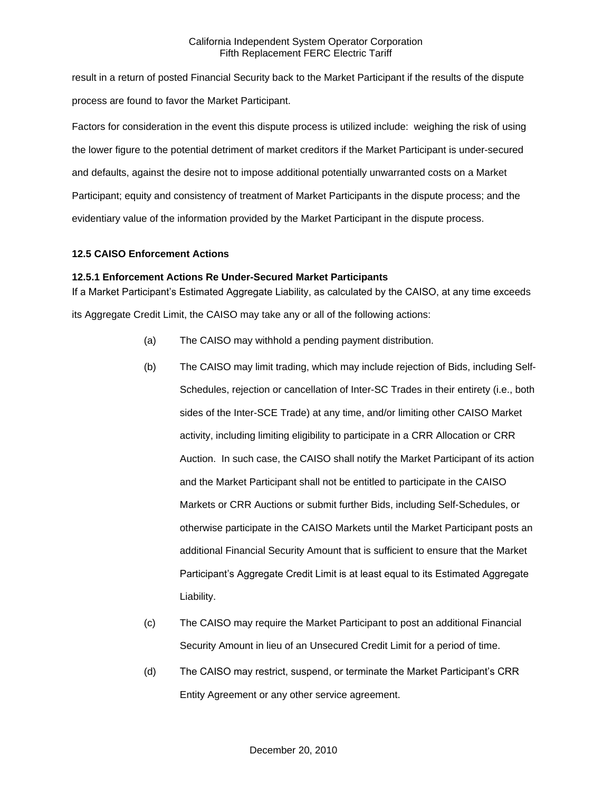result in a return of posted Financial Security back to the Market Participant if the results of the dispute process are found to favor the Market Participant.

Factors for consideration in the event this dispute process is utilized include: weighing the risk of using the lower figure to the potential detriment of market creditors if the Market Participant is under-secured and defaults, against the desire not to impose additional potentially unwarranted costs on a Market Participant; equity and consistency of treatment of Market Participants in the dispute process; and the evidentiary value of the information provided by the Market Participant in the dispute process.

# **12.5 CAISO Enforcement Actions**

# **12.5.1 Enforcement Actions Re Under-Secured Market Participants**

If a Market Participant's Estimated Aggregate Liability, as calculated by the CAISO, at any time exceeds its Aggregate Credit Limit, the CAISO may take any or all of the following actions:

- (a) The CAISO may withhold a pending payment distribution.
- (b) The CAISO may limit trading, which may include rejection of Bids, including Self-Schedules, rejection or cancellation of Inter-SC Trades in their entirety (i.e., both sides of the Inter-SCE Trade) at any time, and/or limiting other CAISO Market activity, including limiting eligibility to participate in a CRR Allocation or CRR Auction. In such case, the CAISO shall notify the Market Participant of its action and the Market Participant shall not be entitled to participate in the CAISO Markets or CRR Auctions or submit further Bids, including Self-Schedules, or otherwise participate in the CAISO Markets until the Market Participant posts an additional Financial Security Amount that is sufficient to ensure that the Market Participant's Aggregate Credit Limit is at least equal to its Estimated Aggregate Liability.
- (c) The CAISO may require the Market Participant to post an additional Financial Security Amount in lieu of an Unsecured Credit Limit for a period of time.
- (d) The CAISO may restrict, suspend, or terminate the Market Participant's CRR Entity Agreement or any other service agreement.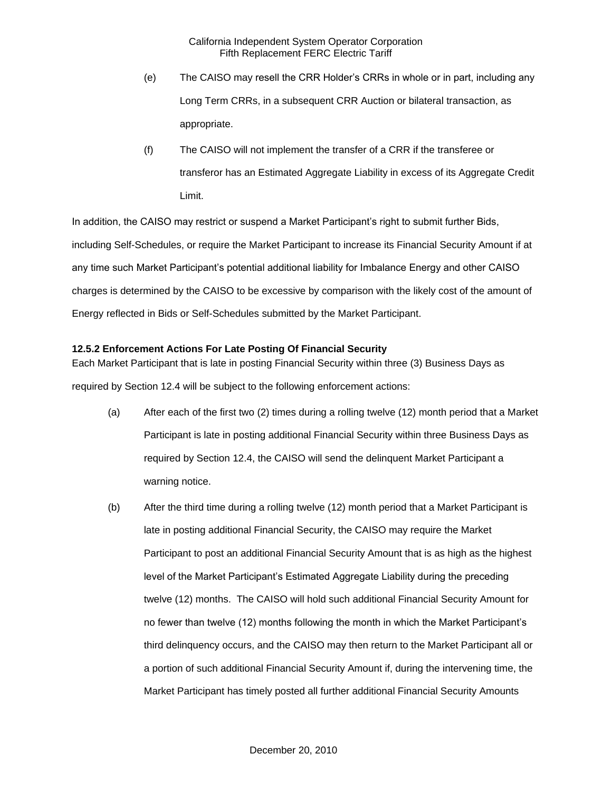- (e) The CAISO may resell the CRR Holder's CRRs in whole or in part, including any Long Term CRRs, in a subsequent CRR Auction or bilateral transaction, as appropriate.
- (f) The CAISO will not implement the transfer of a CRR if the transferee or transferor has an Estimated Aggregate Liability in excess of its Aggregate Credit Limit.

In addition, the CAISO may restrict or suspend a Market Participant's right to submit further Bids, including Self-Schedules, or require the Market Participant to increase its Financial Security Amount if at any time such Market Participant's potential additional liability for Imbalance Energy and other CAISO charges is determined by the CAISO to be excessive by comparison with the likely cost of the amount of Energy reflected in Bids or Self-Schedules submitted by the Market Participant.

# **12.5.2 Enforcement Actions For Late Posting Of Financial Security**

Each Market Participant that is late in posting Financial Security within three (3) Business Days as required by Section 12.4 will be subject to the following enforcement actions:

- (a) After each of the first two (2) times during a rolling twelve (12) month period that a Market Participant is late in posting additional Financial Security within three Business Days as required by Section 12.4, the CAISO will send the delinquent Market Participant a warning notice.
- (b) After the third time during a rolling twelve (12) month period that a Market Participant is late in posting additional Financial Security, the CAISO may require the Market Participant to post an additional Financial Security Amount that is as high as the highest level of the Market Participant's Estimated Aggregate Liability during the preceding twelve (12) months. The CAISO will hold such additional Financial Security Amount for no fewer than twelve (12) months following the month in which the Market Participant's third delinquency occurs, and the CAISO may then return to the Market Participant all or a portion of such additional Financial Security Amount if, during the intervening time, the Market Participant has timely posted all further additional Financial Security Amounts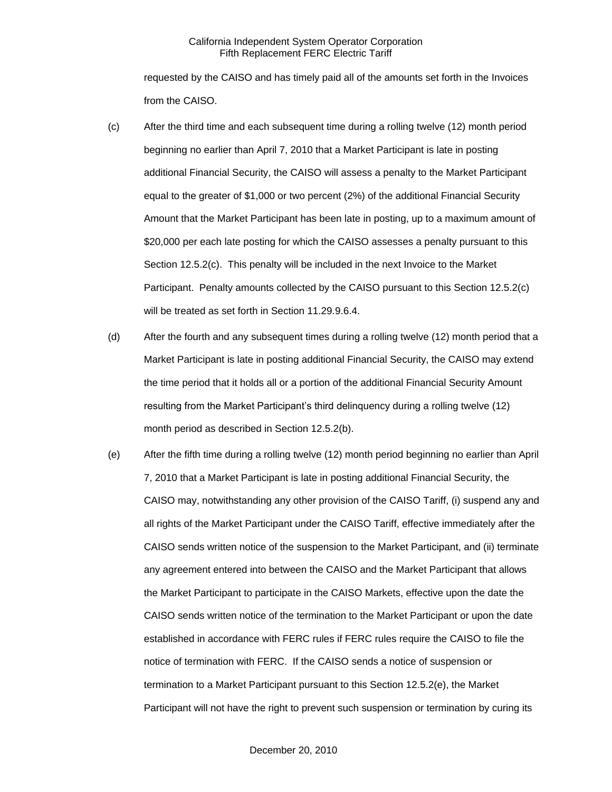requested by the CAISO and has timely paid all of the amounts set forth in the Invoices from the CAISO.

- (c) After the third time and each subsequent time during a rolling twelve (12) month period beginning no earlier than April 7, 2010 that a Market Participant is late in posting additional Financial Security, the CAISO will assess a penalty to the Market Participant equal to the greater of \$1,000 or two percent (2%) of the additional Financial Security Amount that the Market Participant has been late in posting, up to a maximum amount of \$20,000 per each late posting for which the CAISO assesses a penalty pursuant to this Section 12.5.2(c). This penalty will be included in the next Invoice to the Market Participant. Penalty amounts collected by the CAISO pursuant to this Section 12.5.2(c) will be treated as set forth in Section 11.29.9.6.4.
- (d) After the fourth and any subsequent times during a rolling twelve (12) month period that a Market Participant is late in posting additional Financial Security, the CAISO may extend the time period that it holds all or a portion of the additional Financial Security Amount resulting from the Market Participant's third delinquency during a rolling twelve (12) month period as described in Section 12.5.2(b).
- (e) After the fifth time during a rolling twelve (12) month period beginning no earlier than April 7, 2010 that a Market Participant is late in posting additional Financial Security, the CAISO may, notwithstanding any other provision of the CAISO Tariff, (i) suspend any and all rights of the Market Participant under the CAISO Tariff, effective immediately after the CAISO sends written notice of the suspension to the Market Participant, and (ii) terminate any agreement entered into between the CAISO and the Market Participant that allows the Market Participant to participate in the CAISO Markets, effective upon the date the CAISO sends written notice of the termination to the Market Participant or upon the date established in accordance with FERC rules if FERC rules require the CAISO to file the notice of termination with FERC. If the CAISO sends a notice of suspension or termination to a Market Participant pursuant to this Section 12.5.2(e), the Market Participant will not have the right to prevent such suspension or termination by curing its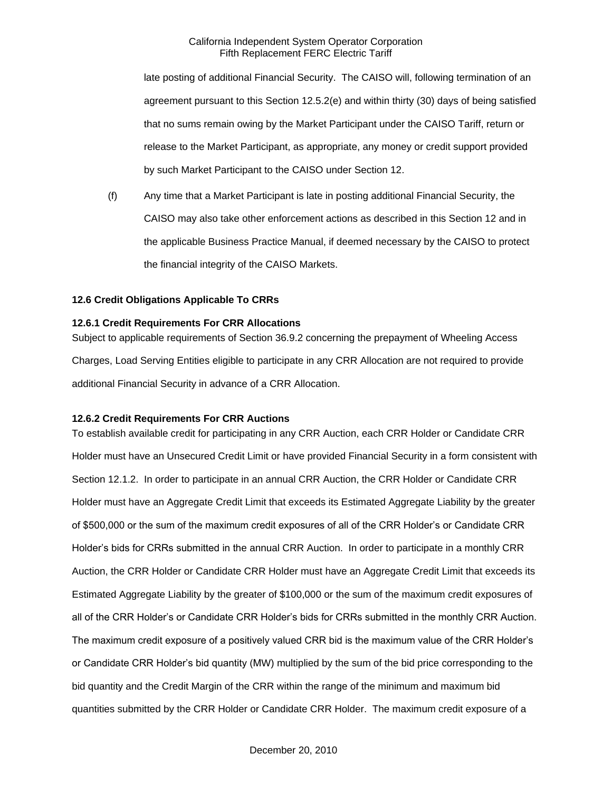late posting of additional Financial Security. The CAISO will, following termination of an agreement pursuant to this Section 12.5.2(e) and within thirty (30) days of being satisfied that no sums remain owing by the Market Participant under the CAISO Tariff, return or release to the Market Participant, as appropriate, any money or credit support provided by such Market Participant to the CAISO under Section 12.

(f) Any time that a Market Participant is late in posting additional Financial Security, the CAISO may also take other enforcement actions as described in this Section 12 and in the applicable Business Practice Manual, if deemed necessary by the CAISO to protect the financial integrity of the CAISO Markets.

#### **12.6 Credit Obligations Applicable To CRRs**

## **12.6.1 Credit Requirements For CRR Allocations**

Subject to applicable requirements of Section 36.9.2 concerning the prepayment of Wheeling Access Charges, Load Serving Entities eligible to participate in any CRR Allocation are not required to provide additional Financial Security in advance of a CRR Allocation.

#### **12.6.2 Credit Requirements For CRR Auctions**

To establish available credit for participating in any CRR Auction, each CRR Holder or Candidate CRR Holder must have an Unsecured Credit Limit or have provided Financial Security in a form consistent with Section 12.1.2. In order to participate in an annual CRR Auction, the CRR Holder or Candidate CRR Holder must have an Aggregate Credit Limit that exceeds its Estimated Aggregate Liability by the greater of \$500,000 or the sum of the maximum credit exposures of all of the CRR Holder's or Candidate CRR Holder's bids for CRRs submitted in the annual CRR Auction. In order to participate in a monthly CRR Auction, the CRR Holder or Candidate CRR Holder must have an Aggregate Credit Limit that exceeds its Estimated Aggregate Liability by the greater of \$100,000 or the sum of the maximum credit exposures of all of the CRR Holder's or Candidate CRR Holder's bids for CRRs submitted in the monthly CRR Auction. The maximum credit exposure of a positively valued CRR bid is the maximum value of the CRR Holder's or Candidate CRR Holder's bid quantity (MW) multiplied by the sum of the bid price corresponding to the bid quantity and the Credit Margin of the CRR within the range of the minimum and maximum bid quantities submitted by the CRR Holder or Candidate CRR Holder. The maximum credit exposure of a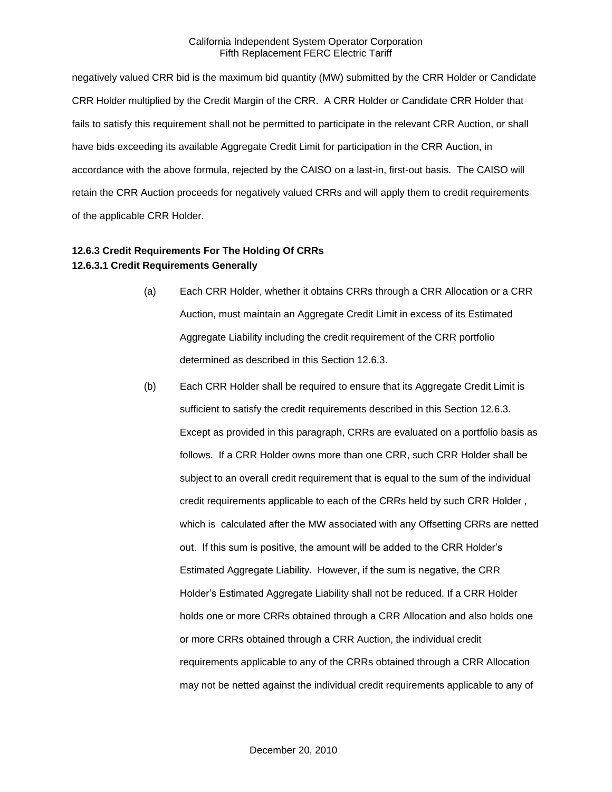negatively valued CRR bid is the maximum bid quantity (MW) submitted by the CRR Holder or Candidate CRR Holder multiplied by the Credit Margin of the CRR. A CRR Holder or Candidate CRR Holder that fails to satisfy this requirement shall not be permitted to participate in the relevant CRR Auction, or shall have bids exceeding its available Aggregate Credit Limit for participation in the CRR Auction, in accordance with the above formula, rejected by the CAISO on a last-in, first-out basis. The CAISO will retain the CRR Auction proceeds for negatively valued CRRs and will apply them to credit requirements of the applicable CRR Holder.

# **12.6.3 Credit Requirements For The Holding Of CRRs 12.6.3.1 Credit Requirements Generally**

- (a) Each CRR Holder, whether it obtains CRRs through a CRR Allocation or a CRR Auction, must maintain an Aggregate Credit Limit in excess of its Estimated Aggregate Liability including the credit requirement of the CRR portfolio determined as described in this Section 12.6.3.
- (b) Each CRR Holder shall be required to ensure that its Aggregate Credit Limit is sufficient to satisfy the credit requirements described in this Section 12.6.3. Except as provided in this paragraph, CRRs are evaluated on a portfolio basis as follows. If a CRR Holder owns more than one CRR, such CRR Holder shall be subject to an overall credit requirement that is equal to the sum of the individual credit requirements applicable to each of the CRRs held by such CRR Holder , which is calculated after the MW associated with any Offsetting CRRs are netted out. If this sum is positive, the amount will be added to the CRR Holder's Estimated Aggregate Liability. However, if the sum is negative, the CRR Holder's Estimated Aggregate Liability shall not be reduced. If a CRR Holder holds one or more CRRs obtained through a CRR Allocation and also holds one or more CRRs obtained through a CRR Auction, the individual credit requirements applicable to any of the CRRs obtained through a CRR Allocation may not be netted against the individual credit requirements applicable to any of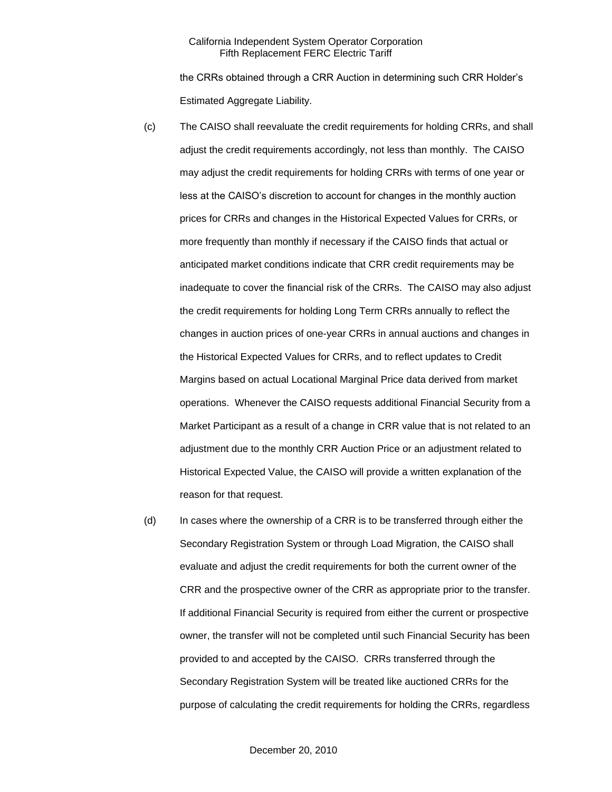the CRRs obtained through a CRR Auction in determining such CRR Holder's Estimated Aggregate Liability.

- (c) The CAISO shall reevaluate the credit requirements for holding CRRs, and shall adjust the credit requirements accordingly, not less than monthly. The CAISO may adjust the credit requirements for holding CRRs with terms of one year or less at the CAISO's discretion to account for changes in the monthly auction prices for CRRs and changes in the Historical Expected Values for CRRs, or more frequently than monthly if necessary if the CAISO finds that actual or anticipated market conditions indicate that CRR credit requirements may be inadequate to cover the financial risk of the CRRs. The CAISO may also adjust the credit requirements for holding Long Term CRRs annually to reflect the changes in auction prices of one-year CRRs in annual auctions and changes in the Historical Expected Values for CRRs, and to reflect updates to Credit Margins based on actual Locational Marginal Price data derived from market operations. Whenever the CAISO requests additional Financial Security from a Market Participant as a result of a change in CRR value that is not related to an adjustment due to the monthly CRR Auction Price or an adjustment related to Historical Expected Value, the CAISO will provide a written explanation of the reason for that request.
- (d) In cases where the ownership of a CRR is to be transferred through either the Secondary Registration System or through Load Migration, the CAISO shall evaluate and adjust the credit requirements for both the current owner of the CRR and the prospective owner of the CRR as appropriate prior to the transfer. If additional Financial Security is required from either the current or prospective owner, the transfer will not be completed until such Financial Security has been provided to and accepted by the CAISO. CRRs transferred through the Secondary Registration System will be treated like auctioned CRRs for the purpose of calculating the credit requirements for holding the CRRs, regardless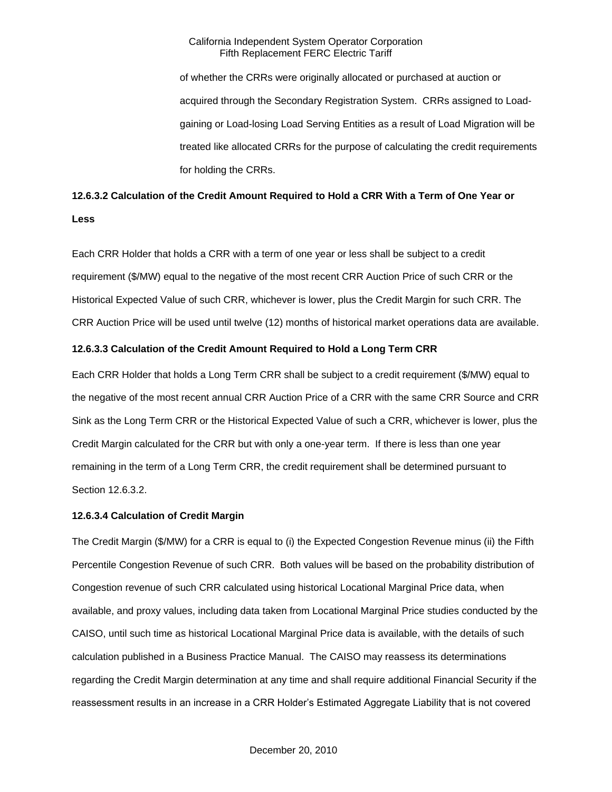of whether the CRRs were originally allocated or purchased at auction or acquired through the Secondary Registration System. CRRs assigned to Loadgaining or Load-losing Load Serving Entities as a result of Load Migration will be treated like allocated CRRs for the purpose of calculating the credit requirements for holding the CRRs.

# **12.6.3.2 Calculation of the Credit Amount Required to Hold a CRR With a Term of One Year or Less**

Each CRR Holder that holds a CRR with a term of one year or less shall be subject to a credit requirement (\$/MW) equal to the negative of the most recent CRR Auction Price of such CRR or the Historical Expected Value of such CRR, whichever is lower, plus the Credit Margin for such CRR. The CRR Auction Price will be used until twelve (12) months of historical market operations data are available.

## **12.6.3.3 Calculation of the Credit Amount Required to Hold a Long Term CRR**

Each CRR Holder that holds a Long Term CRR shall be subject to a credit requirement (\$/MW) equal to the negative of the most recent annual CRR Auction Price of a CRR with the same CRR Source and CRR Sink as the Long Term CRR or the Historical Expected Value of such a CRR, whichever is lower, plus the Credit Margin calculated for the CRR but with only a one-year term. If there is less than one year remaining in the term of a Long Term CRR, the credit requirement shall be determined pursuant to Section 12.6.3.2.

# **12.6.3.4 Calculation of Credit Margin**

The Credit Margin (\$/MW) for a CRR is equal to (i) the Expected Congestion Revenue minus (ii) the Fifth Percentile Congestion Revenue of such CRR. Both values will be based on the probability distribution of Congestion revenue of such CRR calculated using historical Locational Marginal Price data, when available, and proxy values, including data taken from Locational Marginal Price studies conducted by the CAISO, until such time as historical Locational Marginal Price data is available, with the details of such calculation published in a Business Practice Manual. The CAISO may reassess its determinations regarding the Credit Margin determination at any time and shall require additional Financial Security if the reassessment results in an increase in a CRR Holder's Estimated Aggregate Liability that is not covered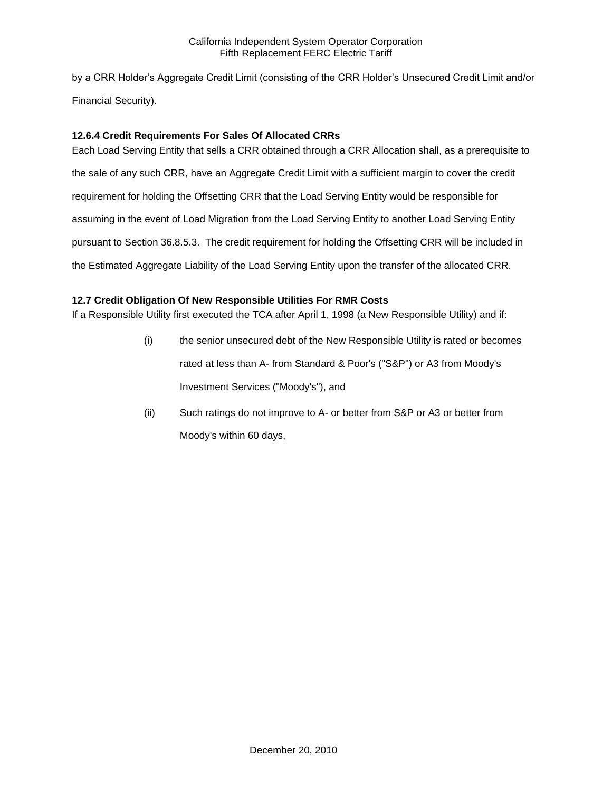by a CRR Holder's Aggregate Credit Limit (consisting of the CRR Holder's Unsecured Credit Limit and/or Financial Security).

# **12.6.4 Credit Requirements For Sales Of Allocated CRRs**

Each Load Serving Entity that sells a CRR obtained through a CRR Allocation shall, as a prerequisite to the sale of any such CRR, have an Aggregate Credit Limit with a sufficient margin to cover the credit requirement for holding the Offsetting CRR that the Load Serving Entity would be responsible for assuming in the event of Load Migration from the Load Serving Entity to another Load Serving Entity pursuant to Section 36.8.5.3. The credit requirement for holding the Offsetting CRR will be included in the Estimated Aggregate Liability of the Load Serving Entity upon the transfer of the allocated CRR.

# **12.7 Credit Obligation Of New Responsible Utilities For RMR Costs**

If a Responsible Utility first executed the TCA after April 1, 1998 (a New Responsible Utility) and if:

- (i) the senior unsecured debt of the New Responsible Utility is rated or becomes rated at less than A- from Standard & Poor's ("S&P") or A3 from Moody's Investment Services ("Moody's"), and
- (ii) Such ratings do not improve to A- or better from S&P or A3 or better from Moody's within 60 days,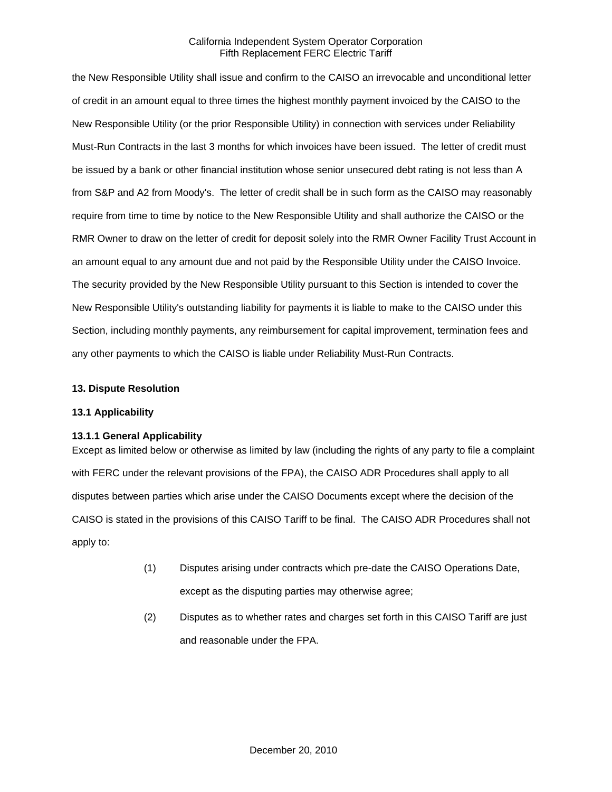the New Responsible Utility shall issue and confirm to the CAISO an irrevocable and unconditional letter of credit in an amount equal to three times the highest monthly payment invoiced by the CAISO to the New Responsible Utility (or the prior Responsible Utility) in connection with services under Reliability Must-Run Contracts in the last 3 months for which invoices have been issued. The letter of credit must be issued by a bank or other financial institution whose senior unsecured debt rating is not less than A from S&P and A2 from Moody's. The letter of credit shall be in such form as the CAISO may reasonably require from time to time by notice to the New Responsible Utility and shall authorize the CAISO or the RMR Owner to draw on the letter of credit for deposit solely into the RMR Owner Facility Trust Account in an amount equal to any amount due and not paid by the Responsible Utility under the CAISO Invoice. The security provided by the New Responsible Utility pursuant to this Section is intended to cover the New Responsible Utility's outstanding liability for payments it is liable to make to the CAISO under this Section, including monthly payments, any reimbursement for capital improvement, termination fees and any other payments to which the CAISO is liable under Reliability Must-Run Contracts.

#### **13. Dispute Resolution**

#### **13.1 Applicability**

#### **13.1.1 General Applicability**

Except as limited below or otherwise as limited by law (including the rights of any party to file a complaint with FERC under the relevant provisions of the FPA), the CAISO ADR Procedures shall apply to all disputes between parties which arise under the CAISO Documents except where the decision of the CAISO is stated in the provisions of this CAISO Tariff to be final. The CAISO ADR Procedures shall not apply to:

- (1) Disputes arising under contracts which pre-date the CAISO Operations Date, except as the disputing parties may otherwise agree;
- (2) Disputes as to whether rates and charges set forth in this CAISO Tariff are just and reasonable under the FPA.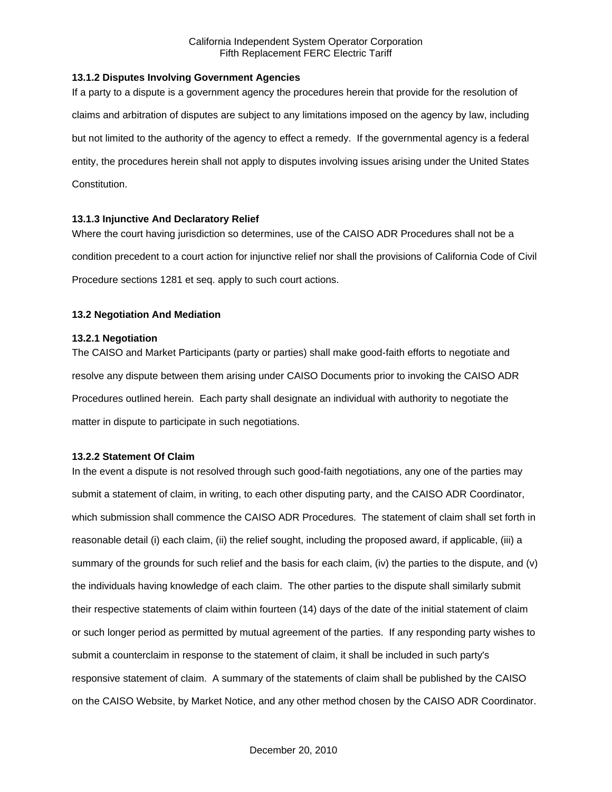## **13.1.2 Disputes Involving Government Agencies**

If a party to a dispute is a government agency the procedures herein that provide for the resolution of claims and arbitration of disputes are subject to any limitations imposed on the agency by law, including but not limited to the authority of the agency to effect a remedy. If the governmental agency is a federal entity, the procedures herein shall not apply to disputes involving issues arising under the United States Constitution.

## **13.1.3 Injunctive And Declaratory Relief**

Where the court having jurisdiction so determines, use of the CAISO ADR Procedures shall not be a condition precedent to a court action for injunctive relief nor shall the provisions of California Code of Civil Procedure sections 1281 et seq. apply to such court actions.

# **13.2 Negotiation And Mediation**

## **13.2.1 Negotiation**

The CAISO and Market Participants (party or parties) shall make good-faith efforts to negotiate and resolve any dispute between them arising under CAISO Documents prior to invoking the CAISO ADR Procedures outlined herein. Each party shall designate an individual with authority to negotiate the matter in dispute to participate in such negotiations.

#### **13.2.2 Statement Of Claim**

In the event a dispute is not resolved through such good-faith negotiations, any one of the parties may submit a statement of claim, in writing, to each other disputing party, and the CAISO ADR Coordinator, which submission shall commence the CAISO ADR Procedures. The statement of claim shall set forth in reasonable detail (i) each claim, (ii) the relief sought, including the proposed award, if applicable, (iii) a summary of the grounds for such relief and the basis for each claim, (iv) the parties to the dispute, and (v) the individuals having knowledge of each claim. The other parties to the dispute shall similarly submit their respective statements of claim within fourteen (14) days of the date of the initial statement of claim or such longer period as permitted by mutual agreement of the parties. If any responding party wishes to submit a counterclaim in response to the statement of claim, it shall be included in such party's responsive statement of claim. A summary of the statements of claim shall be published by the CAISO on the CAISO Website, by Market Notice, and any other method chosen by the CAISO ADR Coordinator.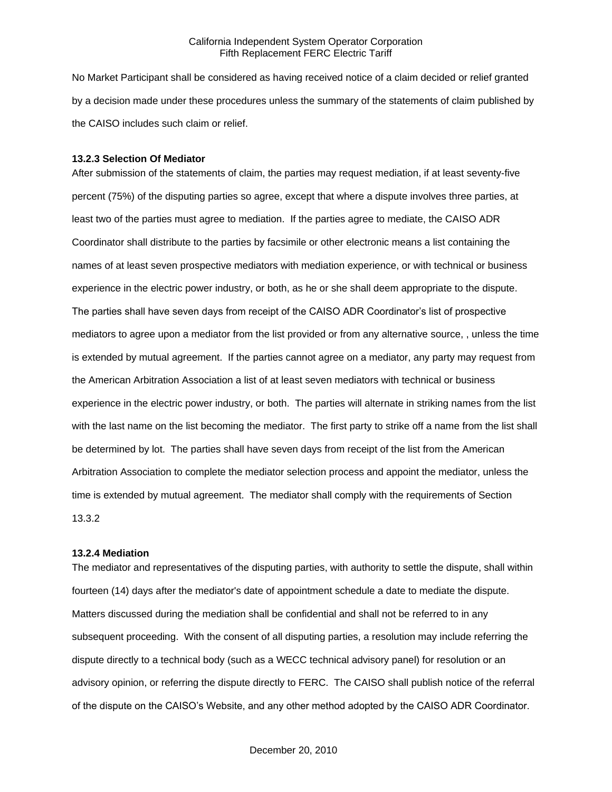No Market Participant shall be considered as having received notice of a claim decided or relief granted by a decision made under these procedures unless the summary of the statements of claim published by the CAISO includes such claim or relief.

#### **13.2.3 Selection Of Mediator**

After submission of the statements of claim, the parties may request mediation, if at least seventy-five percent (75%) of the disputing parties so agree, except that where a dispute involves three parties, at least two of the parties must agree to mediation. If the parties agree to mediate, the CAISO ADR Coordinator shall distribute to the parties by facsimile or other electronic means a list containing the names of at least seven prospective mediators with mediation experience, or with technical or business experience in the electric power industry, or both, as he or she shall deem appropriate to the dispute. The parties shall have seven days from receipt of the CAISO ADR Coordinator's list of prospective mediators to agree upon a mediator from the list provided or from any alternative source, , unless the time is extended by mutual agreement. If the parties cannot agree on a mediator, any party may request from the American Arbitration Association a list of at least seven mediators with technical or business experience in the electric power industry, or both. The parties will alternate in striking names from the list with the last name on the list becoming the mediator. The first party to strike off a name from the list shall be determined by lot. The parties shall have seven days from receipt of the list from the American Arbitration Association to complete the mediator selection process and appoint the mediator, unless the time is extended by mutual agreement. The mediator shall comply with the requirements of Section 13.3.2

#### **13.2.4 Mediation**

The mediator and representatives of the disputing parties, with authority to settle the dispute, shall within fourteen (14) days after the mediator's date of appointment schedule a date to mediate the dispute. Matters discussed during the mediation shall be confidential and shall not be referred to in any subsequent proceeding. With the consent of all disputing parties, a resolution may include referring the dispute directly to a technical body (such as a WECC technical advisory panel) for resolution or an advisory opinion, or referring the dispute directly to FERC. The CAISO shall publish notice of the referral of the dispute on the CAISO's Website, and any other method adopted by the CAISO ADR Coordinator.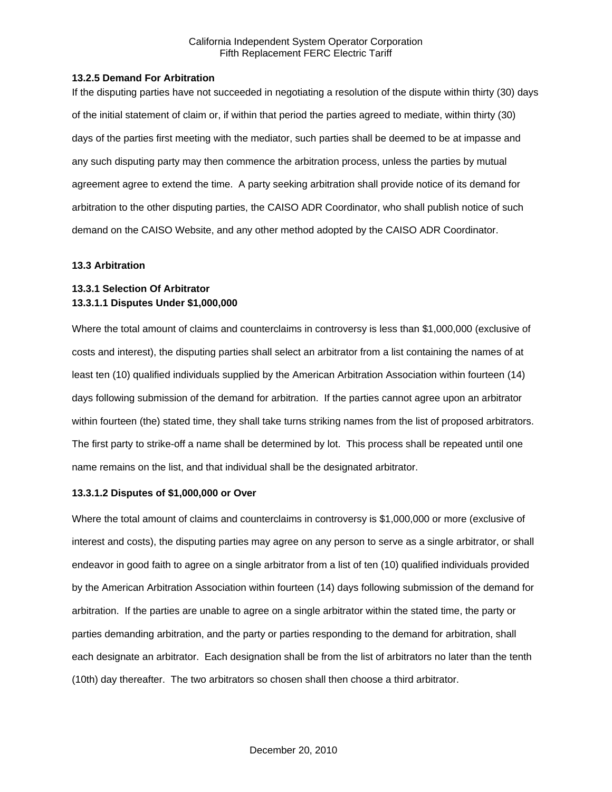#### **13.2.5 Demand For Arbitration**

If the disputing parties have not succeeded in negotiating a resolution of the dispute within thirty (30) days of the initial statement of claim or, if within that period the parties agreed to mediate, within thirty (30) days of the parties first meeting with the mediator, such parties shall be deemed to be at impasse and any such disputing party may then commence the arbitration process, unless the parties by mutual agreement agree to extend the time. A party seeking arbitration shall provide notice of its demand for arbitration to the other disputing parties, the CAISO ADR Coordinator, who shall publish notice of such demand on the CAISO Website, and any other method adopted by the CAISO ADR Coordinator.

# **13.3 Arbitration**

# **13.3.1 Selection Of Arbitrator 13.3.1.1 Disputes Under \$1,000,000**

Where the total amount of claims and counterclaims in controversy is less than \$1,000,000 (exclusive of costs and interest), the disputing parties shall select an arbitrator from a list containing the names of at least ten (10) qualified individuals supplied by the American Arbitration Association within fourteen (14) days following submission of the demand for arbitration. If the parties cannot agree upon an arbitrator within fourteen (the) stated time, they shall take turns striking names from the list of proposed arbitrators. The first party to strike-off a name shall be determined by lot. This process shall be repeated until one name remains on the list, and that individual shall be the designated arbitrator.

#### **13.3.1.2 Disputes of \$1,000,000 or Over**

Where the total amount of claims and counterclaims in controversy is \$1,000,000 or more (exclusive of interest and costs), the disputing parties may agree on any person to serve as a single arbitrator, or shall endeavor in good faith to agree on a single arbitrator from a list of ten (10) qualified individuals provided by the American Arbitration Association within fourteen (14) days following submission of the demand for arbitration. If the parties are unable to agree on a single arbitrator within the stated time, the party or parties demanding arbitration, and the party or parties responding to the demand for arbitration, shall each designate an arbitrator. Each designation shall be from the list of arbitrators no later than the tenth (10th) day thereafter. The two arbitrators so chosen shall then choose a third arbitrator.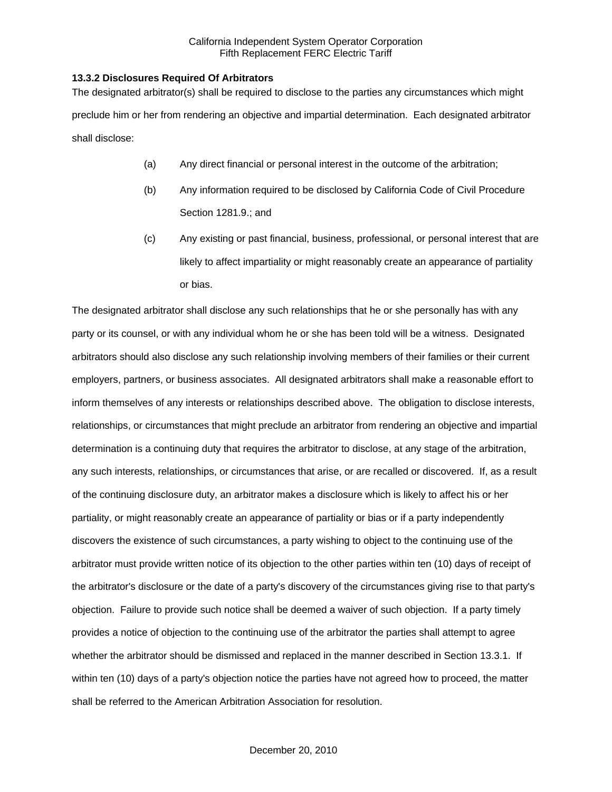#### **13.3.2 Disclosures Required Of Arbitrators**

The designated arbitrator(s) shall be required to disclose to the parties any circumstances which might preclude him or her from rendering an objective and impartial determination. Each designated arbitrator shall disclose:

- (a) Any direct financial or personal interest in the outcome of the arbitration;
- (b) Any information required to be disclosed by California Code of Civil Procedure Section 1281.9.; and
- (c) Any existing or past financial, business, professional, or personal interest that are likely to affect impartiality or might reasonably create an appearance of partiality or bias.

The designated arbitrator shall disclose any such relationships that he or she personally has with any party or its counsel, or with any individual whom he or she has been told will be a witness. Designated arbitrators should also disclose any such relationship involving members of their families or their current employers, partners, or business associates. All designated arbitrators shall make a reasonable effort to inform themselves of any interests or relationships described above. The obligation to disclose interests, relationships, or circumstances that might preclude an arbitrator from rendering an objective and impartial determination is a continuing duty that requires the arbitrator to disclose, at any stage of the arbitration, any such interests, relationships, or circumstances that arise, or are recalled or discovered. If, as a result of the continuing disclosure duty, an arbitrator makes a disclosure which is likely to affect his or her partiality, or might reasonably create an appearance of partiality or bias or if a party independently discovers the existence of such circumstances, a party wishing to object to the continuing use of the arbitrator must provide written notice of its objection to the other parties within ten (10) days of receipt of the arbitrator's disclosure or the date of a party's discovery of the circumstances giving rise to that party's objection. Failure to provide such notice shall be deemed a waiver of such objection. If a party timely provides a notice of objection to the continuing use of the arbitrator the parties shall attempt to agree whether the arbitrator should be dismissed and replaced in the manner described in Section 13.3.1. If within ten (10) days of a party's objection notice the parties have not agreed how to proceed, the matter shall be referred to the American Arbitration Association for resolution.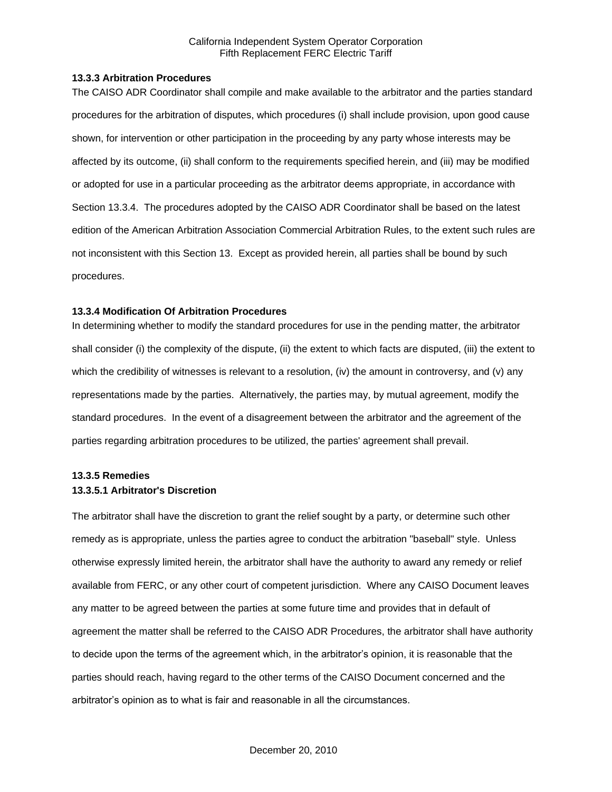#### **13.3.3 Arbitration Procedures**

The CAISO ADR Coordinator shall compile and make available to the arbitrator and the parties standard procedures for the arbitration of disputes, which procedures (i) shall include provision, upon good cause shown, for intervention or other participation in the proceeding by any party whose interests may be affected by its outcome, (ii) shall conform to the requirements specified herein, and (iii) may be modified or adopted for use in a particular proceeding as the arbitrator deems appropriate, in accordance with Section 13.3.4. The procedures adopted by the CAISO ADR Coordinator shall be based on the latest edition of the American Arbitration Association Commercial Arbitration Rules, to the extent such rules are not inconsistent with this Section 13. Except as provided herein, all parties shall be bound by such procedures.

## **13.3.4 Modification Of Arbitration Procedures**

In determining whether to modify the standard procedures for use in the pending matter, the arbitrator shall consider (i) the complexity of the dispute, (ii) the extent to which facts are disputed, (iii) the extent to which the credibility of witnesses is relevant to a resolution, (iv) the amount in controversy, and (v) any representations made by the parties. Alternatively, the parties may, by mutual agreement, modify the standard procedures. In the event of a disagreement between the arbitrator and the agreement of the parties regarding arbitration procedures to be utilized, the parties' agreement shall prevail.

# **13.3.5 Remedies 13.3.5.1 Arbitrator's Discretion**

The arbitrator shall have the discretion to grant the relief sought by a party, or determine such other remedy as is appropriate, unless the parties agree to conduct the arbitration "baseball" style. Unless otherwise expressly limited herein, the arbitrator shall have the authority to award any remedy or relief available from FERC, or any other court of competent jurisdiction. Where any CAISO Document leaves any matter to be agreed between the parties at some future time and provides that in default of agreement the matter shall be referred to the CAISO ADR Procedures, the arbitrator shall have authority to decide upon the terms of the agreement which, in the arbitrator's opinion, it is reasonable that the parties should reach, having regard to the other terms of the CAISO Document concerned and the arbitrator's opinion as to what is fair and reasonable in all the circumstances.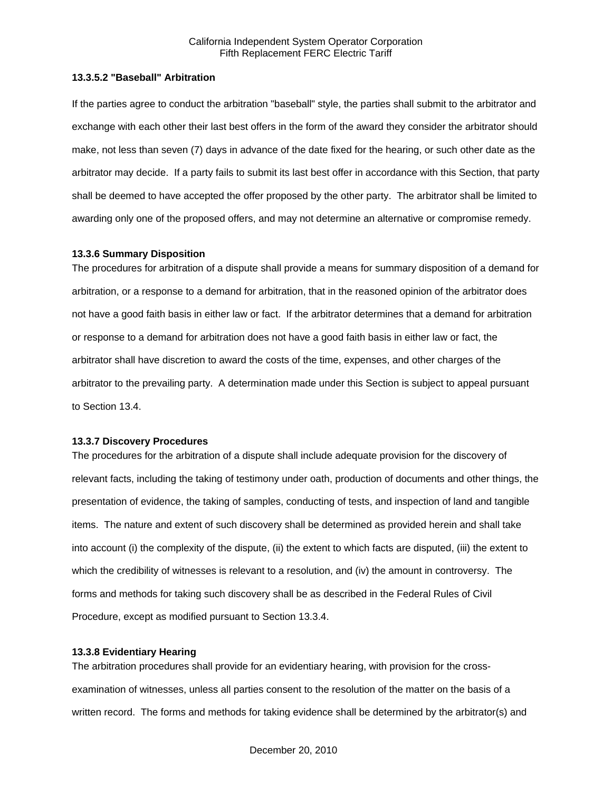## **13.3.5.2 "Baseball" Arbitration**

If the parties agree to conduct the arbitration "baseball" style, the parties shall submit to the arbitrator and exchange with each other their last best offers in the form of the award they consider the arbitrator should make, not less than seven (7) days in advance of the date fixed for the hearing, or such other date as the arbitrator may decide. If a party fails to submit its last best offer in accordance with this Section, that party shall be deemed to have accepted the offer proposed by the other party. The arbitrator shall be limited to awarding only one of the proposed offers, and may not determine an alternative or compromise remedy.

#### **13.3.6 Summary Disposition**

The procedures for arbitration of a dispute shall provide a means for summary disposition of a demand for arbitration, or a response to a demand for arbitration, that in the reasoned opinion of the arbitrator does not have a good faith basis in either law or fact. If the arbitrator determines that a demand for arbitration or response to a demand for arbitration does not have a good faith basis in either law or fact, the arbitrator shall have discretion to award the costs of the time, expenses, and other charges of the arbitrator to the prevailing party. A determination made under this Section is subject to appeal pursuant to Section 13.4.

#### **13.3.7 Discovery Procedures**

The procedures for the arbitration of a dispute shall include adequate provision for the discovery of relevant facts, including the taking of testimony under oath, production of documents and other things, the presentation of evidence, the taking of samples, conducting of tests, and inspection of land and tangible items. The nature and extent of such discovery shall be determined as provided herein and shall take into account (i) the complexity of the dispute, (ii) the extent to which facts are disputed, (iii) the extent to which the credibility of witnesses is relevant to a resolution, and (iv) the amount in controversy. The forms and methods for taking such discovery shall be as described in the Federal Rules of Civil Procedure, except as modified pursuant to Section 13.3.4.

#### **13.3.8 Evidentiary Hearing**

The arbitration procedures shall provide for an evidentiary hearing, with provision for the crossexamination of witnesses, unless all parties consent to the resolution of the matter on the basis of a written record. The forms and methods for taking evidence shall be determined by the arbitrator(s) and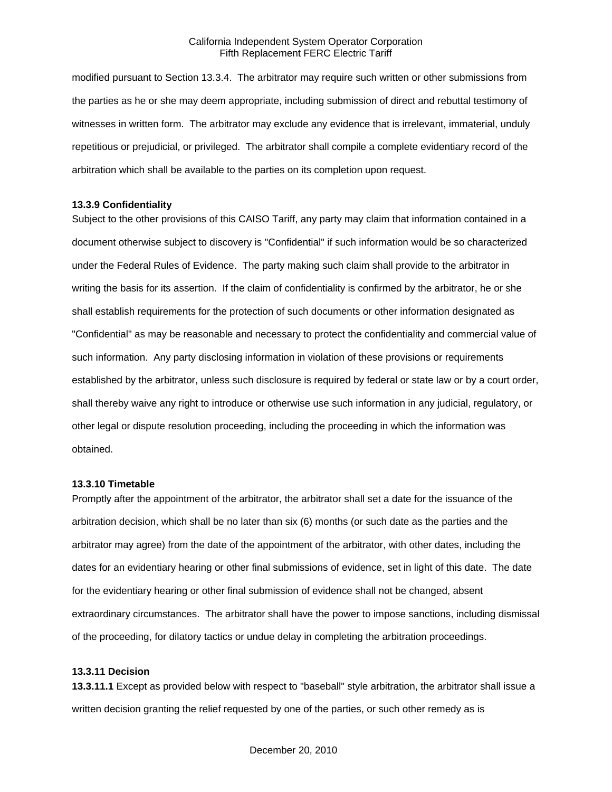modified pursuant to Section 13.3.4. The arbitrator may require such written or other submissions from the parties as he or she may deem appropriate, including submission of direct and rebuttal testimony of witnesses in written form. The arbitrator may exclude any evidence that is irrelevant, immaterial, unduly repetitious or prejudicial, or privileged. The arbitrator shall compile a complete evidentiary record of the arbitration which shall be available to the parties on its completion upon request.

#### **13.3.9 Confidentiality**

Subject to the other provisions of this CAISO Tariff, any party may claim that information contained in a document otherwise subject to discovery is "Confidential" if such information would be so characterized under the Federal Rules of Evidence. The party making such claim shall provide to the arbitrator in writing the basis for its assertion. If the claim of confidentiality is confirmed by the arbitrator, he or she shall establish requirements for the protection of such documents or other information designated as "Confidential" as may be reasonable and necessary to protect the confidentiality and commercial value of such information. Any party disclosing information in violation of these provisions or requirements established by the arbitrator, unless such disclosure is required by federal or state law or by a court order, shall thereby waive any right to introduce or otherwise use such information in any judicial, regulatory, or other legal or dispute resolution proceeding, including the proceeding in which the information was obtained.

#### **13.3.10 Timetable**

Promptly after the appointment of the arbitrator, the arbitrator shall set a date for the issuance of the arbitration decision, which shall be no later than six (6) months (or such date as the parties and the arbitrator may agree) from the date of the appointment of the arbitrator, with other dates, including the dates for an evidentiary hearing or other final submissions of evidence, set in light of this date. The date for the evidentiary hearing or other final submission of evidence shall not be changed, absent extraordinary circumstances. The arbitrator shall have the power to impose sanctions, including dismissal of the proceeding, for dilatory tactics or undue delay in completing the arbitration proceedings.

#### **13.3.11 Decision**

**13.3.11.1** Except as provided below with respect to "baseball" style arbitration, the arbitrator shall issue a written decision granting the relief requested by one of the parties, or such other remedy as is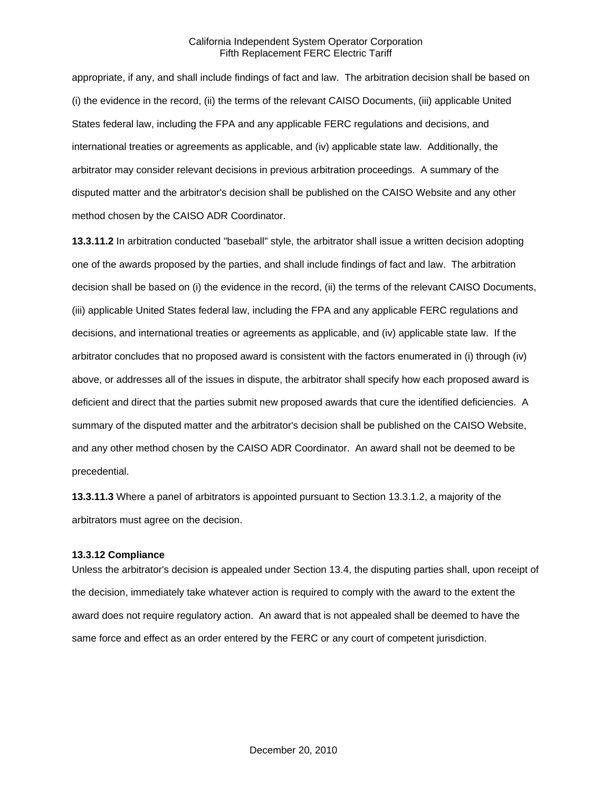appropriate, if any, and shall include findings of fact and law. The arbitration decision shall be based on (i) the evidence in the record, (ii) the terms of the relevant CAISO Documents, (iii) applicable United States federal law, including the FPA and any applicable FERC regulations and decisions, and international treaties or agreements as applicable, and (iv) applicable state law. Additionally, the arbitrator may consider relevant decisions in previous arbitration proceedings. A summary of the disputed matter and the arbitrator's decision shall be published on the CAISO Website and any other method chosen by the CAISO ADR Coordinator.

**13.3.11.2** In arbitration conducted "baseball" style, the arbitrator shall issue a written decision adopting one of the awards proposed by the parties, and shall include findings of fact and law. The arbitration decision shall be based on (i) the evidence in the record, (ii) the terms of the relevant CAISO Documents, (iii) applicable United States federal law, including the FPA and any applicable FERC regulations and decisions, and international treaties or agreements as applicable, and (iv) applicable state law. If the arbitrator concludes that no proposed award is consistent with the factors enumerated in (i) through (iv) above, or addresses all of the issues in dispute, the arbitrator shall specify how each proposed award is deficient and direct that the parties submit new proposed awards that cure the identified deficiencies. A summary of the disputed matter and the arbitrator's decision shall be published on the CAISO Website, and any other method chosen by the CAISO ADR Coordinator. An award shall not be deemed to be precedential.

**13.3.11.3** Where a panel of arbitrators is appointed pursuant to Section 13.3.1.2, a majority of the arbitrators must agree on the decision.

#### **13.3.12 Compliance**

Unless the arbitrator's decision is appealed under Section 13.4, the disputing parties shall, upon receipt of the decision, immediately take whatever action is required to comply with the award to the extent the award does not require regulatory action. An award that is not appealed shall be deemed to have the same force and effect as an order entered by the FERC or any court of competent jurisdiction.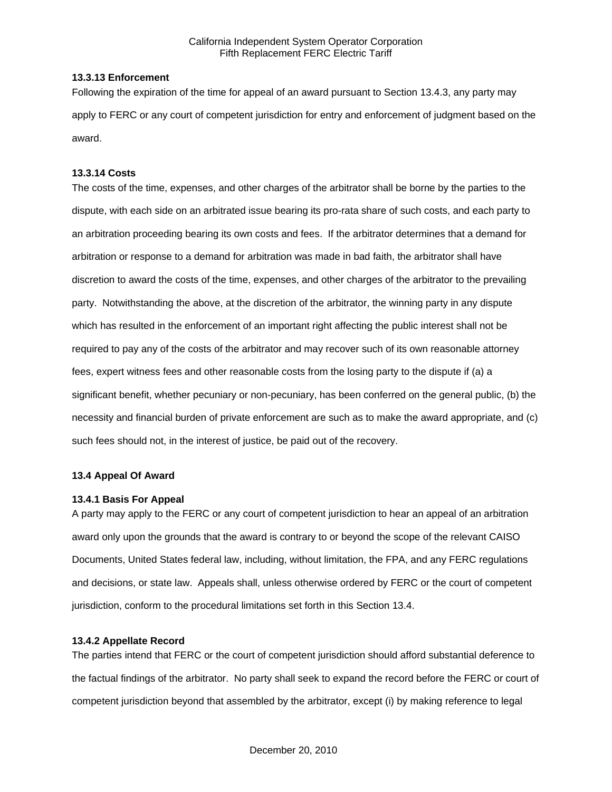## **13.3.13 Enforcement**

Following the expiration of the time for appeal of an award pursuant to Section 13.4.3, any party may apply to FERC or any court of competent jurisdiction for entry and enforcement of judgment based on the award.

## **13.3.14 Costs**

The costs of the time, expenses, and other charges of the arbitrator shall be borne by the parties to the dispute, with each side on an arbitrated issue bearing its pro-rata share of such costs, and each party to an arbitration proceeding bearing its own costs and fees. If the arbitrator determines that a demand for arbitration or response to a demand for arbitration was made in bad faith, the arbitrator shall have discretion to award the costs of the time, expenses, and other charges of the arbitrator to the prevailing party. Notwithstanding the above, at the discretion of the arbitrator, the winning party in any dispute which has resulted in the enforcement of an important right affecting the public interest shall not be required to pay any of the costs of the arbitrator and may recover such of its own reasonable attorney fees, expert witness fees and other reasonable costs from the losing party to the dispute if (a) a significant benefit, whether pecuniary or non-pecuniary, has been conferred on the general public, (b) the necessity and financial burden of private enforcement are such as to make the award appropriate, and (c) such fees should not, in the interest of justice, be paid out of the recovery.

# **13.4 Appeal Of Award**

#### **13.4.1 Basis For Appeal**

A party may apply to the FERC or any court of competent jurisdiction to hear an appeal of an arbitration award only upon the grounds that the award is contrary to or beyond the scope of the relevant CAISO Documents, United States federal law, including, without limitation, the FPA, and any FERC regulations and decisions, or state law. Appeals shall, unless otherwise ordered by FERC or the court of competent jurisdiction, conform to the procedural limitations set forth in this Section 13.4.

# **13.4.2 Appellate Record**

The parties intend that FERC or the court of competent jurisdiction should afford substantial deference to the factual findings of the arbitrator. No party shall seek to expand the record before the FERC or court of competent jurisdiction beyond that assembled by the arbitrator, except (i) by making reference to legal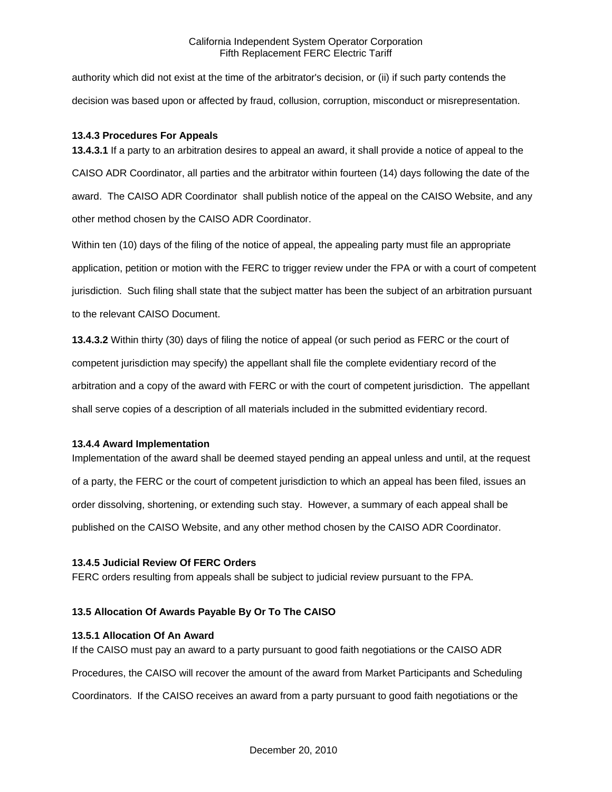authority which did not exist at the time of the arbitrator's decision, or (ii) if such party contends the decision was based upon or affected by fraud, collusion, corruption, misconduct or misrepresentation.

### **13.4.3 Procedures For Appeals**

**13.4.3.1** If a party to an arbitration desires to appeal an award, it shall provide a notice of appeal to the CAISO ADR Coordinator, all parties and the arbitrator within fourteen (14) days following the date of the award. The CAISO ADR Coordinator shall publish notice of the appeal on the CAISO Website, and any other method chosen by the CAISO ADR Coordinator.

Within ten (10) days of the filing of the notice of appeal, the appealing party must file an appropriate application, petition or motion with the FERC to trigger review under the FPA or with a court of competent jurisdiction. Such filing shall state that the subject matter has been the subject of an arbitration pursuant to the relevant CAISO Document.

**13.4.3.2** Within thirty (30) days of filing the notice of appeal (or such period as FERC or the court of competent jurisdiction may specify) the appellant shall file the complete evidentiary record of the arbitration and a copy of the award with FERC or with the court of competent jurisdiction. The appellant shall serve copies of a description of all materials included in the submitted evidentiary record.

#### **13.4.4 Award Implementation**

Implementation of the award shall be deemed stayed pending an appeal unless and until, at the request of a party, the FERC or the court of competent jurisdiction to which an appeal has been filed, issues an order dissolving, shortening, or extending such stay. However, a summary of each appeal shall be published on the CAISO Website, and any other method chosen by the CAISO ADR Coordinator.

#### **13.4.5 Judicial Review Of FERC Orders**

FERC orders resulting from appeals shall be subject to judicial review pursuant to the FPA.

## **13.5 Allocation Of Awards Payable By Or To The CAISO**

#### **13.5.1 Allocation Of An Award**

If the CAISO must pay an award to a party pursuant to good faith negotiations or the CAISO ADR Procedures, the CAISO will recover the amount of the award from Market Participants and Scheduling Coordinators. If the CAISO receives an award from a party pursuant to good faith negotiations or the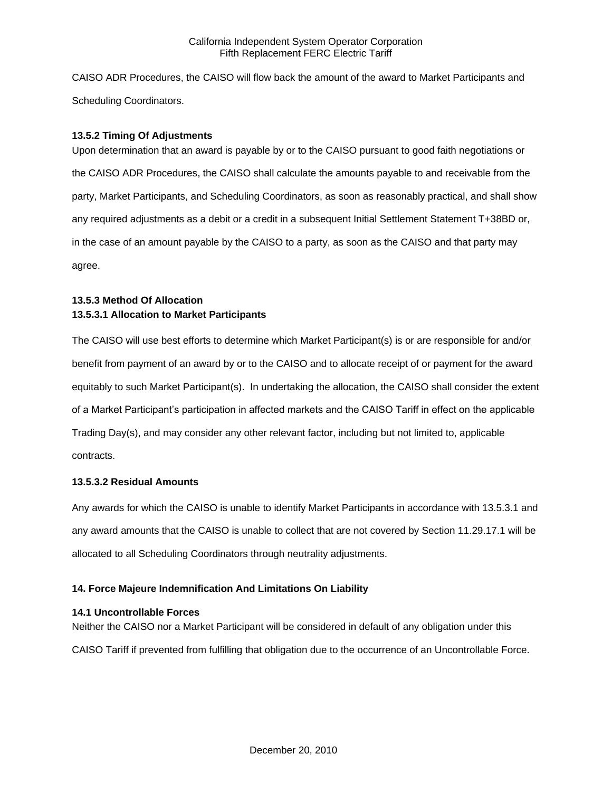CAISO ADR Procedures, the CAISO will flow back the amount of the award to Market Participants and Scheduling Coordinators.

## **13.5.2 Timing Of Adjustments**

Upon determination that an award is payable by or to the CAISO pursuant to good faith negotiations or the CAISO ADR Procedures, the CAISO shall calculate the amounts payable to and receivable from the party, Market Participants, and Scheduling Coordinators, as soon as reasonably practical, and shall show any required adjustments as a debit or a credit in a subsequent Initial Settlement Statement T+38BD or, in the case of an amount payable by the CAISO to a party, as soon as the CAISO and that party may agree.

# **13.5.3 Method Of Allocation 13.5.3.1 Allocation to Market Participants**

The CAISO will use best efforts to determine which Market Participant(s) is or are responsible for and/or benefit from payment of an award by or to the CAISO and to allocate receipt of or payment for the award equitably to such Market Participant(s). In undertaking the allocation, the CAISO shall consider the extent of a Market Participant's participation in affected markets and the CAISO Tariff in effect on the applicable Trading Day(s), and may consider any other relevant factor, including but not limited to, applicable contracts.

# **13.5.3.2 Residual Amounts**

Any awards for which the CAISO is unable to identify Market Participants in accordance with 13.5.3.1 and any award amounts that the CAISO is unable to collect that are not covered by Section 11.29.17.1 will be allocated to all Scheduling Coordinators through neutrality adjustments.

# **14. Force Majeure Indemnification And Limitations On Liability**

# **14.1 Uncontrollable Forces**

Neither the CAISO nor a Market Participant will be considered in default of any obligation under this CAISO Tariff if prevented from fulfilling that obligation due to the occurrence of an Uncontrollable Force.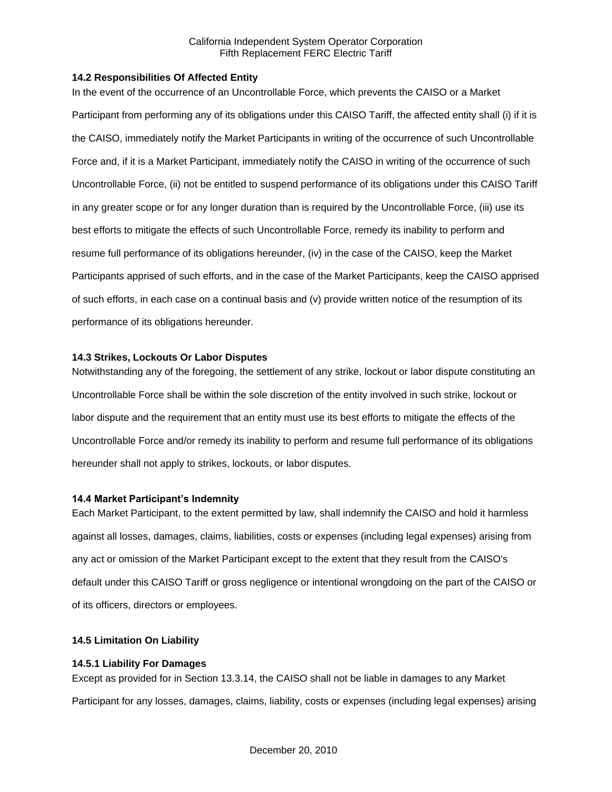### **14.2 Responsibilities Of Affected Entity**

In the event of the occurrence of an Uncontrollable Force, which prevents the CAISO or a Market Participant from performing any of its obligations under this CAISO Tariff, the affected entity shall (i) if it is the CAISO, immediately notify the Market Participants in writing of the occurrence of such Uncontrollable Force and, if it is a Market Participant, immediately notify the CAISO in writing of the occurrence of such Uncontrollable Force, (ii) not be entitled to suspend performance of its obligations under this CAISO Tariff in any greater scope or for any longer duration than is required by the Uncontrollable Force, (iii) use its best efforts to mitigate the effects of such Uncontrollable Force, remedy its inability to perform and resume full performance of its obligations hereunder, (iv) in the case of the CAISO, keep the Market Participants apprised of such efforts, and in the case of the Market Participants, keep the CAISO apprised of such efforts, in each case on a continual basis and (v) provide written notice of the resumption of its performance of its obligations hereunder.

### **14.3 Strikes, Lockouts Or Labor Disputes**

Notwithstanding any of the foregoing, the settlement of any strike, lockout or labor dispute constituting an Uncontrollable Force shall be within the sole discretion of the entity involved in such strike, lockout or labor dispute and the requirement that an entity must use its best efforts to mitigate the effects of the Uncontrollable Force and/or remedy its inability to perform and resume full performance of its obligations hereunder shall not apply to strikes, lockouts, or labor disputes.

#### **14.4 Market Participant's Indemnity**

Each Market Participant, to the extent permitted by law, shall indemnify the CAISO and hold it harmless against all losses, damages, claims, liabilities, costs or expenses (including legal expenses) arising from any act or omission of the Market Participant except to the extent that they result from the CAISO's default under this CAISO Tariff or gross negligence or intentional wrongdoing on the part of the CAISO or of its officers, directors or employees.

## **14.5 Limitation On Liability**

#### **14.5.1 Liability For Damages**

Except as provided for in Section 13.3.14, the CAISO shall not be liable in damages to any Market Participant for any losses, damages, claims, liability, costs or expenses (including legal expenses) arising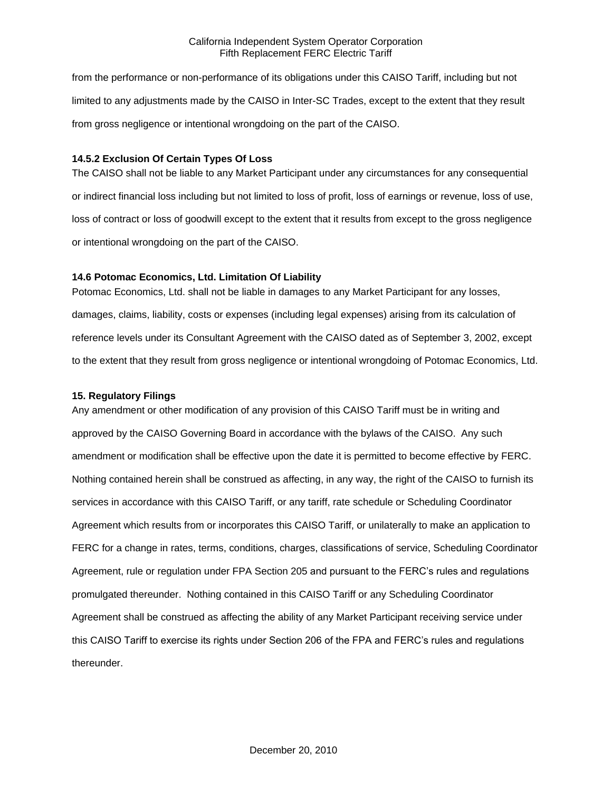from the performance or non-performance of its obligations under this CAISO Tariff, including but not limited to any adjustments made by the CAISO in Inter-SC Trades, except to the extent that they result from gross negligence or intentional wrongdoing on the part of the CAISO.

### **14.5.2 Exclusion Of Certain Types Of Loss**

The CAISO shall not be liable to any Market Participant under any circumstances for any consequential or indirect financial loss including but not limited to loss of profit, loss of earnings or revenue, loss of use, loss of contract or loss of goodwill except to the extent that it results from except to the gross negligence or intentional wrongdoing on the part of the CAISO.

### **14.6 Potomac Economics, Ltd. Limitation Of Liability**

Potomac Economics, Ltd. shall not be liable in damages to any Market Participant for any losses, damages, claims, liability, costs or expenses (including legal expenses) arising from its calculation of reference levels under its Consultant Agreement with the CAISO dated as of September 3, 2002, except to the extent that they result from gross negligence or intentional wrongdoing of Potomac Economics, Ltd.

### **15. Regulatory Filings**

Any amendment or other modification of any provision of this CAISO Tariff must be in writing and approved by the CAISO Governing Board in accordance with the bylaws of the CAISO. Any such amendment or modification shall be effective upon the date it is permitted to become effective by FERC. Nothing contained herein shall be construed as affecting, in any way, the right of the CAISO to furnish its services in accordance with this CAISO Tariff, or any tariff, rate schedule or Scheduling Coordinator Agreement which results from or incorporates this CAISO Tariff, or unilaterally to make an application to FERC for a change in rates, terms, conditions, charges, classifications of service, Scheduling Coordinator Agreement, rule or regulation under FPA Section 205 and pursuant to the FERC's rules and regulations promulgated thereunder. Nothing contained in this CAISO Tariff or any Scheduling Coordinator Agreement shall be construed as affecting the ability of any Market Participant receiving service under this CAISO Tariff to exercise its rights under Section 206 of the FPA and FERC's rules and regulations thereunder.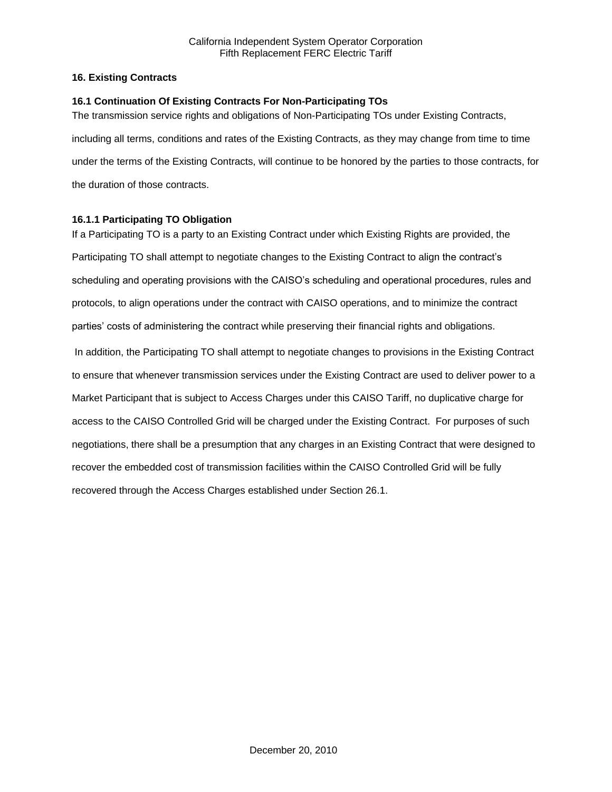## **16. Existing Contracts**

## **16.1 Continuation Of Existing Contracts For Non-Participating TOs**

The transmission service rights and obligations of Non-Participating TOs under Existing Contracts, including all terms, conditions and rates of the Existing Contracts, as they may change from time to time under the terms of the Existing Contracts, will continue to be honored by the parties to those contracts, for the duration of those contracts.

# **16.1.1 Participating TO Obligation**

If a Participating TO is a party to an Existing Contract under which Existing Rights are provided, the Participating TO shall attempt to negotiate changes to the Existing Contract to align the contract's scheduling and operating provisions with the CAISO's scheduling and operational procedures, rules and protocols, to align operations under the contract with CAISO operations, and to minimize the contract parties' costs of administering the contract while preserving their financial rights and obligations. In addition, the Participating TO shall attempt to negotiate changes to provisions in the Existing Contract to ensure that whenever transmission services under the Existing Contract are used to deliver power to a Market Participant that is subject to Access Charges under this CAISO Tariff, no duplicative charge for access to the CAISO Controlled Grid will be charged under the Existing Contract. For purposes of such negotiations, there shall be a presumption that any charges in an Existing Contract that were designed to recover the embedded cost of transmission facilities within the CAISO Controlled Grid will be fully recovered through the Access Charges established under Section 26.1.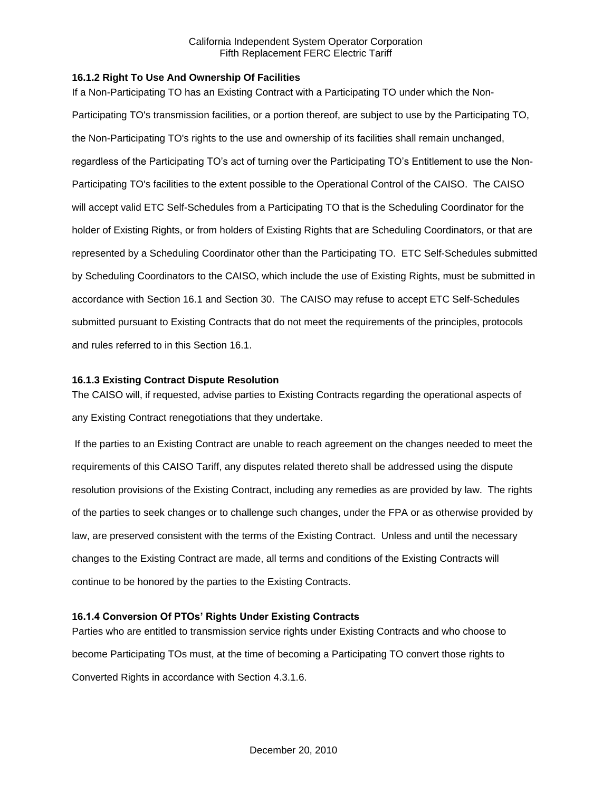### **16.1.2 Right To Use And Ownership Of Facilities**

If a Non-Participating TO has an Existing Contract with a Participating TO under which the Non-Participating TO's transmission facilities, or a portion thereof, are subject to use by the Participating TO, the Non-Participating TO's rights to the use and ownership of its facilities shall remain unchanged, regardless of the Participating TO's act of turning over the Participating TO's Entitlement to use the Non-Participating TO's facilities to the extent possible to the Operational Control of the CAISO. The CAISO will accept valid ETC Self-Schedules from a Participating TO that is the Scheduling Coordinator for the holder of Existing Rights, or from holders of Existing Rights that are Scheduling Coordinators, or that are represented by a Scheduling Coordinator other than the Participating TO. ETC Self-Schedules submitted by Scheduling Coordinators to the CAISO, which include the use of Existing Rights, must be submitted in accordance with Section 16.1 and Section 30. The CAISO may refuse to accept ETC Self-Schedules submitted pursuant to Existing Contracts that do not meet the requirements of the principles, protocols and rules referred to in this Section 16.1.

#### **16.1.3 Existing Contract Dispute Resolution**

The CAISO will, if requested, advise parties to Existing Contracts regarding the operational aspects of any Existing Contract renegotiations that they undertake.

If the parties to an Existing Contract are unable to reach agreement on the changes needed to meet the requirements of this CAISO Tariff, any disputes related thereto shall be addressed using the dispute resolution provisions of the Existing Contract, including any remedies as are provided by law. The rights of the parties to seek changes or to challenge such changes, under the FPA or as otherwise provided by law, are preserved consistent with the terms of the Existing Contract. Unless and until the necessary changes to the Existing Contract are made, all terms and conditions of the Existing Contracts will continue to be honored by the parties to the Existing Contracts.

## **16.1.4 Conversion Of PTOs' Rights Under Existing Contracts**

Parties who are entitled to transmission service rights under Existing Contracts and who choose to become Participating TOs must, at the time of becoming a Participating TO convert those rights to Converted Rights in accordance with Section 4.3.1.6.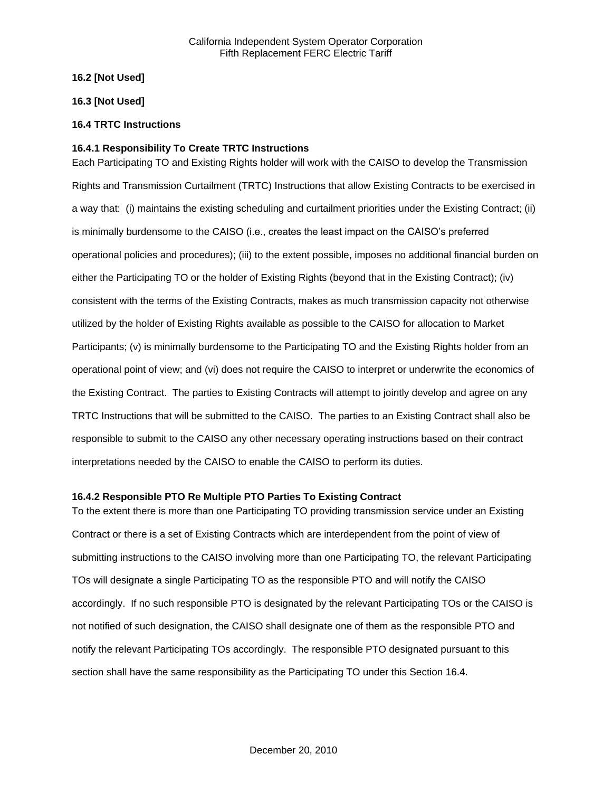### **16.2 [Not Used]**

### **16.3 [Not Used]**

### **16.4 TRTC Instructions**

### **16.4.1 Responsibility To Create TRTC Instructions**

Each Participating TO and Existing Rights holder will work with the CAISO to develop the Transmission Rights and Transmission Curtailment (TRTC) Instructions that allow Existing Contracts to be exercised in a way that: (i) maintains the existing scheduling and curtailment priorities under the Existing Contract; (ii) is minimally burdensome to the CAISO (i.e., creates the least impact on the CAISO's preferred operational policies and procedures); (iii) to the extent possible, imposes no additional financial burden on either the Participating TO or the holder of Existing Rights (beyond that in the Existing Contract); (iv) consistent with the terms of the Existing Contracts, makes as much transmission capacity not otherwise utilized by the holder of Existing Rights available as possible to the CAISO for allocation to Market Participants; (v) is minimally burdensome to the Participating TO and the Existing Rights holder from an operational point of view; and (vi) does not require the CAISO to interpret or underwrite the economics of the Existing Contract. The parties to Existing Contracts will attempt to jointly develop and agree on any TRTC Instructions that will be submitted to the CAISO. The parties to an Existing Contract shall also be responsible to submit to the CAISO any other necessary operating instructions based on their contract interpretations needed by the CAISO to enable the CAISO to perform its duties.

#### **16.4.2 Responsible PTO Re Multiple PTO Parties To Existing Contract**

To the extent there is more than one Participating TO providing transmission service under an Existing Contract or there is a set of Existing Contracts which are interdependent from the point of view of submitting instructions to the CAISO involving more than one Participating TO, the relevant Participating TOs will designate a single Participating TO as the responsible PTO and will notify the CAISO accordingly. If no such responsible PTO is designated by the relevant Participating TOs or the CAISO is not notified of such designation, the CAISO shall designate one of them as the responsible PTO and notify the relevant Participating TOs accordingly. The responsible PTO designated pursuant to this section shall have the same responsibility as the Participating TO under this Section 16.4.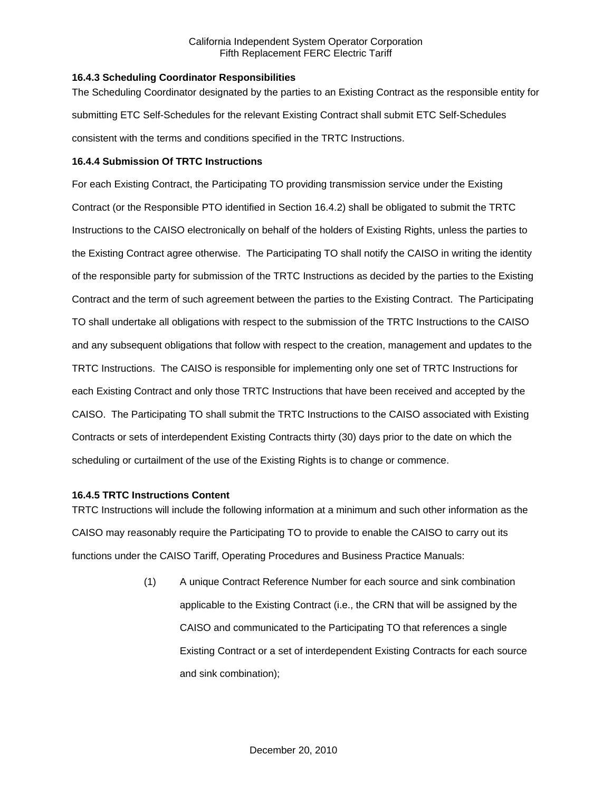### **16.4.3 Scheduling Coordinator Responsibilities**

The Scheduling Coordinator designated by the parties to an Existing Contract as the responsible entity for submitting ETC Self-Schedules for the relevant Existing Contract shall submit ETC Self-Schedules consistent with the terms and conditions specified in the TRTC Instructions.

### **16.4.4 Submission Of TRTC Instructions**

For each Existing Contract, the Participating TO providing transmission service under the Existing Contract (or the Responsible PTO identified in Section 16.4.2) shall be obligated to submit the TRTC Instructions to the CAISO electronically on behalf of the holders of Existing Rights, unless the parties to the Existing Contract agree otherwise. The Participating TO shall notify the CAISO in writing the identity of the responsible party for submission of the TRTC Instructions as decided by the parties to the Existing Contract and the term of such agreement between the parties to the Existing Contract. The Participating TO shall undertake all obligations with respect to the submission of the TRTC Instructions to the CAISO and any subsequent obligations that follow with respect to the creation, management and updates to the TRTC Instructions. The CAISO is responsible for implementing only one set of TRTC Instructions for each Existing Contract and only those TRTC Instructions that have been received and accepted by the CAISO. The Participating TO shall submit the TRTC Instructions to the CAISO associated with Existing Contracts or sets of interdependent Existing Contracts thirty (30) days prior to the date on which the scheduling or curtailment of the use of the Existing Rights is to change or commence.

### **16.4.5 TRTC Instructions Content**

TRTC Instructions will include the following information at a minimum and such other information as the CAISO may reasonably require the Participating TO to provide to enable the CAISO to carry out its functions under the CAISO Tariff, Operating Procedures and Business Practice Manuals:

> (1) A unique Contract Reference Number for each source and sink combination applicable to the Existing Contract (i.e., the CRN that will be assigned by the CAISO and communicated to the Participating TO that references a single Existing Contract or a set of interdependent Existing Contracts for each source and sink combination);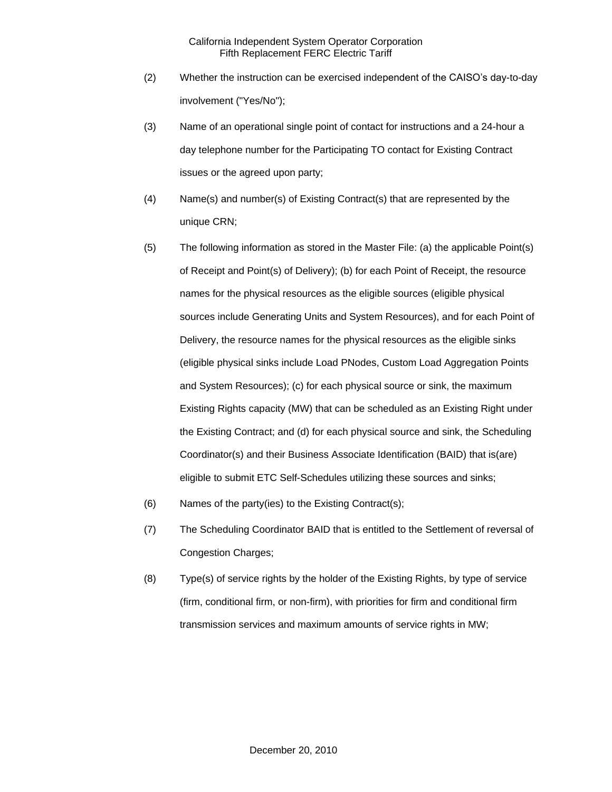- (2) Whether the instruction can be exercised independent of the CAISO's day-to-day involvement ("Yes/No");
- (3) Name of an operational single point of contact for instructions and a 24-hour a day telephone number for the Participating TO contact for Existing Contract issues or the agreed upon party;
- (4) Name(s) and number(s) of Existing Contract(s) that are represented by the unique CRN;
- (5) The following information as stored in the Master File: (a) the applicable Point(s) of Receipt and Point(s) of Delivery); (b) for each Point of Receipt, the resource names for the physical resources as the eligible sources (eligible physical sources include Generating Units and System Resources), and for each Point of Delivery, the resource names for the physical resources as the eligible sinks (eligible physical sinks include Load PNodes, Custom Load Aggregation Points and System Resources); (c) for each physical source or sink, the maximum Existing Rights capacity (MW) that can be scheduled as an Existing Right under the Existing Contract; and (d) for each physical source and sink, the Scheduling Coordinator(s) and their Business Associate Identification (BAID) that is(are) eligible to submit ETC Self-Schedules utilizing these sources and sinks;
- (6) Names of the party(ies) to the Existing Contract(s);
- (7) The Scheduling Coordinator BAID that is entitled to the Settlement of reversal of Congestion Charges;
- (8) Type(s) of service rights by the holder of the Existing Rights, by type of service (firm, conditional firm, or non-firm), with priorities for firm and conditional firm transmission services and maximum amounts of service rights in MW;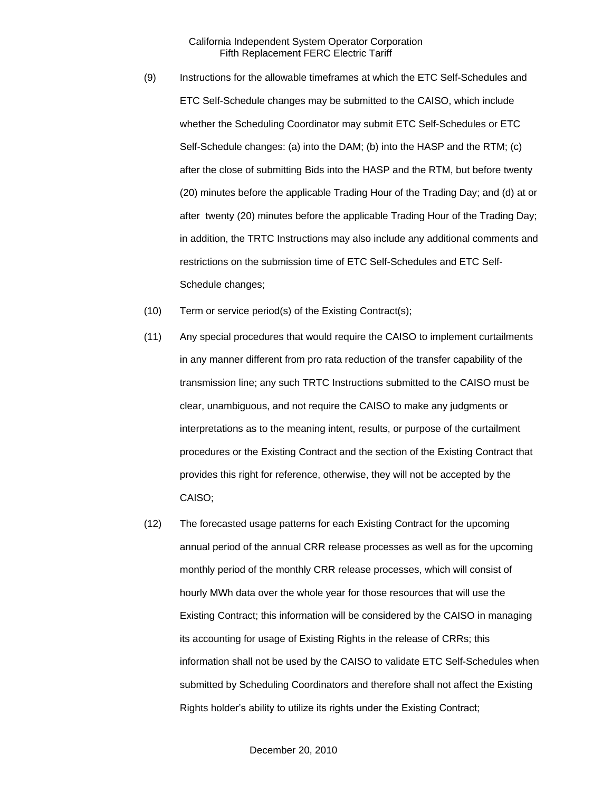- (9) Instructions for the allowable timeframes at which the ETC Self-Schedules and ETC Self-Schedule changes may be submitted to the CAISO, which include whether the Scheduling Coordinator may submit ETC Self-Schedules or ETC Self-Schedule changes: (a) into the DAM; (b) into the HASP and the RTM; (c) after the close of submitting Bids into the HASP and the RTM, but before twenty (20) minutes before the applicable Trading Hour of the Trading Day; and (d) at or after twenty (20) minutes before the applicable Trading Hour of the Trading Day; in addition, the TRTC Instructions may also include any additional comments and restrictions on the submission time of ETC Self-Schedules and ETC Self-Schedule changes;
- (10) Term or service period(s) of the Existing Contract(s);
- (11) Any special procedures that would require the CAISO to implement curtailments in any manner different from pro rata reduction of the transfer capability of the transmission line; any such TRTC Instructions submitted to the CAISO must be clear, unambiguous, and not require the CAISO to make any judgments or interpretations as to the meaning intent, results, or purpose of the curtailment procedures or the Existing Contract and the section of the Existing Contract that provides this right for reference, otherwise, they will not be accepted by the CAISO;
- (12) The forecasted usage patterns for each Existing Contract for the upcoming annual period of the annual CRR release processes as well as for the upcoming monthly period of the monthly CRR release processes, which will consist of hourly MWh data over the whole year for those resources that will use the Existing Contract; this information will be considered by the CAISO in managing its accounting for usage of Existing Rights in the release of CRRs; this information shall not be used by the CAISO to validate ETC Self-Schedules when submitted by Scheduling Coordinators and therefore shall not affect the Existing Rights holder's ability to utilize its rights under the Existing Contract;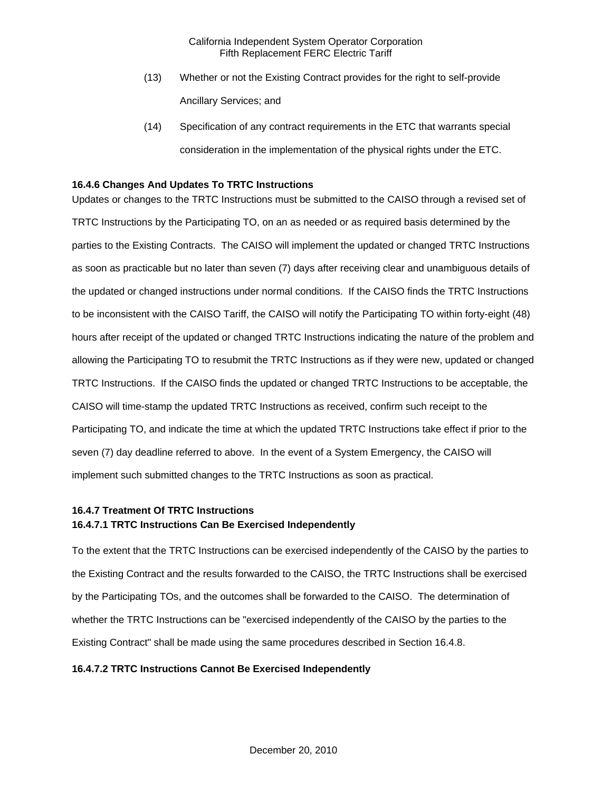- (13) Whether or not the Existing Contract provides for the right to self-provide Ancillary Services; and
- (14) Specification of any contract requirements in the ETC that warrants special consideration in the implementation of the physical rights under the ETC.

## **16.4.6 Changes And Updates To TRTC Instructions**

Updates or changes to the TRTC Instructions must be submitted to the CAISO through a revised set of TRTC Instructions by the Participating TO, on an as needed or as required basis determined by the parties to the Existing Contracts. The CAISO will implement the updated or changed TRTC Instructions as soon as practicable but no later than seven (7) days after receiving clear and unambiguous details of the updated or changed instructions under normal conditions. If the CAISO finds the TRTC Instructions to be inconsistent with the CAISO Tariff, the CAISO will notify the Participating TO within forty-eight (48) hours after receipt of the updated or changed TRTC Instructions indicating the nature of the problem and allowing the Participating TO to resubmit the TRTC Instructions as if they were new, updated or changed TRTC Instructions. If the CAISO finds the updated or changed TRTC Instructions to be acceptable, the CAISO will time-stamp the updated TRTC Instructions as received, confirm such receipt to the Participating TO, and indicate the time at which the updated TRTC Instructions take effect if prior to the seven (7) day deadline referred to above. In the event of a System Emergency, the CAISO will implement such submitted changes to the TRTC Instructions as soon as practical.

## **16.4.7 Treatment Of TRTC Instructions 16.4.7.1 TRTC Instructions Can Be Exercised Independently**

To the extent that the TRTC Instructions can be exercised independently of the CAISO by the parties to the Existing Contract and the results forwarded to the CAISO, the TRTC Instructions shall be exercised by the Participating TOs, and the outcomes shall be forwarded to the CAISO. The determination of whether the TRTC Instructions can be "exercised independently of the CAISO by the parties to the Existing Contract" shall be made using the same procedures described in Section 16.4.8.

#### **16.4.7.2 TRTC Instructions Cannot Be Exercised Independently**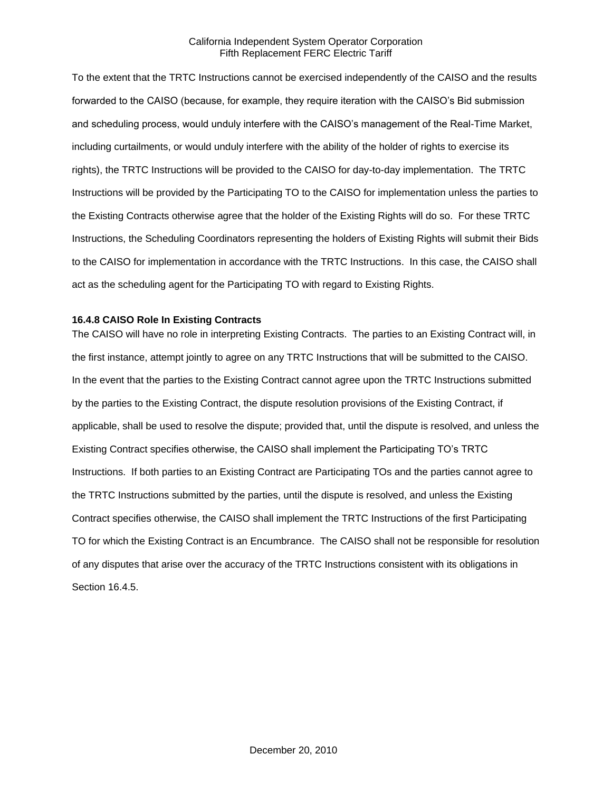To the extent that the TRTC Instructions cannot be exercised independently of the CAISO and the results forwarded to the CAISO (because, for example, they require iteration with the CAISO's Bid submission and scheduling process, would unduly interfere with the CAISO's management of the Real-Time Market, including curtailments, or would unduly interfere with the ability of the holder of rights to exercise its rights), the TRTC Instructions will be provided to the CAISO for day-to-day implementation. The TRTC Instructions will be provided by the Participating TO to the CAISO for implementation unless the parties to the Existing Contracts otherwise agree that the holder of the Existing Rights will do so. For these TRTC Instructions, the Scheduling Coordinators representing the holders of Existing Rights will submit their Bids to the CAISO for implementation in accordance with the TRTC Instructions. In this case, the CAISO shall act as the scheduling agent for the Participating TO with regard to Existing Rights.

### **16.4.8 CAISO Role In Existing Contracts**

The CAISO will have no role in interpreting Existing Contracts. The parties to an Existing Contract will, in the first instance, attempt jointly to agree on any TRTC Instructions that will be submitted to the CAISO. In the event that the parties to the Existing Contract cannot agree upon the TRTC Instructions submitted by the parties to the Existing Contract, the dispute resolution provisions of the Existing Contract, if applicable, shall be used to resolve the dispute; provided that, until the dispute is resolved, and unless the Existing Contract specifies otherwise, the CAISO shall implement the Participating TO's TRTC Instructions. If both parties to an Existing Contract are Participating TOs and the parties cannot agree to the TRTC Instructions submitted by the parties, until the dispute is resolved, and unless the Existing Contract specifies otherwise, the CAISO shall implement the TRTC Instructions of the first Participating TO for which the Existing Contract is an Encumbrance. The CAISO shall not be responsible for resolution of any disputes that arise over the accuracy of the TRTC Instructions consistent with its obligations in Section 16.4.5.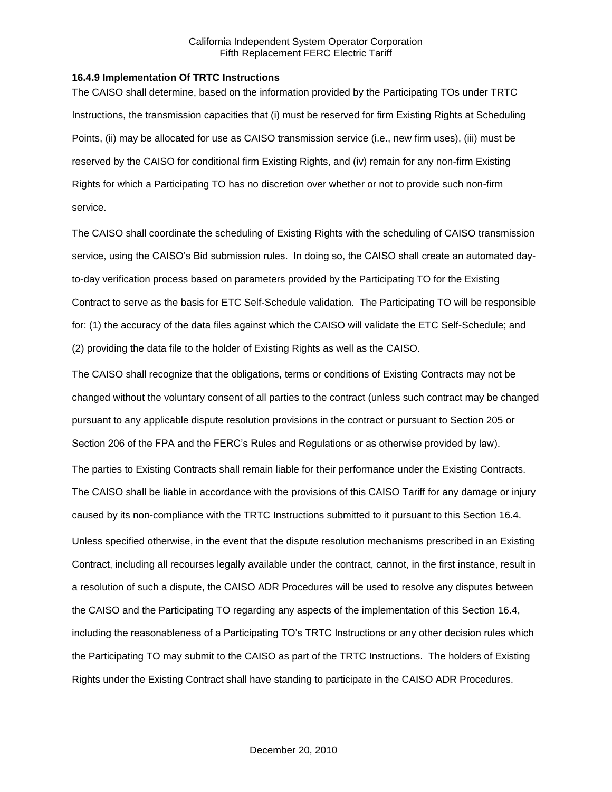### **16.4.9 Implementation Of TRTC Instructions**

The CAISO shall determine, based on the information provided by the Participating TOs under TRTC Instructions, the transmission capacities that (i) must be reserved for firm Existing Rights at Scheduling Points, (ii) may be allocated for use as CAISO transmission service (i.e., new firm uses), (iii) must be reserved by the CAISO for conditional firm Existing Rights, and (iv) remain for any non-firm Existing Rights for which a Participating TO has no discretion over whether or not to provide such non-firm service.

The CAISO shall coordinate the scheduling of Existing Rights with the scheduling of CAISO transmission service, using the CAISO's Bid submission rules. In doing so, the CAISO shall create an automated dayto-day verification process based on parameters provided by the Participating TO for the Existing Contract to serve as the basis for ETC Self-Schedule validation. The Participating TO will be responsible for: (1) the accuracy of the data files against which the CAISO will validate the ETC Self-Schedule; and (2) providing the data file to the holder of Existing Rights as well as the CAISO.

The CAISO shall recognize that the obligations, terms or conditions of Existing Contracts may not be changed without the voluntary consent of all parties to the contract (unless such contract may be changed pursuant to any applicable dispute resolution provisions in the contract or pursuant to Section 205 or Section 206 of the FPA and the FERC's Rules and Regulations or as otherwise provided by law). The parties to Existing Contracts shall remain liable for their performance under the Existing Contracts. The CAISO shall be liable in accordance with the provisions of this CAISO Tariff for any damage or injury caused by its non-compliance with the TRTC Instructions submitted to it pursuant to this Section 16.4. Unless specified otherwise, in the event that the dispute resolution mechanisms prescribed in an Existing Contract, including all recourses legally available under the contract, cannot, in the first instance, result in a resolution of such a dispute, the CAISO ADR Procedures will be used to resolve any disputes between the CAISO and the Participating TO regarding any aspects of the implementation of this Section 16.4, including the reasonableness of a Participating TO's TRTC Instructions or any other decision rules which the Participating TO may submit to the CAISO as part of the TRTC Instructions. The holders of Existing Rights under the Existing Contract shall have standing to participate in the CAISO ADR Procedures.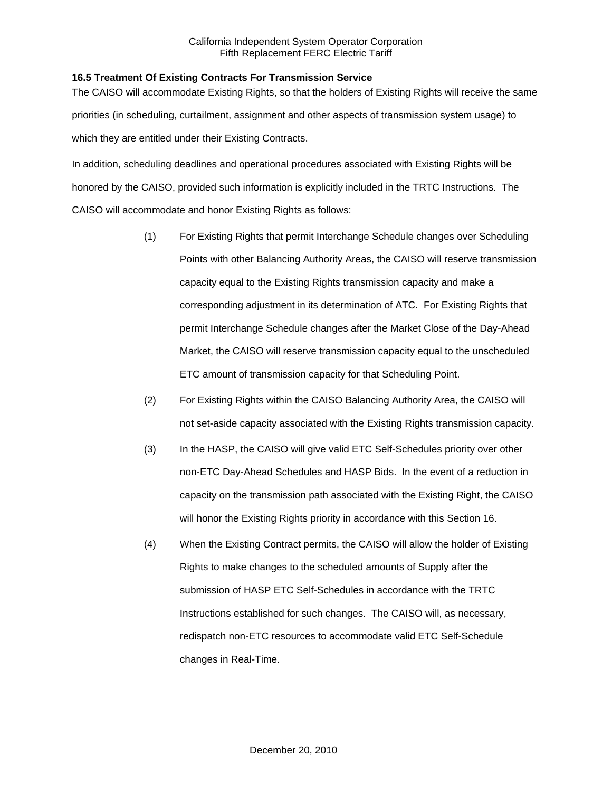### **16.5 Treatment Of Existing Contracts For Transmission Service**

The CAISO will accommodate Existing Rights, so that the holders of Existing Rights will receive the same priorities (in scheduling, curtailment, assignment and other aspects of transmission system usage) to which they are entitled under their Existing Contracts.

In addition, scheduling deadlines and operational procedures associated with Existing Rights will be honored by the CAISO, provided such information is explicitly included in the TRTC Instructions. The CAISO will accommodate and honor Existing Rights as follows:

- (1) For Existing Rights that permit Interchange Schedule changes over Scheduling Points with other Balancing Authority Areas, the CAISO will reserve transmission capacity equal to the Existing Rights transmission capacity and make a corresponding adjustment in its determination of ATC. For Existing Rights that permit Interchange Schedule changes after the Market Close of the Day-Ahead Market, the CAISO will reserve transmission capacity equal to the unscheduled ETC amount of transmission capacity for that Scheduling Point.
- (2) For Existing Rights within the CAISO Balancing Authority Area, the CAISO will not set-aside capacity associated with the Existing Rights transmission capacity.
- (3) In the HASP, the CAISO will give valid ETC Self-Schedules priority over other non-ETC Day-Ahead Schedules and HASP Bids. In the event of a reduction in capacity on the transmission path associated with the Existing Right, the CAISO will honor the Existing Rights priority in accordance with this Section 16.
- (4) When the Existing Contract permits, the CAISO will allow the holder of Existing Rights to make changes to the scheduled amounts of Supply after the submission of HASP ETC Self-Schedules in accordance with the TRTC Instructions established for such changes. The CAISO will, as necessary, redispatch non-ETC resources to accommodate valid ETC Self-Schedule changes in Real-Time.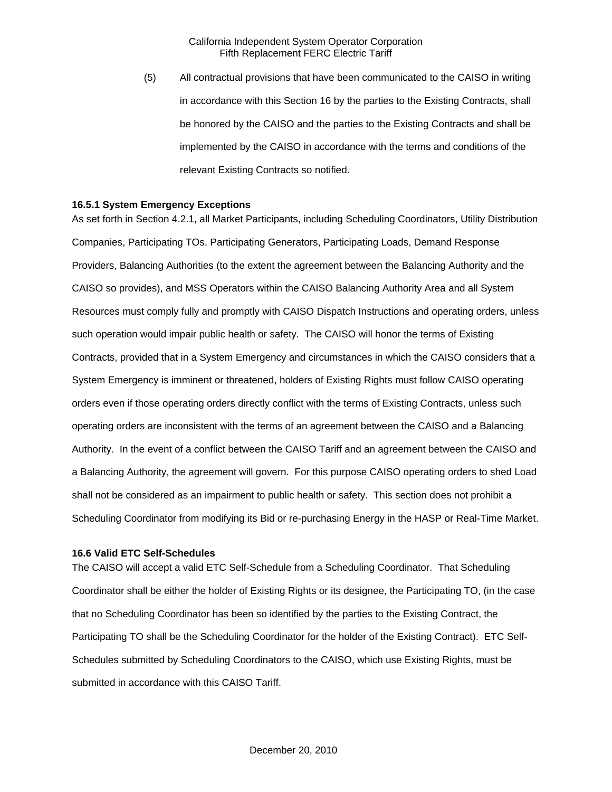(5) All contractual provisions that have been communicated to the CAISO in writing in accordance with this Section 16 by the parties to the Existing Contracts, shall be honored by the CAISO and the parties to the Existing Contracts and shall be implemented by the CAISO in accordance with the terms and conditions of the relevant Existing Contracts so notified.

#### **16.5.1 System Emergency Exceptions**

As set forth in Section 4.2.1, all Market Participants, including Scheduling Coordinators, Utility Distribution Companies, Participating TOs, Participating Generators, Participating Loads, Demand Response Providers, Balancing Authorities (to the extent the agreement between the Balancing Authority and the CAISO so provides), and MSS Operators within the CAISO Balancing Authority Area and all System Resources must comply fully and promptly with CAISO Dispatch Instructions and operating orders, unless such operation would impair public health or safety. The CAISO will honor the terms of Existing Contracts, provided that in a System Emergency and circumstances in which the CAISO considers that a System Emergency is imminent or threatened, holders of Existing Rights must follow CAISO operating orders even if those operating orders directly conflict with the terms of Existing Contracts, unless such operating orders are inconsistent with the terms of an agreement between the CAISO and a Balancing Authority. In the event of a conflict between the CAISO Tariff and an agreement between the CAISO and a Balancing Authority, the agreement will govern. For this purpose CAISO operating orders to shed Load shall not be considered as an impairment to public health or safety. This section does not prohibit a Scheduling Coordinator from modifying its Bid or re-purchasing Energy in the HASP or Real-Time Market.

#### **16.6 Valid ETC Self-Schedules**

The CAISO will accept a valid ETC Self-Schedule from a Scheduling Coordinator. That Scheduling Coordinator shall be either the holder of Existing Rights or its designee, the Participating TO, (in the case that no Scheduling Coordinator has been so identified by the parties to the Existing Contract, the Participating TO shall be the Scheduling Coordinator for the holder of the Existing Contract). ETC Self-Schedules submitted by Scheduling Coordinators to the CAISO, which use Existing Rights, must be submitted in accordance with this CAISO Tariff.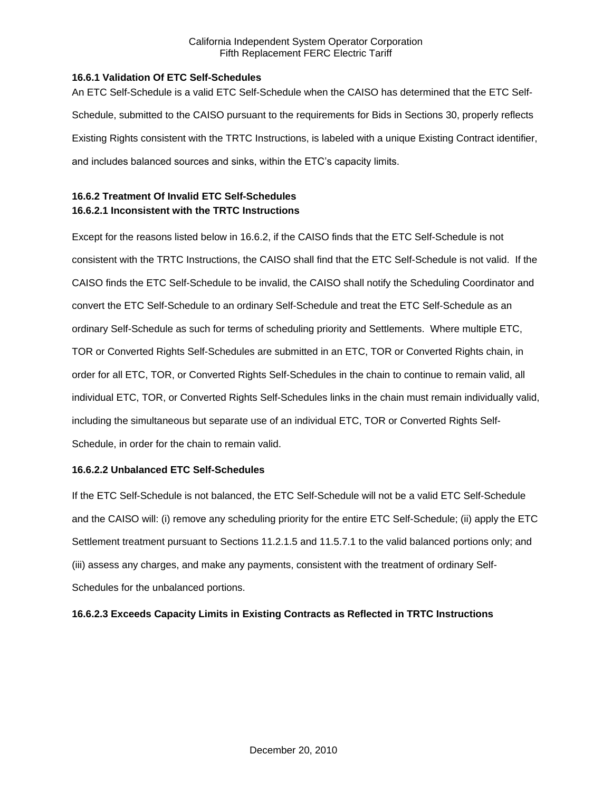### **16.6.1 Validation Of ETC Self-Schedules**

An ETC Self-Schedule is a valid ETC Self-Schedule when the CAISO has determined that the ETC Self-Schedule, submitted to the CAISO pursuant to the requirements for Bids in Sections 30, properly reflects Existing Rights consistent with the TRTC Instructions, is labeled with a unique Existing Contract identifier, and includes balanced sources and sinks, within the ETC's capacity limits.

# **16.6.2 Treatment Of Invalid ETC Self-Schedules 16.6.2.1 Inconsistent with the TRTC Instructions**

Except for the reasons listed below in 16.6.2, if the CAISO finds that the ETC Self-Schedule is not consistent with the TRTC Instructions, the CAISO shall find that the ETC Self-Schedule is not valid. If the CAISO finds the ETC Self-Schedule to be invalid, the CAISO shall notify the Scheduling Coordinator and convert the ETC Self-Schedule to an ordinary Self-Schedule and treat the ETC Self-Schedule as an ordinary Self-Schedule as such for terms of scheduling priority and Settlements. Where multiple ETC, TOR or Converted Rights Self-Schedules are submitted in an ETC, TOR or Converted Rights chain, in order for all ETC, TOR, or Converted Rights Self-Schedules in the chain to continue to remain valid, all individual ETC, TOR, or Converted Rights Self-Schedules links in the chain must remain individually valid, including the simultaneous but separate use of an individual ETC, TOR or Converted Rights Self-Schedule, in order for the chain to remain valid.

## **16.6.2.2 Unbalanced ETC Self-Schedules**

If the ETC Self-Schedule is not balanced, the ETC Self-Schedule will not be a valid ETC Self-Schedule and the CAISO will: (i) remove any scheduling priority for the entire ETC Self-Schedule; (ii) apply the ETC Settlement treatment pursuant to Sections 11.2.1.5 and 11.5.7.1 to the valid balanced portions only; and (iii) assess any charges, and make any payments, consistent with the treatment of ordinary Self-Schedules for the unbalanced portions.

## **16.6.2.3 Exceeds Capacity Limits in Existing Contracts as Reflected in TRTC Instructions**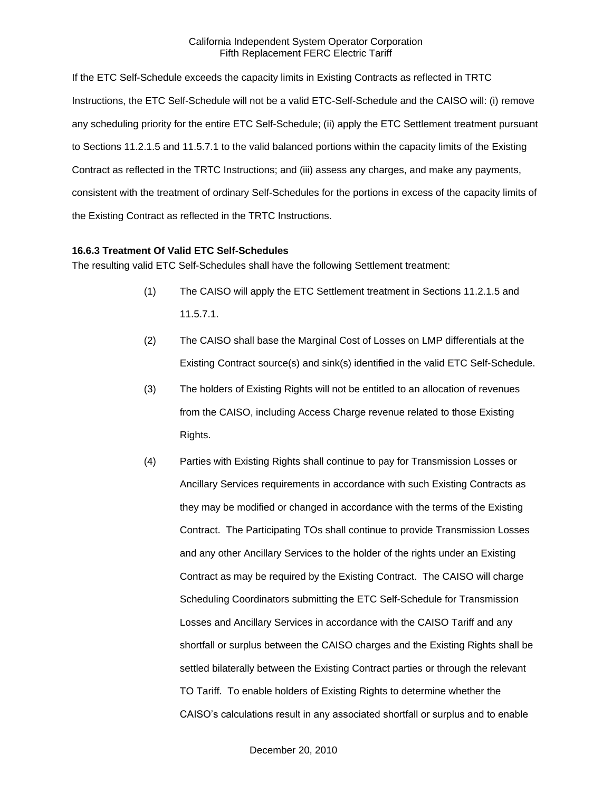If the ETC Self-Schedule exceeds the capacity limits in Existing Contracts as reflected in TRTC Instructions, the ETC Self-Schedule will not be a valid ETC-Self-Schedule and the CAISO will: (i) remove any scheduling priority for the entire ETC Self-Schedule; (ii) apply the ETC Settlement treatment pursuant to Sections 11.2.1.5 and 11.5.7.1 to the valid balanced portions within the capacity limits of the Existing Contract as reflected in the TRTC Instructions; and (iii) assess any charges, and make any payments, consistent with the treatment of ordinary Self-Schedules for the portions in excess of the capacity limits of the Existing Contract as reflected in the TRTC Instructions.

### **16.6.3 Treatment Of Valid ETC Self-Schedules**

The resulting valid ETC Self-Schedules shall have the following Settlement treatment:

- (1) The CAISO will apply the ETC Settlement treatment in Sections 11.2.1.5 and 11.5.7.1.
- (2) The CAISO shall base the Marginal Cost of Losses on LMP differentials at the Existing Contract source(s) and sink(s) identified in the valid ETC Self-Schedule.
- (3) The holders of Existing Rights will not be entitled to an allocation of revenues from the CAISO, including Access Charge revenue related to those Existing Rights.
- (4) Parties with Existing Rights shall continue to pay for Transmission Losses or Ancillary Services requirements in accordance with such Existing Contracts as they may be modified or changed in accordance with the terms of the Existing Contract. The Participating TOs shall continue to provide Transmission Losses and any other Ancillary Services to the holder of the rights under an Existing Contract as may be required by the Existing Contract. The CAISO will charge Scheduling Coordinators submitting the ETC Self-Schedule for Transmission Losses and Ancillary Services in accordance with the CAISO Tariff and any shortfall or surplus between the CAISO charges and the Existing Rights shall be settled bilaterally between the Existing Contract parties or through the relevant TO Tariff. To enable holders of Existing Rights to determine whether the CAISO's calculations result in any associated shortfall or surplus and to enable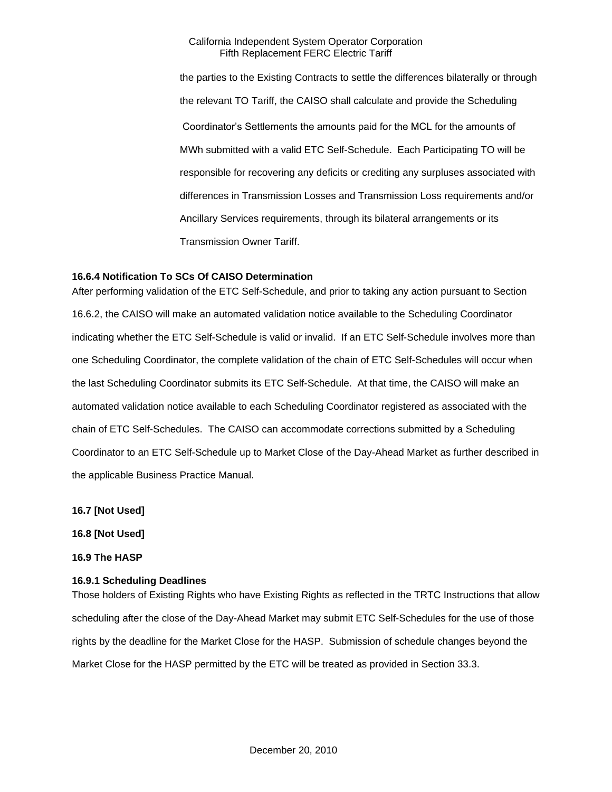the parties to the Existing Contracts to settle the differences bilaterally or through the relevant TO Tariff, the CAISO shall calculate and provide the Scheduling Coordinator's Settlements the amounts paid for the MCL for the amounts of MWh submitted with a valid ETC Self-Schedule. Each Participating TO will be responsible for recovering any deficits or crediting any surpluses associated with differences in Transmission Losses and Transmission Loss requirements and/or Ancillary Services requirements, through its bilateral arrangements or its Transmission Owner Tariff.

### **16.6.4 Notification To SCs Of CAISO Determination**

After performing validation of the ETC Self-Schedule, and prior to taking any action pursuant to Section 16.6.2, the CAISO will make an automated validation notice available to the Scheduling Coordinator indicating whether the ETC Self-Schedule is valid or invalid. If an ETC Self-Schedule involves more than one Scheduling Coordinator, the complete validation of the chain of ETC Self-Schedules will occur when the last Scheduling Coordinator submits its ETC Self-Schedule. At that time, the CAISO will make an automated validation notice available to each Scheduling Coordinator registered as associated with the chain of ETC Self-Schedules. The CAISO can accommodate corrections submitted by a Scheduling Coordinator to an ETC Self-Schedule up to Market Close of the Day-Ahead Market as further described in the applicable Business Practice Manual.

**16.7 [Not Used]**

**16.8 [Not Used]**

**16.9 The HASP**

#### **16.9.1 Scheduling Deadlines**

Those holders of Existing Rights who have Existing Rights as reflected in the TRTC Instructions that allow scheduling after the close of the Day-Ahead Market may submit ETC Self-Schedules for the use of those rights by the deadline for the Market Close for the HASP. Submission of schedule changes beyond the Market Close for the HASP permitted by the ETC will be treated as provided in Section 33.3.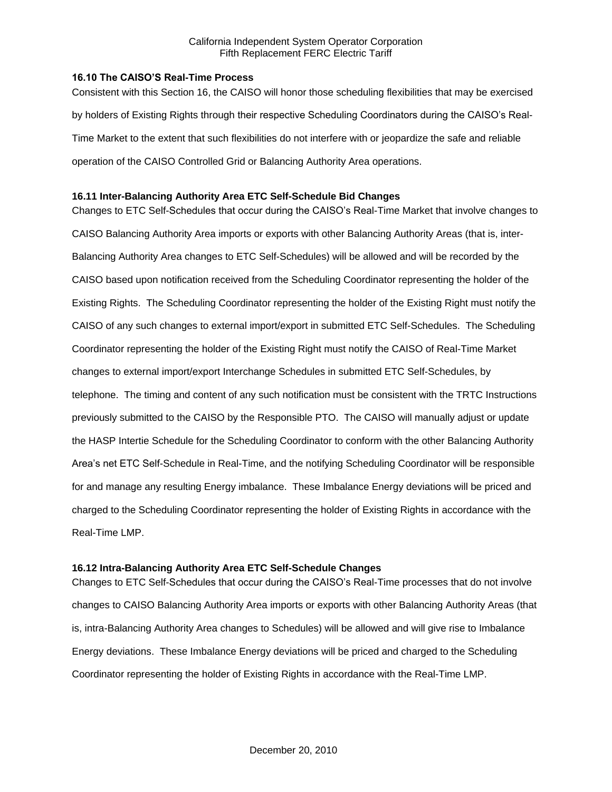## **16.10 The CAISO'S Real-Time Process**

Consistent with this Section 16, the CAISO will honor those scheduling flexibilities that may be exercised by holders of Existing Rights through their respective Scheduling Coordinators during the CAISO's Real-Time Market to the extent that such flexibilities do not interfere with or jeopardize the safe and reliable operation of the CAISO Controlled Grid or Balancing Authority Area operations.

### **16.11 Inter-Balancing Authority Area ETC Self-Schedule Bid Changes**

Changes to ETC Self-Schedules that occur during the CAISO's Real-Time Market that involve changes to CAISO Balancing Authority Area imports or exports with other Balancing Authority Areas (that is, inter-Balancing Authority Area changes to ETC Self-Schedules) will be allowed and will be recorded by the CAISO based upon notification received from the Scheduling Coordinator representing the holder of the Existing Rights. The Scheduling Coordinator representing the holder of the Existing Right must notify the CAISO of any such changes to external import/export in submitted ETC Self-Schedules. The Scheduling Coordinator representing the holder of the Existing Right must notify the CAISO of Real-Time Market changes to external import/export Interchange Schedules in submitted ETC Self-Schedules, by telephone. The timing and content of any such notification must be consistent with the TRTC Instructions previously submitted to the CAISO by the Responsible PTO. The CAISO will manually adjust or update the HASP Intertie Schedule for the Scheduling Coordinator to conform with the other Balancing Authority Area's net ETC Self-Schedule in Real-Time, and the notifying Scheduling Coordinator will be responsible for and manage any resulting Energy imbalance. These Imbalance Energy deviations will be priced and charged to the Scheduling Coordinator representing the holder of Existing Rights in accordance with the Real-Time LMP.

## **16.12 Intra-Balancing Authority Area ETC Self-Schedule Changes**

Changes to ETC Self-Schedules that occur during the CAISO's Real-Time processes that do not involve changes to CAISO Balancing Authority Area imports or exports with other Balancing Authority Areas (that is, intra-Balancing Authority Area changes to Schedules) will be allowed and will give rise to Imbalance Energy deviations. These Imbalance Energy deviations will be priced and charged to the Scheduling Coordinator representing the holder of Existing Rights in accordance with the Real-Time LMP.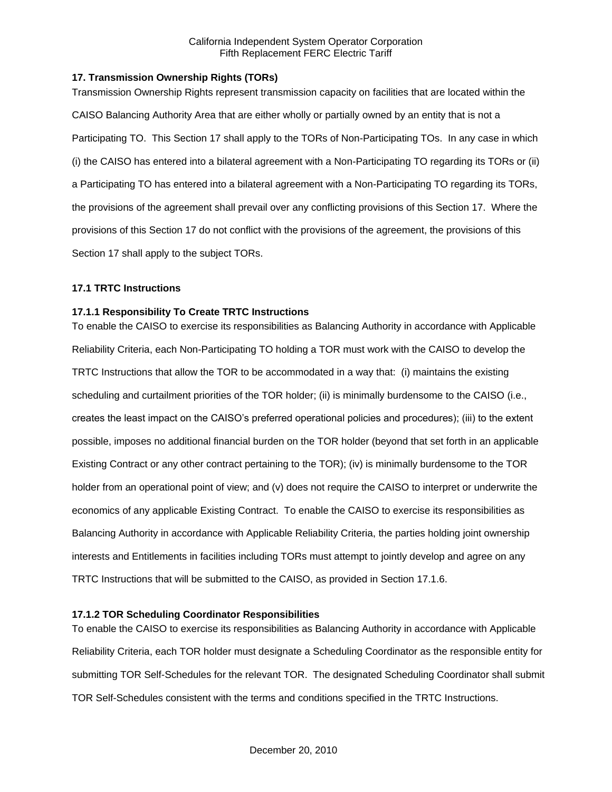## **17. Transmission Ownership Rights (TORs)**

Transmission Ownership Rights represent transmission capacity on facilities that are located within the CAISO Balancing Authority Area that are either wholly or partially owned by an entity that is not a Participating TO. This Section 17 shall apply to the TORs of Non-Participating TOs. In any case in which (i) the CAISO has entered into a bilateral agreement with a Non-Participating TO regarding its TORs or (ii) a Participating TO has entered into a bilateral agreement with a Non-Participating TO regarding its TORs, the provisions of the agreement shall prevail over any conflicting provisions of this Section 17. Where the provisions of this Section 17 do not conflict with the provisions of the agreement, the provisions of this Section 17 shall apply to the subject TORs.

### **17.1 TRTC Instructions**

### **17.1.1 Responsibility To Create TRTC Instructions**

To enable the CAISO to exercise its responsibilities as Balancing Authority in accordance with Applicable Reliability Criteria, each Non-Participating TO holding a TOR must work with the CAISO to develop the TRTC Instructions that allow the TOR to be accommodated in a way that: (i) maintains the existing scheduling and curtailment priorities of the TOR holder; (ii) is minimally burdensome to the CAISO (i.e., creates the least impact on the CAISO's preferred operational policies and procedures); (iii) to the extent possible, imposes no additional financial burden on the TOR holder (beyond that set forth in an applicable Existing Contract or any other contract pertaining to the TOR); (iv) is minimally burdensome to the TOR holder from an operational point of view; and (v) does not require the CAISO to interpret or underwrite the economics of any applicable Existing Contract. To enable the CAISO to exercise its responsibilities as Balancing Authority in accordance with Applicable Reliability Criteria, the parties holding joint ownership interests and Entitlements in facilities including TORs must attempt to jointly develop and agree on any TRTC Instructions that will be submitted to the CAISO, as provided in Section 17.1.6.

## **17.1.2 TOR Scheduling Coordinator Responsibilities**

To enable the CAISO to exercise its responsibilities as Balancing Authority in accordance with Applicable Reliability Criteria, each TOR holder must designate a Scheduling Coordinator as the responsible entity for submitting TOR Self-Schedules for the relevant TOR. The designated Scheduling Coordinator shall submit TOR Self-Schedules consistent with the terms and conditions specified in the TRTC Instructions.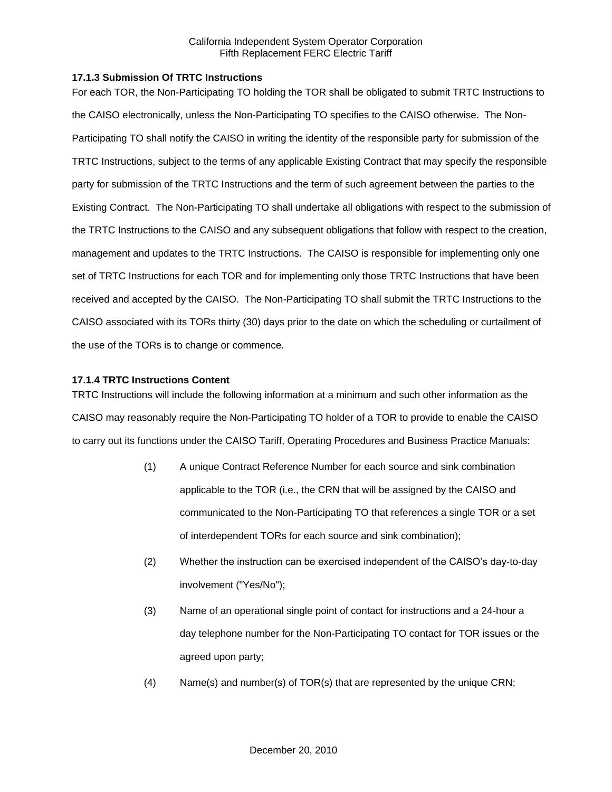### **17.1.3 Submission Of TRTC Instructions**

For each TOR, the Non-Participating TO holding the TOR shall be obligated to submit TRTC Instructions to the CAISO electronically, unless the Non-Participating TO specifies to the CAISO otherwise. The Non-Participating TO shall notify the CAISO in writing the identity of the responsible party for submission of the TRTC Instructions, subject to the terms of any applicable Existing Contract that may specify the responsible party for submission of the TRTC Instructions and the term of such agreement between the parties to the Existing Contract. The Non-Participating TO shall undertake all obligations with respect to the submission of the TRTC Instructions to the CAISO and any subsequent obligations that follow with respect to the creation, management and updates to the TRTC Instructions. The CAISO is responsible for implementing only one set of TRTC Instructions for each TOR and for implementing only those TRTC Instructions that have been received and accepted by the CAISO. The Non-Participating TO shall submit the TRTC Instructions to the CAISO associated with its TORs thirty (30) days prior to the date on which the scheduling or curtailment of the use of the TORs is to change or commence.

### **17.1.4 TRTC Instructions Content**

TRTC Instructions will include the following information at a minimum and such other information as the CAISO may reasonably require the Non-Participating TO holder of a TOR to provide to enable the CAISO to carry out its functions under the CAISO Tariff, Operating Procedures and Business Practice Manuals:

- (1) A unique Contract Reference Number for each source and sink combination applicable to the TOR (i.e., the CRN that will be assigned by the CAISO and communicated to the Non-Participating TO that references a single TOR or a set of interdependent TORs for each source and sink combination);
- (2) Whether the instruction can be exercised independent of the CAISO's day-to-day involvement ("Yes/No");
- (3) Name of an operational single point of contact for instructions and a 24-hour a day telephone number for the Non-Participating TO contact for TOR issues or the agreed upon party;
- (4) Name(s) and number(s) of TOR(s) that are represented by the unique CRN;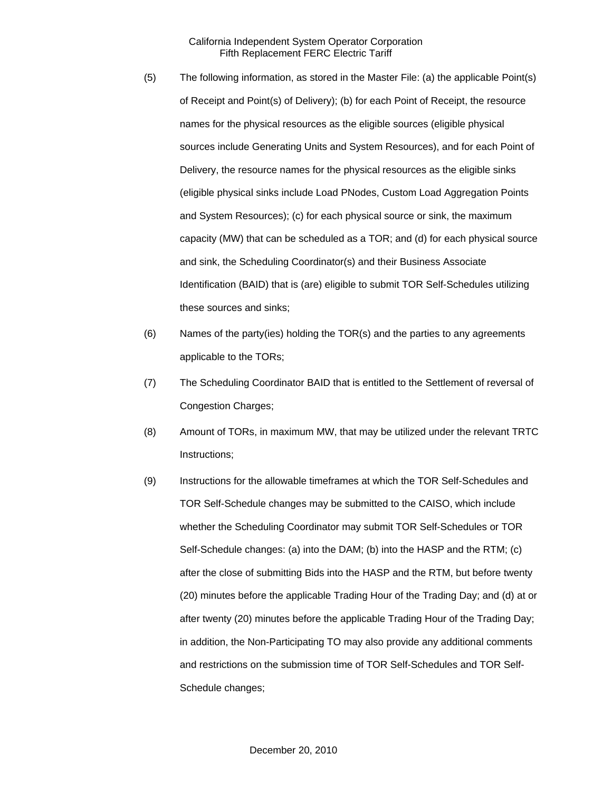- (5) The following information, as stored in the Master File: (a) the applicable Point(s) of Receipt and Point(s) of Delivery); (b) for each Point of Receipt, the resource names for the physical resources as the eligible sources (eligible physical sources include Generating Units and System Resources), and for each Point of Delivery, the resource names for the physical resources as the eligible sinks (eligible physical sinks include Load PNodes, Custom Load Aggregation Points and System Resources); (c) for each physical source or sink, the maximum capacity (MW) that can be scheduled as a TOR; and (d) for each physical source and sink, the Scheduling Coordinator(s) and their Business Associate Identification (BAID) that is (are) eligible to submit TOR Self-Schedules utilizing these sources and sinks;
- (6) Names of the party(ies) holding the TOR(s) and the parties to any agreements applicable to the TORs;
- (7) The Scheduling Coordinator BAID that is entitled to the Settlement of reversal of Congestion Charges;
- (8) Amount of TORs, in maximum MW, that may be utilized under the relevant TRTC Instructions;
- (9) Instructions for the allowable timeframes at which the TOR Self-Schedules and TOR Self-Schedule changes may be submitted to the CAISO, which include whether the Scheduling Coordinator may submit TOR Self-Schedules or TOR Self-Schedule changes: (a) into the DAM; (b) into the HASP and the RTM; (c) after the close of submitting Bids into the HASP and the RTM, but before twenty (20) minutes before the applicable Trading Hour of the Trading Day; and (d) at or after twenty (20) minutes before the applicable Trading Hour of the Trading Day; in addition, the Non-Participating TO may also provide any additional comments and restrictions on the submission time of TOR Self-Schedules and TOR Self-Schedule changes;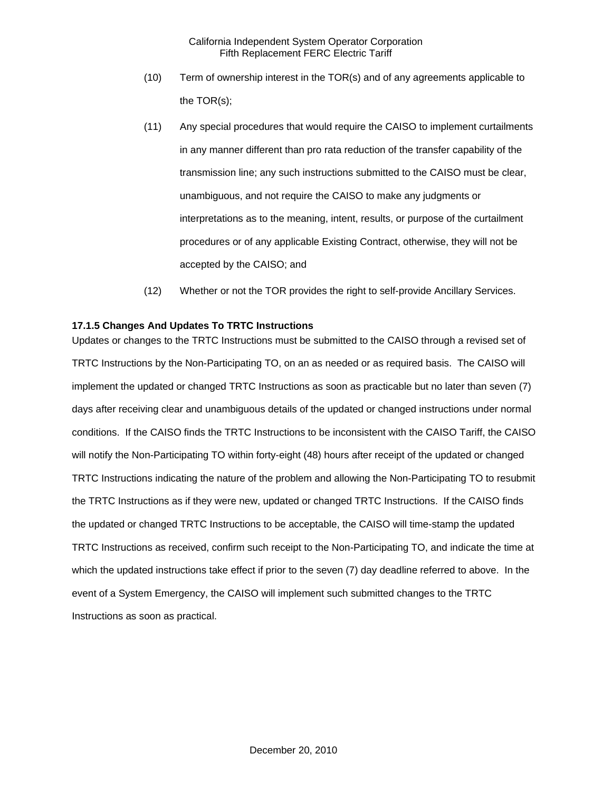- (10) Term of ownership interest in the TOR(s) and of any agreements applicable to the TOR(s);
- (11) Any special procedures that would require the CAISO to implement curtailments in any manner different than pro rata reduction of the transfer capability of the transmission line; any such instructions submitted to the CAISO must be clear, unambiguous, and not require the CAISO to make any judgments or interpretations as to the meaning, intent, results, or purpose of the curtailment procedures or of any applicable Existing Contract, otherwise, they will not be accepted by the CAISO; and
- (12) Whether or not the TOR provides the right to self-provide Ancillary Services.

### **17.1.5 Changes And Updates To TRTC Instructions**

Updates or changes to the TRTC Instructions must be submitted to the CAISO through a revised set of TRTC Instructions by the Non-Participating TO, on an as needed or as required basis. The CAISO will implement the updated or changed TRTC Instructions as soon as practicable but no later than seven (7) days after receiving clear and unambiguous details of the updated or changed instructions under normal conditions. If the CAISO finds the TRTC Instructions to be inconsistent with the CAISO Tariff, the CAISO will notify the Non-Participating TO within forty-eight (48) hours after receipt of the updated or changed TRTC Instructions indicating the nature of the problem and allowing the Non-Participating TO to resubmit the TRTC Instructions as if they were new, updated or changed TRTC Instructions. If the CAISO finds the updated or changed TRTC Instructions to be acceptable, the CAISO will time-stamp the updated TRTC Instructions as received, confirm such receipt to the Non-Participating TO, and indicate the time at which the updated instructions take effect if prior to the seven (7) day deadline referred to above. In the event of a System Emergency, the CAISO will implement such submitted changes to the TRTC Instructions as soon as practical.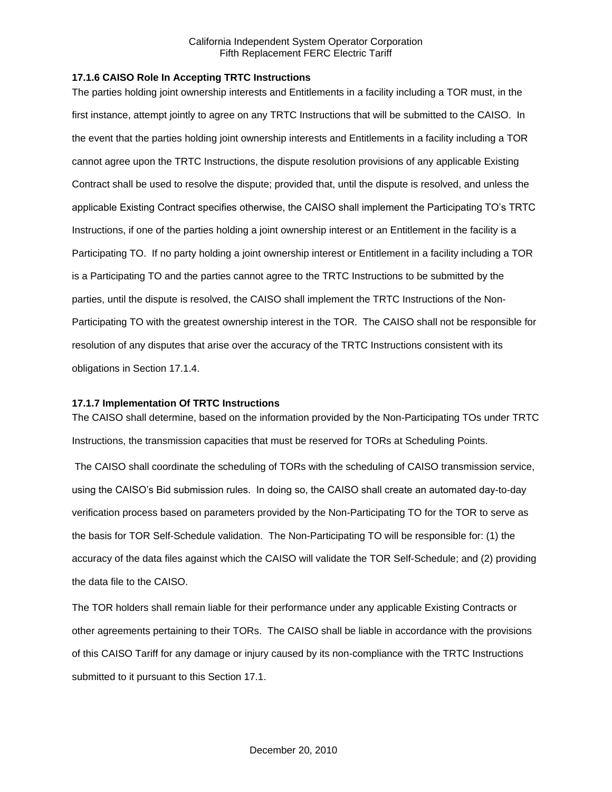### **17.1.6 CAISO Role In Accepting TRTC Instructions**

The parties holding joint ownership interests and Entitlements in a facility including a TOR must, in the first instance, attempt jointly to agree on any TRTC Instructions that will be submitted to the CAISO. In the event that the parties holding joint ownership interests and Entitlements in a facility including a TOR cannot agree upon the TRTC Instructions, the dispute resolution provisions of any applicable Existing Contract shall be used to resolve the dispute; provided that, until the dispute is resolved, and unless the applicable Existing Contract specifies otherwise, the CAISO shall implement the Participating TO's TRTC Instructions, if one of the parties holding a joint ownership interest or an Entitlement in the facility is a Participating TO. If no party holding a joint ownership interest or Entitlement in a facility including a TOR is a Participating TO and the parties cannot agree to the TRTC Instructions to be submitted by the parties, until the dispute is resolved, the CAISO shall implement the TRTC Instructions of the Non-Participating TO with the greatest ownership interest in the TOR. The CAISO shall not be responsible for resolution of any disputes that arise over the accuracy of the TRTC Instructions consistent with its obligations in Section 17.1.4.

#### **17.1.7 Implementation Of TRTC Instructions**

The CAISO shall determine, based on the information provided by the Non-Participating TOs under TRTC Instructions, the transmission capacities that must be reserved for TORs at Scheduling Points.

The CAISO shall coordinate the scheduling of TORs with the scheduling of CAISO transmission service, using the CAISO's Bid submission rules. In doing so, the CAISO shall create an automated day-to-day verification process based on parameters provided by the Non-Participating TO for the TOR to serve as the basis for TOR Self-Schedule validation. The Non-Participating TO will be responsible for: (1) the accuracy of the data files against which the CAISO will validate the TOR Self-Schedule; and (2) providing the data file to the CAISO.

The TOR holders shall remain liable for their performance under any applicable Existing Contracts or other agreements pertaining to their TORs. The CAISO shall be liable in accordance with the provisions of this CAISO Tariff for any damage or injury caused by its non-compliance with the TRTC Instructions submitted to it pursuant to this Section 17.1.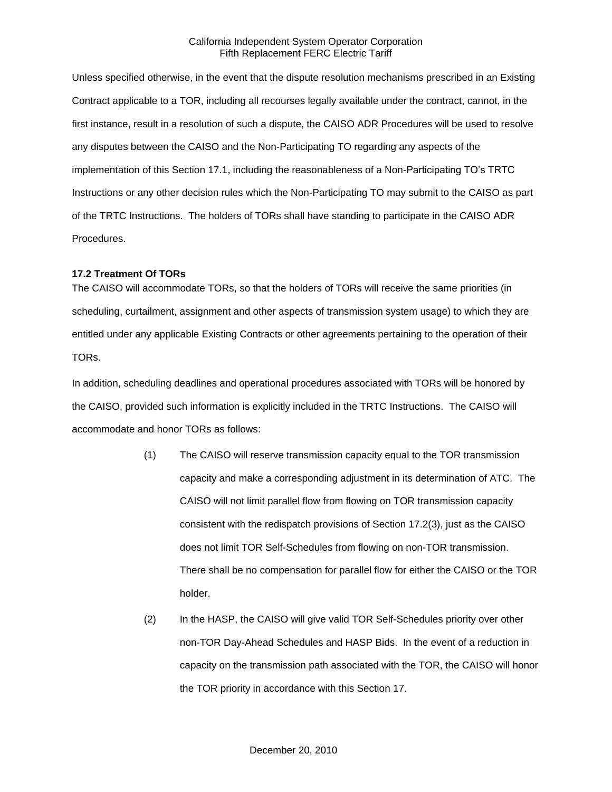Unless specified otherwise, in the event that the dispute resolution mechanisms prescribed in an Existing Contract applicable to a TOR, including all recourses legally available under the contract, cannot, in the first instance, result in a resolution of such a dispute, the CAISO ADR Procedures will be used to resolve any disputes between the CAISO and the Non-Participating TO regarding any aspects of the implementation of this Section 17.1, including the reasonableness of a Non-Participating TO's TRTC Instructions or any other decision rules which the Non-Participating TO may submit to the CAISO as part of the TRTC Instructions. The holders of TORs shall have standing to participate in the CAISO ADR Procedures.

#### **17.2 Treatment Of TORs**

The CAISO will accommodate TORs, so that the holders of TORs will receive the same priorities (in scheduling, curtailment, assignment and other aspects of transmission system usage) to which they are entitled under any applicable Existing Contracts or other agreements pertaining to the operation of their TORs.

In addition, scheduling deadlines and operational procedures associated with TORs will be honored by the CAISO, provided such information is explicitly included in the TRTC Instructions. The CAISO will accommodate and honor TORs as follows:

- (1) The CAISO will reserve transmission capacity equal to the TOR transmission capacity and make a corresponding adjustment in its determination of ATC. The CAISO will not limit parallel flow from flowing on TOR transmission capacity consistent with the redispatch provisions of Section 17.2(3), just as the CAISO does not limit TOR Self-Schedules from flowing on non-TOR transmission. There shall be no compensation for parallel flow for either the CAISO or the TOR holder.
- (2) In the HASP, the CAISO will give valid TOR Self-Schedules priority over other non-TOR Day-Ahead Schedules and HASP Bids. In the event of a reduction in capacity on the transmission path associated with the TOR, the CAISO will honor the TOR priority in accordance with this Section 17.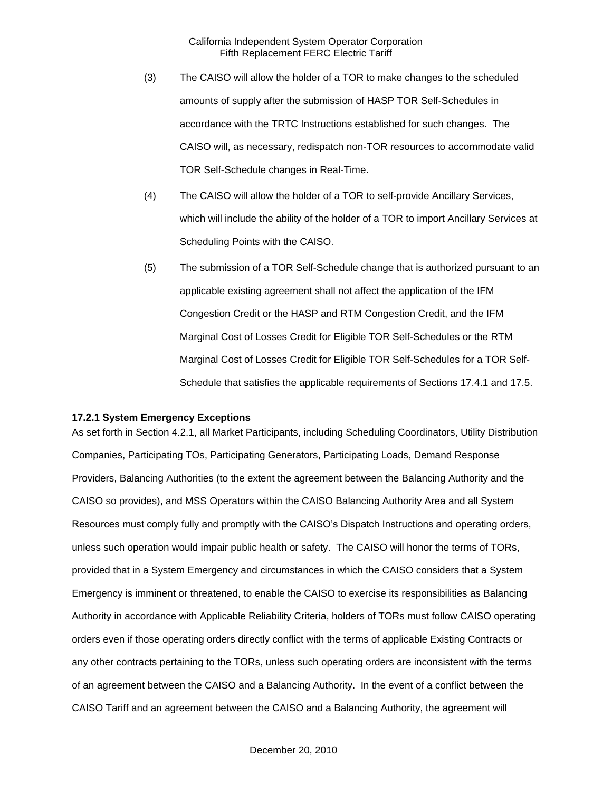- (3) The CAISO will allow the holder of a TOR to make changes to the scheduled amounts of supply after the submission of HASP TOR Self-Schedules in accordance with the TRTC Instructions established for such changes. The CAISO will, as necessary, redispatch non-TOR resources to accommodate valid TOR Self-Schedule changes in Real-Time.
- (4) The CAISO will allow the holder of a TOR to self-provide Ancillary Services, which will include the ability of the holder of a TOR to import Ancillary Services at Scheduling Points with the CAISO.
- (5) The submission of a TOR Self-Schedule change that is authorized pursuant to an applicable existing agreement shall not affect the application of the IFM Congestion Credit or the HASP and RTM Congestion Credit, and the IFM Marginal Cost of Losses Credit for Eligible TOR Self-Schedules or the RTM Marginal Cost of Losses Credit for Eligible TOR Self-Schedules for a TOR Self-Schedule that satisfies the applicable requirements of Sections 17.4.1 and 17.5.

### **17.2.1 System Emergency Exceptions**

As set forth in Section 4.2.1, all Market Participants, including Scheduling Coordinators, Utility Distribution Companies, Participating TOs, Participating Generators, Participating Loads, Demand Response Providers, Balancing Authorities (to the extent the agreement between the Balancing Authority and the CAISO so provides), and MSS Operators within the CAISO Balancing Authority Area and all System Resources must comply fully and promptly with the CAISO's Dispatch Instructions and operating orders, unless such operation would impair public health or safety. The CAISO will honor the terms of TORs, provided that in a System Emergency and circumstances in which the CAISO considers that a System Emergency is imminent or threatened, to enable the CAISO to exercise its responsibilities as Balancing Authority in accordance with Applicable Reliability Criteria, holders of TORs must follow CAISO operating orders even if those operating orders directly conflict with the terms of applicable Existing Contracts or any other contracts pertaining to the TORs, unless such operating orders are inconsistent with the terms of an agreement between the CAISO and a Balancing Authority. In the event of a conflict between the CAISO Tariff and an agreement between the CAISO and a Balancing Authority, the agreement will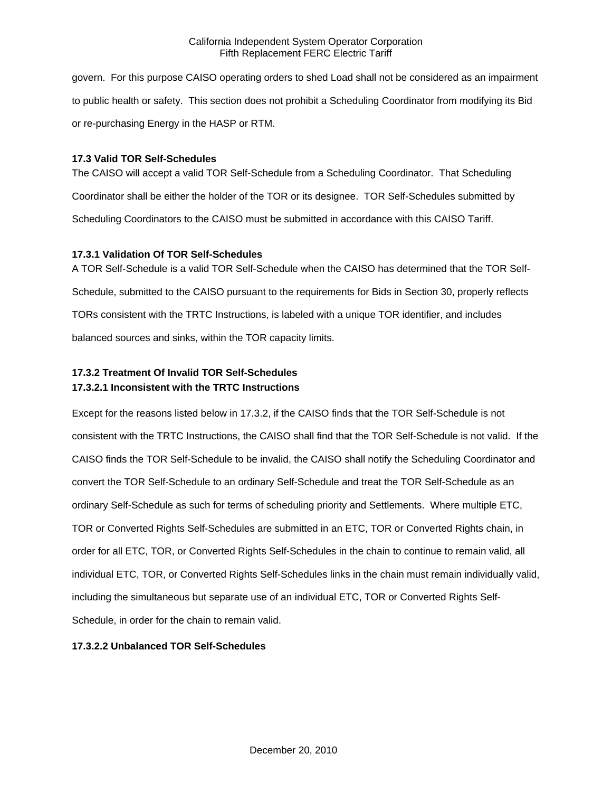govern. For this purpose CAISO operating orders to shed Load shall not be considered as an impairment to public health or safety. This section does not prohibit a Scheduling Coordinator from modifying its Bid or re-purchasing Energy in the HASP or RTM.

### **17.3 Valid TOR Self-Schedules**

The CAISO will accept a valid TOR Self-Schedule from a Scheduling Coordinator. That Scheduling Coordinator shall be either the holder of the TOR or its designee. TOR Self-Schedules submitted by Scheduling Coordinators to the CAISO must be submitted in accordance with this CAISO Tariff.

### **17.3.1 Validation Of TOR Self-Schedules**

A TOR Self-Schedule is a valid TOR Self-Schedule when the CAISO has determined that the TOR Self-Schedule, submitted to the CAISO pursuant to the requirements for Bids in Section 30, properly reflects TORs consistent with the TRTC Instructions, is labeled with a unique TOR identifier, and includes balanced sources and sinks, within the TOR capacity limits.

# **17.3.2 Treatment Of Invalid TOR Self-Schedules 17.3.2.1 Inconsistent with the TRTC Instructions**

Except for the reasons listed below in 17.3.2, if the CAISO finds that the TOR Self-Schedule is not consistent with the TRTC Instructions, the CAISO shall find that the TOR Self-Schedule is not valid. If the CAISO finds the TOR Self-Schedule to be invalid, the CAISO shall notify the Scheduling Coordinator and convert the TOR Self-Schedule to an ordinary Self-Schedule and treat the TOR Self-Schedule as an ordinary Self-Schedule as such for terms of scheduling priority and Settlements. Where multiple ETC, TOR or Converted Rights Self-Schedules are submitted in an ETC, TOR or Converted Rights chain, in order for all ETC, TOR, or Converted Rights Self-Schedules in the chain to continue to remain valid, all individual ETC, TOR, or Converted Rights Self-Schedules links in the chain must remain individually valid, including the simultaneous but separate use of an individual ETC, TOR or Converted Rights Self-Schedule, in order for the chain to remain valid.

# **17.3.2.2 Unbalanced TOR Self-Schedules**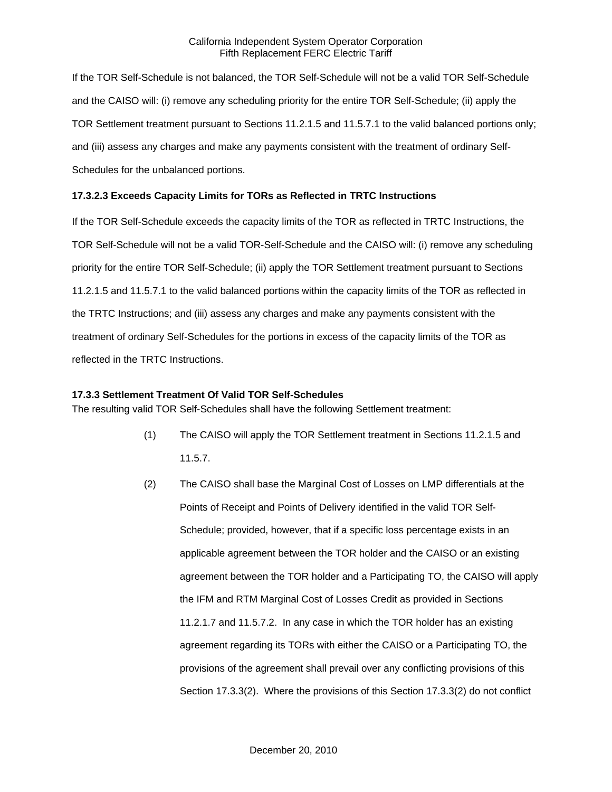If the TOR Self-Schedule is not balanced, the TOR Self-Schedule will not be a valid TOR Self-Schedule and the CAISO will: (i) remove any scheduling priority for the entire TOR Self-Schedule; (ii) apply the TOR Settlement treatment pursuant to Sections 11.2.1.5 and 11.5.7.1 to the valid balanced portions only; and (iii) assess any charges and make any payments consistent with the treatment of ordinary Self-Schedules for the unbalanced portions.

### **17.3.2.3 Exceeds Capacity Limits for TORs as Reflected in TRTC Instructions**

If the TOR Self-Schedule exceeds the capacity limits of the TOR as reflected in TRTC Instructions, the TOR Self-Schedule will not be a valid TOR-Self-Schedule and the CAISO will: (i) remove any scheduling priority for the entire TOR Self-Schedule; (ii) apply the TOR Settlement treatment pursuant to Sections 11.2.1.5 and 11.5.7.1 to the valid balanced portions within the capacity limits of the TOR as reflected in the TRTC Instructions; and (iii) assess any charges and make any payments consistent with the treatment of ordinary Self-Schedules for the portions in excess of the capacity limits of the TOR as reflected in the TRTC Instructions.

#### **17.3.3 Settlement Treatment Of Valid TOR Self-Schedules**

The resulting valid TOR Self-Schedules shall have the following Settlement treatment:

- (1) The CAISO will apply the TOR Settlement treatment in Sections 11.2.1.5 and 11.5.7.
- (2) The CAISO shall base the Marginal Cost of Losses on LMP differentials at the Points of Receipt and Points of Delivery identified in the valid TOR Self-Schedule; provided, however, that if a specific loss percentage exists in an applicable agreement between the TOR holder and the CAISO or an existing agreement between the TOR holder and a Participating TO, the CAISO will apply the IFM and RTM Marginal Cost of Losses Credit as provided in Sections 11.2.1.7 and 11.5.7.2. In any case in which the TOR holder has an existing agreement regarding its TORs with either the CAISO or a Participating TO, the provisions of the agreement shall prevail over any conflicting provisions of this Section 17.3.3(2). Where the provisions of this Section 17.3.3(2) do not conflict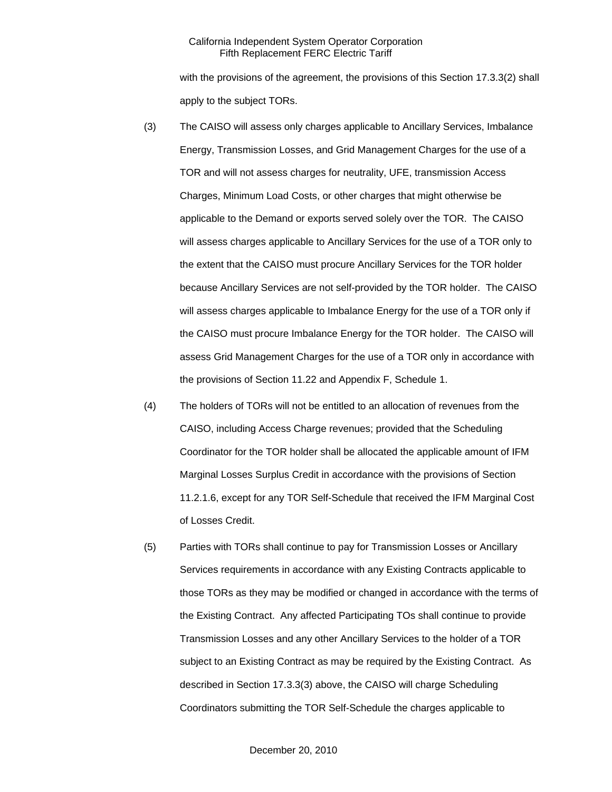with the provisions of the agreement, the provisions of this Section 17.3.3(2) shall apply to the subject TORs.

- (3) The CAISO will assess only charges applicable to Ancillary Services, Imbalance Energy, Transmission Losses, and Grid Management Charges for the use of a TOR and will not assess charges for neutrality, UFE, transmission Access Charges, Minimum Load Costs, or other charges that might otherwise be applicable to the Demand or exports served solely over the TOR. The CAISO will assess charges applicable to Ancillary Services for the use of a TOR only to the extent that the CAISO must procure Ancillary Services for the TOR holder because Ancillary Services are not self-provided by the TOR holder. The CAISO will assess charges applicable to Imbalance Energy for the use of a TOR only if the CAISO must procure Imbalance Energy for the TOR holder. The CAISO will assess Grid Management Charges for the use of a TOR only in accordance with the provisions of Section 11.22 and Appendix F, Schedule 1.
- (4) The holders of TORs will not be entitled to an allocation of revenues from the CAISO, including Access Charge revenues; provided that the Scheduling Coordinator for the TOR holder shall be allocated the applicable amount of IFM Marginal Losses Surplus Credit in accordance with the provisions of Section 11.2.1.6, except for any TOR Self-Schedule that received the IFM Marginal Cost of Losses Credit.
- (5) Parties with TORs shall continue to pay for Transmission Losses or Ancillary Services requirements in accordance with any Existing Contracts applicable to those TORs as they may be modified or changed in accordance with the terms of the Existing Contract. Any affected Participating TOs shall continue to provide Transmission Losses and any other Ancillary Services to the holder of a TOR subject to an Existing Contract as may be required by the Existing Contract. As described in Section 17.3.3(3) above, the CAISO will charge Scheduling Coordinators submitting the TOR Self-Schedule the charges applicable to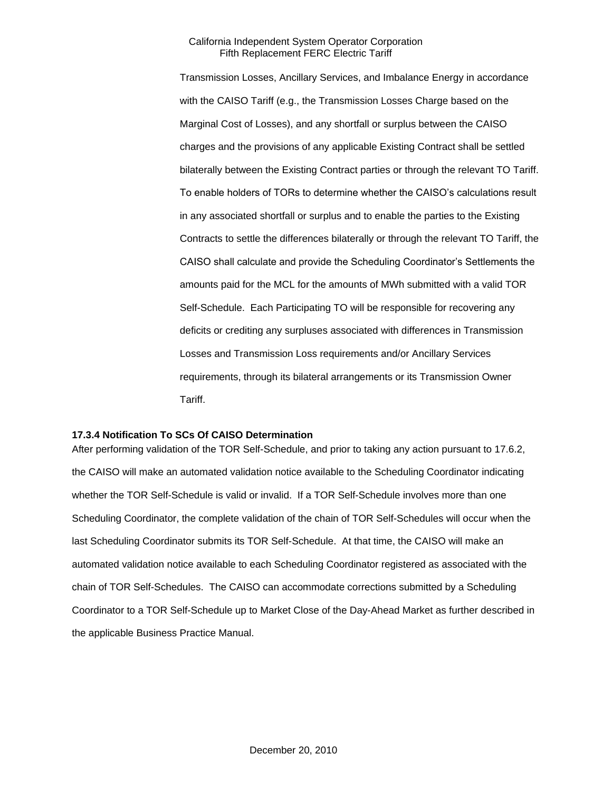Transmission Losses, Ancillary Services, and Imbalance Energy in accordance with the CAISO Tariff (e.g., the Transmission Losses Charge based on the Marginal Cost of Losses), and any shortfall or surplus between the CAISO charges and the provisions of any applicable Existing Contract shall be settled bilaterally between the Existing Contract parties or through the relevant TO Tariff. To enable holders of TORs to determine whether the CAISO's calculations result in any associated shortfall or surplus and to enable the parties to the Existing Contracts to settle the differences bilaterally or through the relevant TO Tariff, the CAISO shall calculate and provide the Scheduling Coordinator's Settlements the amounts paid for the MCL for the amounts of MWh submitted with a valid TOR Self-Schedule. Each Participating TO will be responsible for recovering any deficits or crediting any surpluses associated with differences in Transmission Losses and Transmission Loss requirements and/or Ancillary Services requirements, through its bilateral arrangements or its Transmission Owner Tariff.

### **17.3.4 Notification To SCs Of CAISO Determination**

After performing validation of the TOR Self-Schedule, and prior to taking any action pursuant to 17.6.2, the CAISO will make an automated validation notice available to the Scheduling Coordinator indicating whether the TOR Self-Schedule is valid or invalid. If a TOR Self-Schedule involves more than one Scheduling Coordinator, the complete validation of the chain of TOR Self-Schedules will occur when the last Scheduling Coordinator submits its TOR Self-Schedule. At that time, the CAISO will make an automated validation notice available to each Scheduling Coordinator registered as associated with the chain of TOR Self-Schedules. The CAISO can accommodate corrections submitted by a Scheduling Coordinator to a TOR Self-Schedule up to Market Close of the Day-Ahead Market as further described in the applicable Business Practice Manual.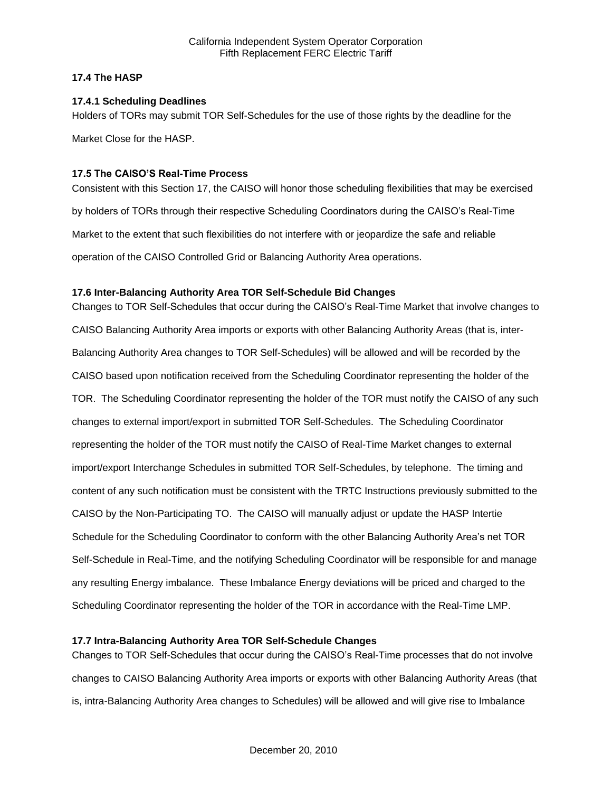### **17.4 The HASP**

### **17.4.1 Scheduling Deadlines**

Holders of TORs may submit TOR Self-Schedules for the use of those rights by the deadline for the

Market Close for the HASP.

### **17.5 The CAISO'S Real-Time Process**

Consistent with this Section 17, the CAISO will honor those scheduling flexibilities that may be exercised by holders of TORs through their respective Scheduling Coordinators during the CAISO's Real-Time Market to the extent that such flexibilities do not interfere with or jeopardize the safe and reliable operation of the CAISO Controlled Grid or Balancing Authority Area operations.

### **17.6 Inter-Balancing Authority Area TOR Self-Schedule Bid Changes**

Changes to TOR Self-Schedules that occur during the CAISO's Real-Time Market that involve changes to CAISO Balancing Authority Area imports or exports with other Balancing Authority Areas (that is, inter-Balancing Authority Area changes to TOR Self-Schedules) will be allowed and will be recorded by the CAISO based upon notification received from the Scheduling Coordinator representing the holder of the TOR. The Scheduling Coordinator representing the holder of the TOR must notify the CAISO of any such changes to external import/export in submitted TOR Self-Schedules. The Scheduling Coordinator representing the holder of the TOR must notify the CAISO of Real-Time Market changes to external import/export Interchange Schedules in submitted TOR Self-Schedules, by telephone. The timing and content of any such notification must be consistent with the TRTC Instructions previously submitted to the CAISO by the Non-Participating TO. The CAISO will manually adjust or update the HASP Intertie Schedule for the Scheduling Coordinator to conform with the other Balancing Authority Area's net TOR Self-Schedule in Real-Time, and the notifying Scheduling Coordinator will be responsible for and manage any resulting Energy imbalance. These Imbalance Energy deviations will be priced and charged to the Scheduling Coordinator representing the holder of the TOR in accordance with the Real-Time LMP.

## **17.7 Intra-Balancing Authority Area TOR Self-Schedule Changes**

Changes to TOR Self-Schedules that occur during the CAISO's Real-Time processes that do not involve changes to CAISO Balancing Authority Area imports or exports with other Balancing Authority Areas (that is, intra-Balancing Authority Area changes to Schedules) will be allowed and will give rise to Imbalance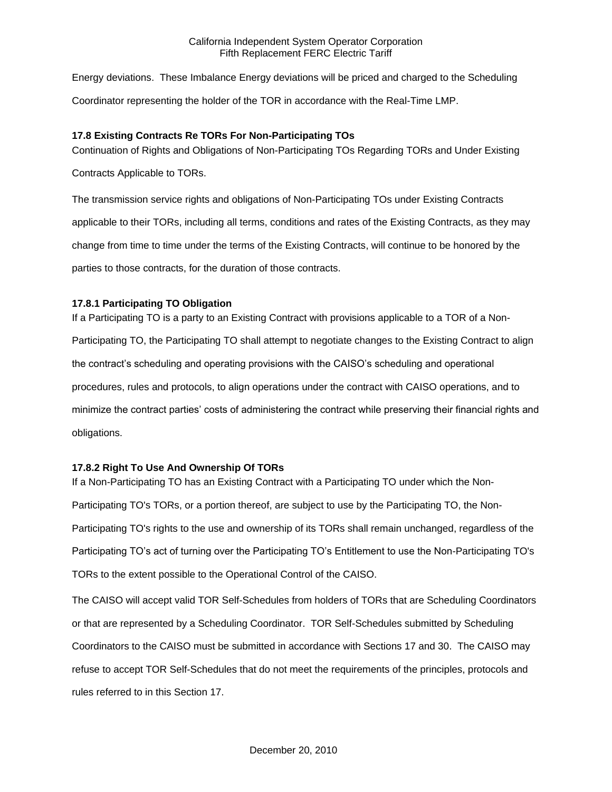Energy deviations. These Imbalance Energy deviations will be priced and charged to the Scheduling Coordinator representing the holder of the TOR in accordance with the Real-Time LMP.

## **17.8 Existing Contracts Re TORs For Non-Participating TOs**

Continuation of Rights and Obligations of Non-Participating TOs Regarding TORs and Under Existing

Contracts Applicable to TORs.

The transmission service rights and obligations of Non-Participating TOs under Existing Contracts applicable to their TORs, including all terms, conditions and rates of the Existing Contracts, as they may change from time to time under the terms of the Existing Contracts, will continue to be honored by the parties to those contracts, for the duration of those contracts.

## **17.8.1 Participating TO Obligation**

If a Participating TO is a party to an Existing Contract with provisions applicable to a TOR of a Non-Participating TO, the Participating TO shall attempt to negotiate changes to the Existing Contract to align the contract's scheduling and operating provisions with the CAISO's scheduling and operational procedures, rules and protocols, to align operations under the contract with CAISO operations, and to minimize the contract parties' costs of administering the contract while preserving their financial rights and obligations.

## **17.8.2 Right To Use And Ownership Of TORs**

If a Non-Participating TO has an Existing Contract with a Participating TO under which the Non-Participating TO's TORs, or a portion thereof, are subject to use by the Participating TO, the Non-Participating TO's rights to the use and ownership of its TORs shall remain unchanged, regardless of the Participating TO's act of turning over the Participating TO's Entitlement to use the Non-Participating TO's TORs to the extent possible to the Operational Control of the CAISO.

The CAISO will accept valid TOR Self-Schedules from holders of TORs that are Scheduling Coordinators or that are represented by a Scheduling Coordinator. TOR Self-Schedules submitted by Scheduling Coordinators to the CAISO must be submitted in accordance with Sections 17 and 30. The CAISO may refuse to accept TOR Self-Schedules that do not meet the requirements of the principles, protocols and rules referred to in this Section 17.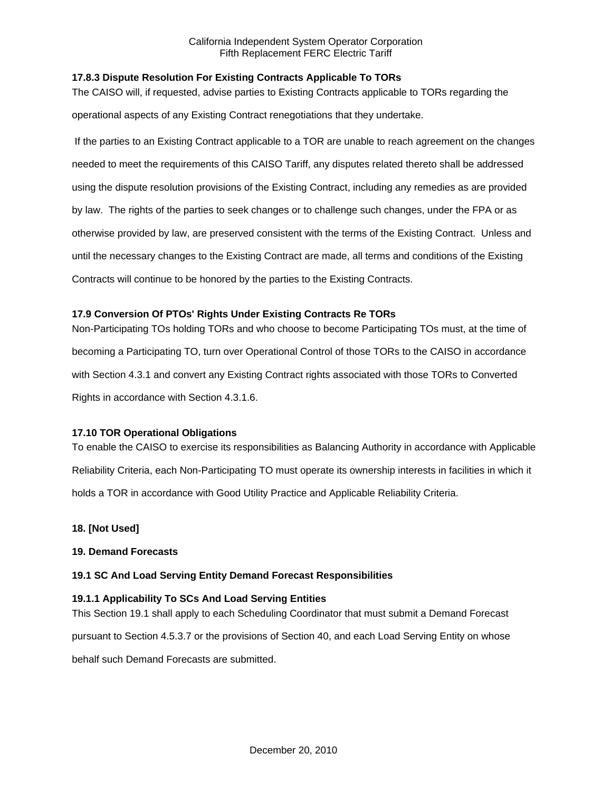## **17.8.3 Dispute Resolution For Existing Contracts Applicable To TORs**

The CAISO will, if requested, advise parties to Existing Contracts applicable to TORs regarding the operational aspects of any Existing Contract renegotiations that they undertake.

If the parties to an Existing Contract applicable to a TOR are unable to reach agreement on the changes needed to meet the requirements of this CAISO Tariff, any disputes related thereto shall be addressed using the dispute resolution provisions of the Existing Contract, including any remedies as are provided by law. The rights of the parties to seek changes or to challenge such changes, under the FPA or as otherwise provided by law, are preserved consistent with the terms of the Existing Contract. Unless and until the necessary changes to the Existing Contract are made, all terms and conditions of the Existing Contracts will continue to be honored by the parties to the Existing Contracts.

# **17.9 Conversion Of PTOs' Rights Under Existing Contracts Re TORs**

Non-Participating TOs holding TORs and who choose to become Participating TOs must, at the time of becoming a Participating TO, turn over Operational Control of those TORs to the CAISO in accordance with Section 4.3.1 and convert any Existing Contract rights associated with those TORs to Converted Rights in accordance with Section 4.3.1.6.

## **17.10 TOR Operational Obligations**

To enable the CAISO to exercise its responsibilities as Balancing Authority in accordance with Applicable Reliability Criteria, each Non-Participating TO must operate its ownership interests in facilities in which it holds a TOR in accordance with Good Utility Practice and Applicable Reliability Criteria.

## **18. [Not Used]**

## **19. Demand Forecasts**

## **19.1 SC And Load Serving Entity Demand Forecast Responsibilities**

## **19.1.1 Applicability To SCs And Load Serving Entities**

This Section 19.1 shall apply to each Scheduling Coordinator that must submit a Demand Forecast pursuant to Section 4.5.3.7 or the provisions of Section 40, and each Load Serving Entity on whose

behalf such Demand Forecasts are submitted.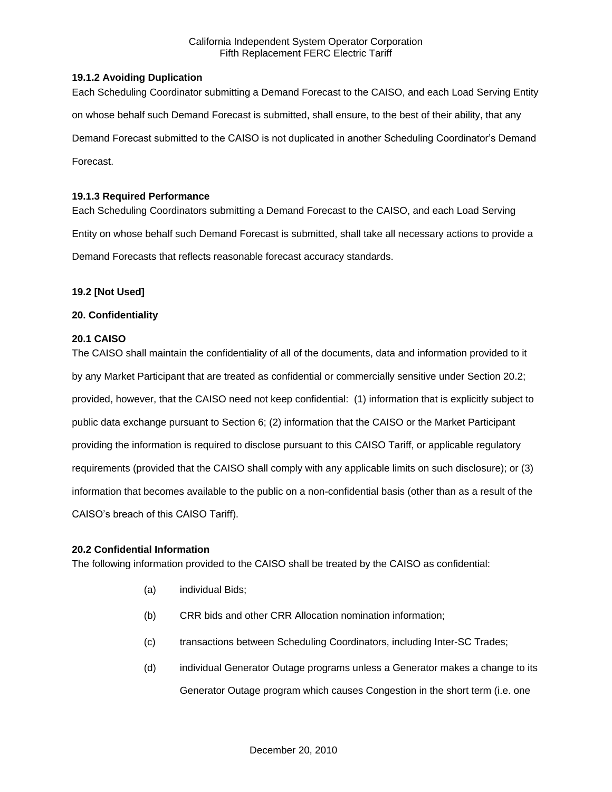### **19.1.2 Avoiding Duplication**

Each Scheduling Coordinator submitting a Demand Forecast to the CAISO, and each Load Serving Entity on whose behalf such Demand Forecast is submitted, shall ensure, to the best of their ability, that any Demand Forecast submitted to the CAISO is not duplicated in another Scheduling Coordinator's Demand Forecast.

## **19.1.3 Required Performance**

Each Scheduling Coordinators submitting a Demand Forecast to the CAISO, and each Load Serving Entity on whose behalf such Demand Forecast is submitted, shall take all necessary actions to provide a Demand Forecasts that reflects reasonable forecast accuracy standards.

### **19.2 [Not Used]**

### **20. Confidentiality**

### **20.1 CAISO**

The CAISO shall maintain the confidentiality of all of the documents, data and information provided to it by any Market Participant that are treated as confidential or commercially sensitive under Section 20.2; provided, however, that the CAISO need not keep confidential: (1) information that is explicitly subject to public data exchange pursuant to Section 6; (2) information that the CAISO or the Market Participant providing the information is required to disclose pursuant to this CAISO Tariff, or applicable regulatory requirements (provided that the CAISO shall comply with any applicable limits on such disclosure); or (3) information that becomes available to the public on a non-confidential basis (other than as a result of the CAISO's breach of this CAISO Tariff).

#### **20.2 Confidential Information**

The following information provided to the CAISO shall be treated by the CAISO as confidential:

- (a) individual Bids;
- (b) CRR bids and other CRR Allocation nomination information;
- (c) transactions between Scheduling Coordinators, including Inter-SC Trades;
- (d) individual Generator Outage programs unless a Generator makes a change to its Generator Outage program which causes Congestion in the short term (i.e. one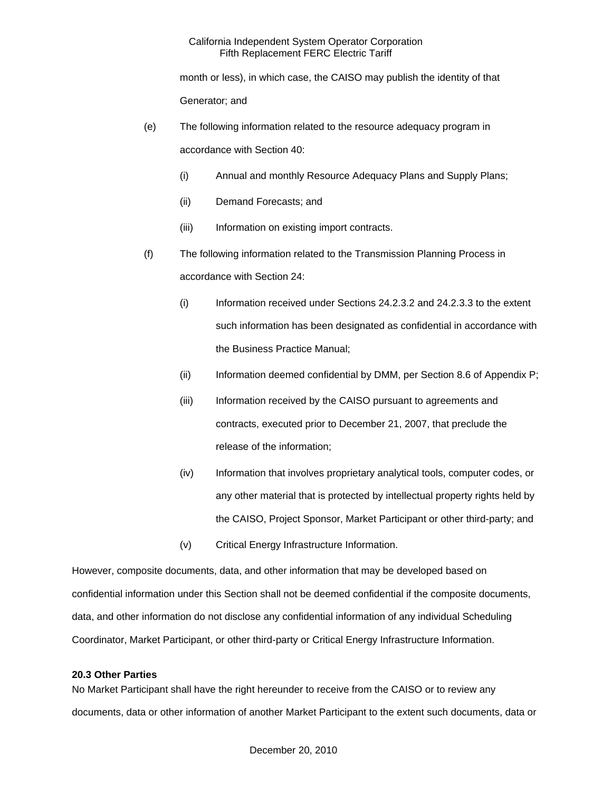month or less), in which case, the CAISO may publish the identity of that Generator; and

- (e) The following information related to the resource adequacy program in accordance with Section 40:
	- (i) Annual and monthly Resource Adequacy Plans and Supply Plans;
	- (ii) Demand Forecasts; and
	- (iii) Information on existing import contracts.
- (f) The following information related to the Transmission Planning Process in accordance with Section 24:
	- (i) Information received under Sections 24.2.3.2 and 24.2.3.3 to the extent such information has been designated as confidential in accordance with the Business Practice Manual;
	- (ii) Information deemed confidential by DMM, per Section 8.6 of Appendix P;
	- (iii) Information received by the CAISO pursuant to agreements and contracts, executed prior to December 21, 2007, that preclude the release of the information;
	- (iv) Information that involves proprietary analytical tools, computer codes, or any other material that is protected by intellectual property rights held by the CAISO, Project Sponsor, Market Participant or other third-party; and
	- (v) Critical Energy Infrastructure Information.

However, composite documents, data, and other information that may be developed based on confidential information under this Section shall not be deemed confidential if the composite documents, data, and other information do not disclose any confidential information of any individual Scheduling Coordinator, Market Participant, or other third-party or Critical Energy Infrastructure Information.

#### **20.3 Other Parties**

No Market Participant shall have the right hereunder to receive from the CAISO or to review any documents, data or other information of another Market Participant to the extent such documents, data or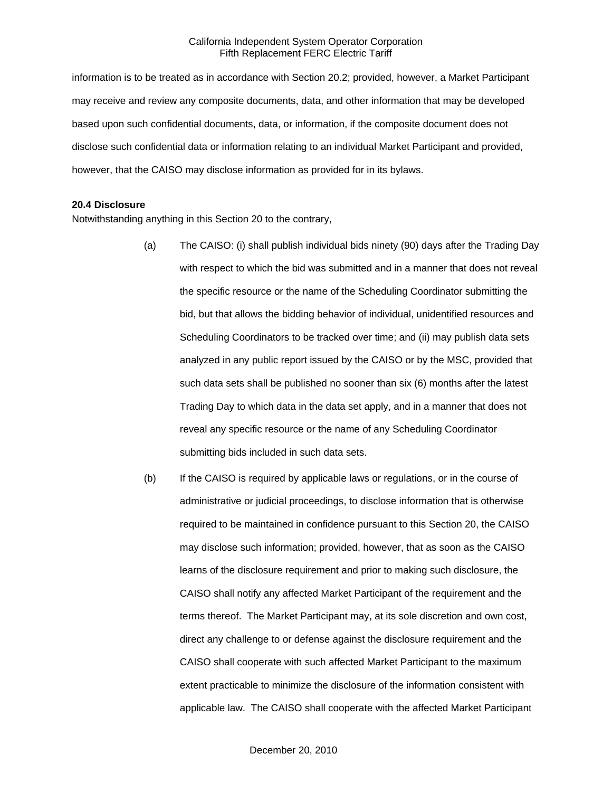information is to be treated as in accordance with Section 20.2; provided, however, a Market Participant may receive and review any composite documents, data, and other information that may be developed based upon such confidential documents, data, or information, if the composite document does not disclose such confidential data or information relating to an individual Market Participant and provided, however, that the CAISO may disclose information as provided for in its bylaws.

#### **20.4 Disclosure**

Notwithstanding anything in this Section 20 to the contrary,

- (a) The CAISO: (i) shall publish individual bids ninety (90) days after the Trading Day with respect to which the bid was submitted and in a manner that does not reveal the specific resource or the name of the Scheduling Coordinator submitting the bid, but that allows the bidding behavior of individual, unidentified resources and Scheduling Coordinators to be tracked over time; and (ii) may publish data sets analyzed in any public report issued by the CAISO or by the MSC, provided that such data sets shall be published no sooner than six (6) months after the latest Trading Day to which data in the data set apply, and in a manner that does not reveal any specific resource or the name of any Scheduling Coordinator submitting bids included in such data sets.
- (b) If the CAISO is required by applicable laws or regulations, or in the course of administrative or judicial proceedings, to disclose information that is otherwise required to be maintained in confidence pursuant to this Section 20, the CAISO may disclose such information; provided, however, that as soon as the CAISO learns of the disclosure requirement and prior to making such disclosure, the CAISO shall notify any affected Market Participant of the requirement and the terms thereof. The Market Participant may, at its sole discretion and own cost, direct any challenge to or defense against the disclosure requirement and the CAISO shall cooperate with such affected Market Participant to the maximum extent practicable to minimize the disclosure of the information consistent with applicable law. The CAISO shall cooperate with the affected Market Participant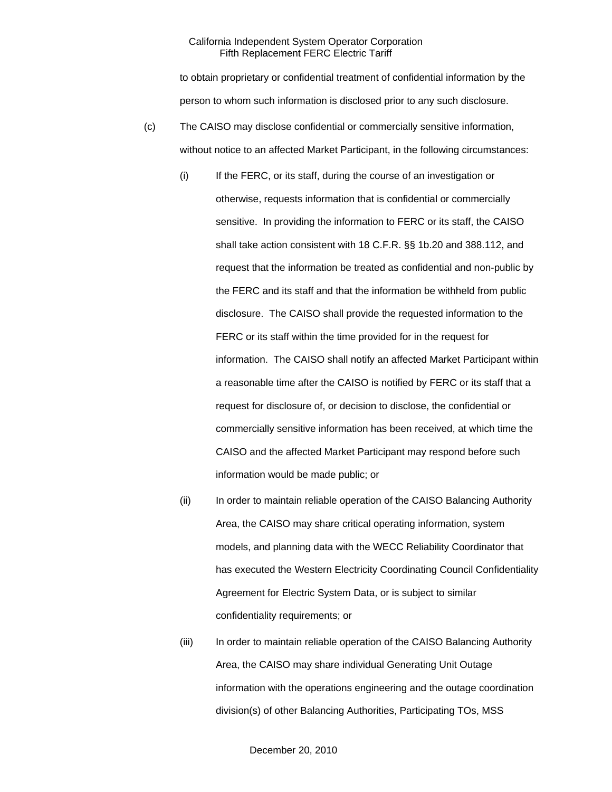to obtain proprietary or confidential treatment of confidential information by the person to whom such information is disclosed prior to any such disclosure.

- (c) The CAISO may disclose confidential or commercially sensitive information, without notice to an affected Market Participant, in the following circumstances:
	- (i) If the FERC, or its staff, during the course of an investigation or otherwise, requests information that is confidential or commercially sensitive. In providing the information to FERC or its staff, the CAISO shall take action consistent with 18 C.F.R. §§ 1b.20 and 388.112, and request that the information be treated as confidential and non-public by the FERC and its staff and that the information be withheld from public disclosure. The CAISO shall provide the requested information to the FERC or its staff within the time provided for in the request for information. The CAISO shall notify an affected Market Participant within a reasonable time after the CAISO is notified by FERC or its staff that a request for disclosure of, or decision to disclose, the confidential or commercially sensitive information has been received, at which time the CAISO and the affected Market Participant may respond before such information would be made public; or
	- (ii) In order to maintain reliable operation of the CAISO Balancing Authority Area, the CAISO may share critical operating information, system models, and planning data with the WECC Reliability Coordinator that has executed the Western Electricity Coordinating Council Confidentiality Agreement for Electric System Data, or is subject to similar confidentiality requirements; or
	- (iii) In order to maintain reliable operation of the CAISO Balancing Authority Area, the CAISO may share individual Generating Unit Outage information with the operations engineering and the outage coordination division(s) of other Balancing Authorities, Participating TOs, MSS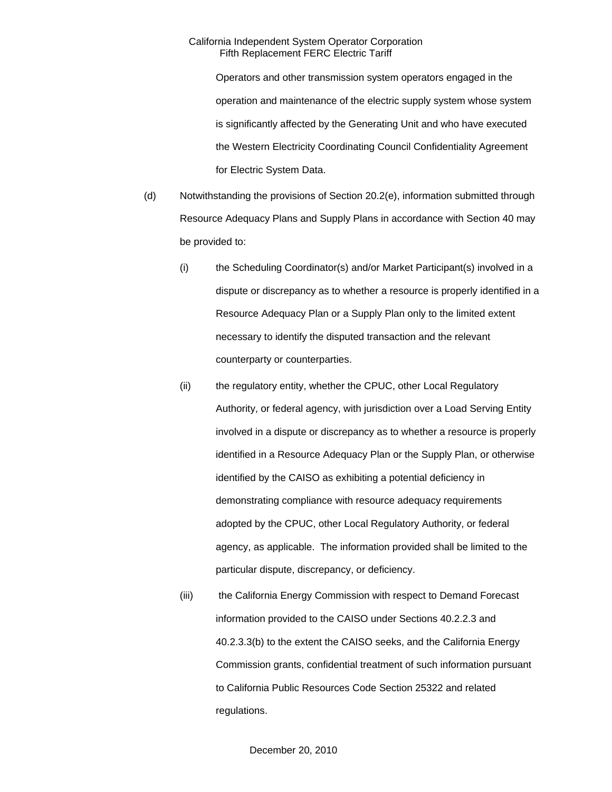Operators and other transmission system operators engaged in the operation and maintenance of the electric supply system whose system is significantly affected by the Generating Unit and who have executed the Western Electricity Coordinating Council Confidentiality Agreement for Electric System Data.

- (d) Notwithstanding the provisions of Section 20.2(e), information submitted through Resource Adequacy Plans and Supply Plans in accordance with Section 40 may be provided to:
	- (i) the Scheduling Coordinator(s) and/or Market Participant(s) involved in a dispute or discrepancy as to whether a resource is properly identified in a Resource Adequacy Plan or a Supply Plan only to the limited extent necessary to identify the disputed transaction and the relevant counterparty or counterparties.
	- (ii) the regulatory entity, whether the CPUC, other Local Regulatory Authority, or federal agency, with jurisdiction over a Load Serving Entity involved in a dispute or discrepancy as to whether a resource is properly identified in a Resource Adequacy Plan or the Supply Plan, or otherwise identified by the CAISO as exhibiting a potential deficiency in demonstrating compliance with resource adequacy requirements adopted by the CPUC, other Local Regulatory Authority, or federal agency, as applicable. The information provided shall be limited to the particular dispute, discrepancy, or deficiency.
	- (iii) the California Energy Commission with respect to Demand Forecast information provided to the CAISO under Sections 40.2.2.3 and 40.2.3.3(b) to the extent the CAISO seeks, and the California Energy Commission grants, confidential treatment of such information pursuant to California Public Resources Code Section 25322 and related regulations.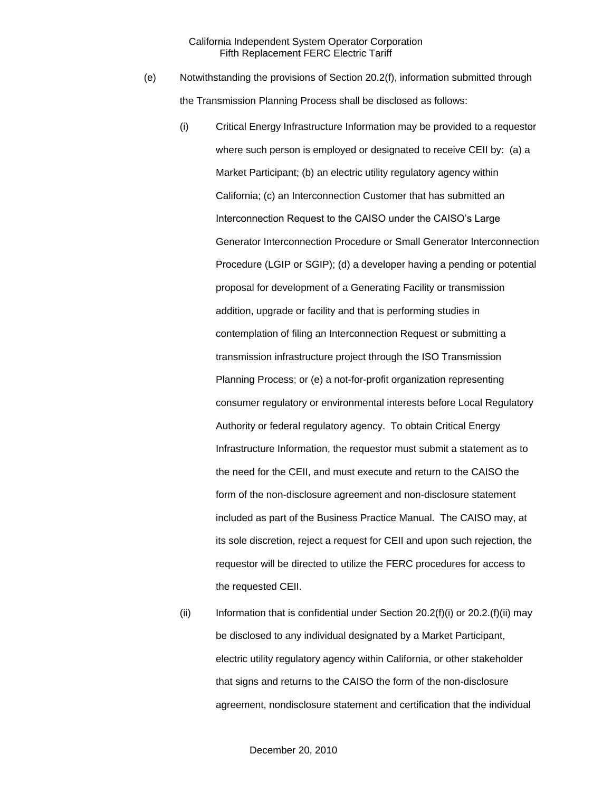- (e) Notwithstanding the provisions of Section 20.2(f), information submitted through the Transmission Planning Process shall be disclosed as follows:
	- (i) Critical Energy Infrastructure Information may be provided to a requestor where such person is employed or designated to receive CEII by: (a) a Market Participant; (b) an electric utility regulatory agency within California; (c) an Interconnection Customer that has submitted an Interconnection Request to the CAISO under the CAISO's Large Generator Interconnection Procedure or Small Generator Interconnection Procedure (LGIP or SGIP); (d) a developer having a pending or potential proposal for development of a Generating Facility or transmission addition, upgrade or facility and that is performing studies in contemplation of filing an Interconnection Request or submitting a transmission infrastructure project through the ISO Transmission Planning Process; or (e) a not-for-profit organization representing consumer regulatory or environmental interests before Local Regulatory Authority or federal regulatory agency. To obtain Critical Energy Infrastructure Information, the requestor must submit a statement as to the need for the CEII, and must execute and return to the CAISO the form of the non-disclosure agreement and non-disclosure statement included as part of the Business Practice Manual. The CAISO may, at its sole discretion, reject a request for CEII and upon such rejection, the requestor will be directed to utilize the FERC procedures for access to the requested CEII.
	- (ii) Information that is confidential under Section 20.2(f)(i) or 20.2.(f)(ii) may be disclosed to any individual designated by a Market Participant, electric utility regulatory agency within California, or other stakeholder that signs and returns to the CAISO the form of the non-disclosure agreement, nondisclosure statement and certification that the individual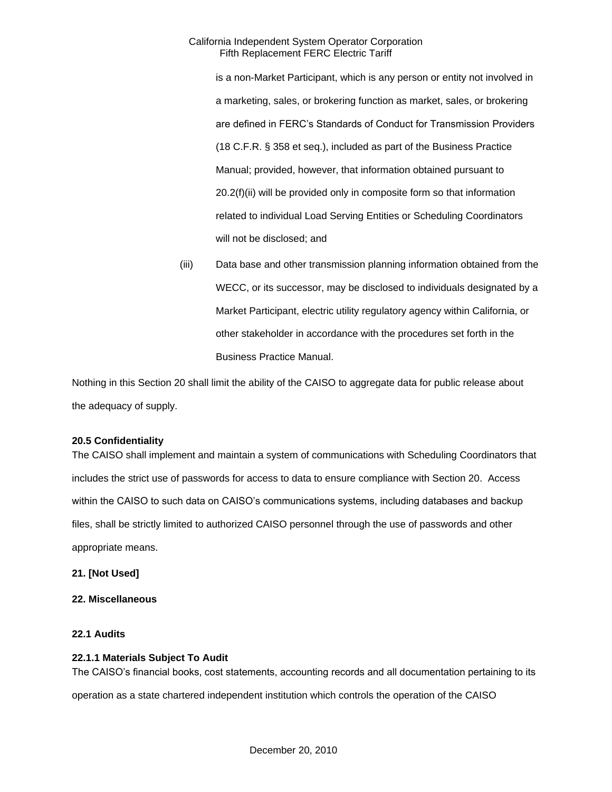is a non-Market Participant, which is any person or entity not involved in a marketing, sales, or brokering function as market, sales, or brokering are defined in FERC's Standards of Conduct for Transmission Providers (18 C.F.R. § 358 et seq.), included as part of the Business Practice Manual; provided, however, that information obtained pursuant to 20.2(f)(ii) will be provided only in composite form so that information related to individual Load Serving Entities or Scheduling Coordinators will not be disclosed; and

(iii) Data base and other transmission planning information obtained from the WECC, or its successor, may be disclosed to individuals designated by a Market Participant, electric utility regulatory agency within California, or other stakeholder in accordance with the procedures set forth in the Business Practice Manual.

Nothing in this Section 20 shall limit the ability of the CAISO to aggregate data for public release about the adequacy of supply.

# **20.5 Confidentiality**

The CAISO shall implement and maintain a system of communications with Scheduling Coordinators that includes the strict use of passwords for access to data to ensure compliance with Section 20. Access within the CAISO to such data on CAISO's communications systems, including databases and backup files, shall be strictly limited to authorized CAISO personnel through the use of passwords and other appropriate means.

# **21. [Not Used]**

# **22. Miscellaneous**

# **22.1 Audits**

### **22.1.1 Materials Subject To Audit**

The CAISO's financial books, cost statements, accounting records and all documentation pertaining to its

operation as a state chartered independent institution which controls the operation of the CAISO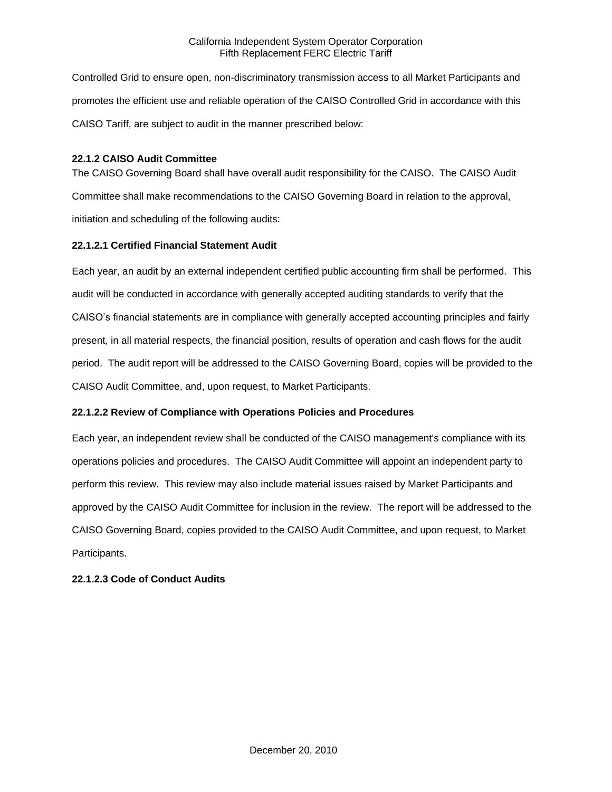Controlled Grid to ensure open, non-discriminatory transmission access to all Market Participants and promotes the efficient use and reliable operation of the CAISO Controlled Grid in accordance with this CAISO Tariff, are subject to audit in the manner prescribed below:

# **22.1.2 CAISO Audit Committee**

The CAISO Governing Board shall have overall audit responsibility for the CAISO. The CAISO Audit Committee shall make recommendations to the CAISO Governing Board in relation to the approval, initiation and scheduling of the following audits:

# **22.1.2.1 Certified Financial Statement Audit**

Each year, an audit by an external independent certified public accounting firm shall be performed. This audit will be conducted in accordance with generally accepted auditing standards to verify that the CAISO's financial statements are in compliance with generally accepted accounting principles and fairly present, in all material respects, the financial position, results of operation and cash flows for the audit period. The audit report will be addressed to the CAISO Governing Board, copies will be provided to the CAISO Audit Committee, and, upon request, to Market Participants.

# **22.1.2.2 Review of Compliance with Operations Policies and Procedures**

Each year, an independent review shall be conducted of the CAISO management's compliance with its operations policies and procedures. The CAISO Audit Committee will appoint an independent party to perform this review. This review may also include material issues raised by Market Participants and approved by the CAISO Audit Committee for inclusion in the review. The report will be addressed to the CAISO Governing Board, copies provided to the CAISO Audit Committee, and upon request, to Market Participants.

# **22.1.2.3 Code of Conduct Audits**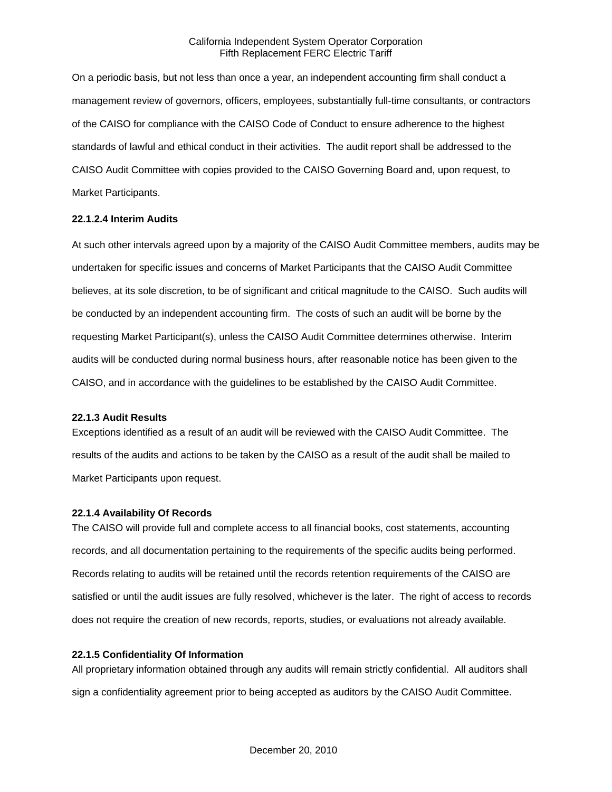On a periodic basis, but not less than once a year, an independent accounting firm shall conduct a management review of governors, officers, employees, substantially full-time consultants, or contractors of the CAISO for compliance with the CAISO Code of Conduct to ensure adherence to the highest standards of lawful and ethical conduct in their activities. The audit report shall be addressed to the CAISO Audit Committee with copies provided to the CAISO Governing Board and, upon request, to Market Participants.

### **22.1.2.4 Interim Audits**

At such other intervals agreed upon by a majority of the CAISO Audit Committee members, audits may be undertaken for specific issues and concerns of Market Participants that the CAISO Audit Committee believes, at its sole discretion, to be of significant and critical magnitude to the CAISO. Such audits will be conducted by an independent accounting firm. The costs of such an audit will be borne by the requesting Market Participant(s), unless the CAISO Audit Committee determines otherwise. Interim audits will be conducted during normal business hours, after reasonable notice has been given to the CAISO, and in accordance with the guidelines to be established by the CAISO Audit Committee.

### **22.1.3 Audit Results**

Exceptions identified as a result of an audit will be reviewed with the CAISO Audit Committee. The results of the audits and actions to be taken by the CAISO as a result of the audit shall be mailed to Market Participants upon request.

### **22.1.4 Availability Of Records**

The CAISO will provide full and complete access to all financial books, cost statements, accounting records, and all documentation pertaining to the requirements of the specific audits being performed. Records relating to audits will be retained until the records retention requirements of the CAISO are satisfied or until the audit issues are fully resolved, whichever is the later. The right of access to records does not require the creation of new records, reports, studies, or evaluations not already available.

# **22.1.5 Confidentiality Of Information**

All proprietary information obtained through any audits will remain strictly confidential. All auditors shall sign a confidentiality agreement prior to being accepted as auditors by the CAISO Audit Committee.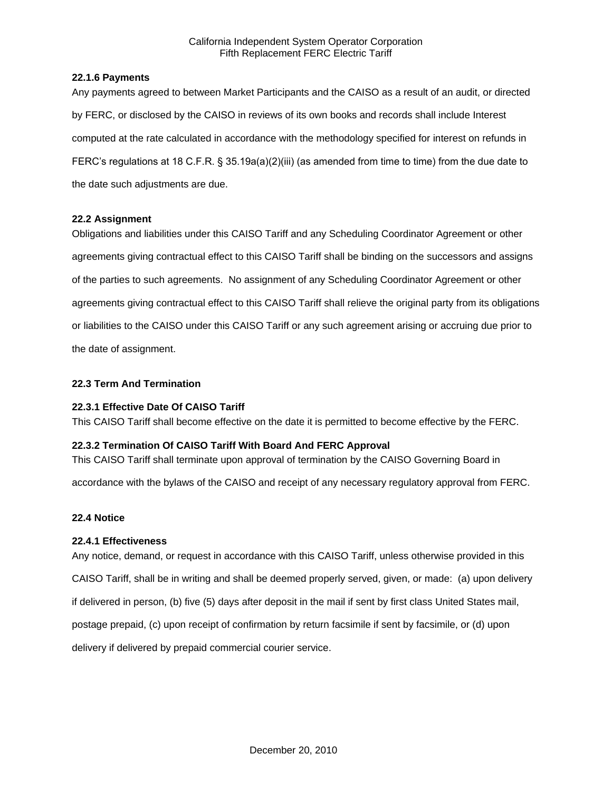## **22.1.6 Payments**

Any payments agreed to between Market Participants and the CAISO as a result of an audit, or directed by FERC, or disclosed by the CAISO in reviews of its own books and records shall include Interest computed at the rate calculated in accordance with the methodology specified for interest on refunds in FERC's regulations at 18 C.F.R. § 35.19a(a)(2)(iii) (as amended from time to time) from the due date to the date such adjustments are due.

# **22.2 Assignment**

Obligations and liabilities under this CAISO Tariff and any Scheduling Coordinator Agreement or other agreements giving contractual effect to this CAISO Tariff shall be binding on the successors and assigns of the parties to such agreements. No assignment of any Scheduling Coordinator Agreement or other agreements giving contractual effect to this CAISO Tariff shall relieve the original party from its obligations or liabilities to the CAISO under this CAISO Tariff or any such agreement arising or accruing due prior to the date of assignment.

# **22.3 Term And Termination**

# **22.3.1 Effective Date Of CAISO Tariff**

This CAISO Tariff shall become effective on the date it is permitted to become effective by the FERC.

## **22.3.2 Termination Of CAISO Tariff With Board And FERC Approval**

This CAISO Tariff shall terminate upon approval of termination by the CAISO Governing Board in

accordance with the bylaws of the CAISO and receipt of any necessary regulatory approval from FERC.

# **22.4 Notice**

### **22.4.1 Effectiveness**

Any notice, demand, or request in accordance with this CAISO Tariff, unless otherwise provided in this CAISO Tariff, shall be in writing and shall be deemed properly served, given, or made: (a) upon delivery if delivered in person, (b) five (5) days after deposit in the mail if sent by first class United States mail, postage prepaid, (c) upon receipt of confirmation by return facsimile if sent by facsimile, or (d) upon delivery if delivered by prepaid commercial courier service.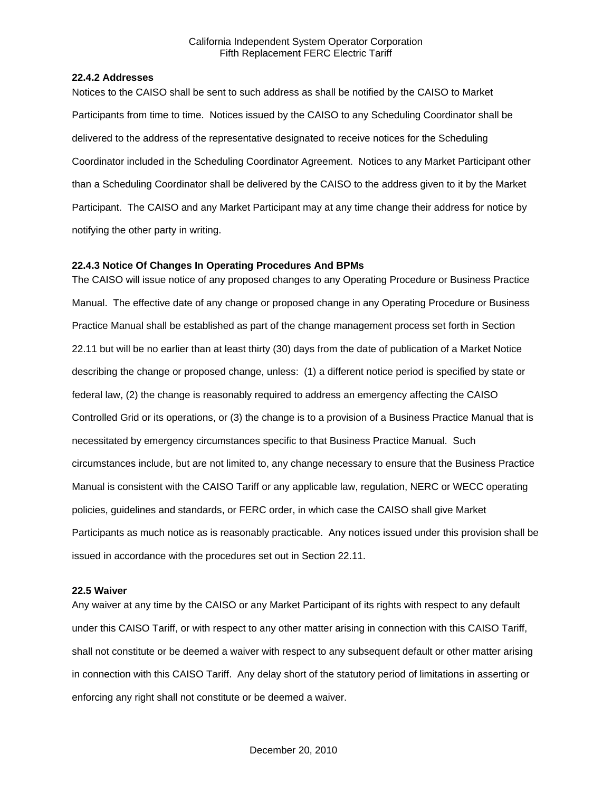#### **22.4.2 Addresses**

Notices to the CAISO shall be sent to such address as shall be notified by the CAISO to Market Participants from time to time. Notices issued by the CAISO to any Scheduling Coordinator shall be delivered to the address of the representative designated to receive notices for the Scheduling Coordinator included in the Scheduling Coordinator Agreement. Notices to any Market Participant other than a Scheduling Coordinator shall be delivered by the CAISO to the address given to it by the Market Participant. The CAISO and any Market Participant may at any time change their address for notice by notifying the other party in writing.

## **22.4.3 Notice Of Changes In Operating Procedures And BPMs**

The CAISO will issue notice of any proposed changes to any Operating Procedure or Business Practice Manual. The effective date of any change or proposed change in any Operating Procedure or Business Practice Manual shall be established as part of the change management process set forth in Section 22.11 but will be no earlier than at least thirty (30) days from the date of publication of a Market Notice describing the change or proposed change, unless: (1) a different notice period is specified by state or federal law, (2) the change is reasonably required to address an emergency affecting the CAISO Controlled Grid or its operations, or (3) the change is to a provision of a Business Practice Manual that is necessitated by emergency circumstances specific to that Business Practice Manual. Such circumstances include, but are not limited to, any change necessary to ensure that the Business Practice Manual is consistent with the CAISO Tariff or any applicable law, regulation, NERC or WECC operating policies, guidelines and standards, or FERC order, in which case the CAISO shall give Market Participants as much notice as is reasonably practicable. Any notices issued under this provision shall be issued in accordance with the procedures set out in Section 22.11.

#### **22.5 Waiver**

Any waiver at any time by the CAISO or any Market Participant of its rights with respect to any default under this CAISO Tariff, or with respect to any other matter arising in connection with this CAISO Tariff, shall not constitute or be deemed a waiver with respect to any subsequent default or other matter arising in connection with this CAISO Tariff. Any delay short of the statutory period of limitations in asserting or enforcing any right shall not constitute or be deemed a waiver.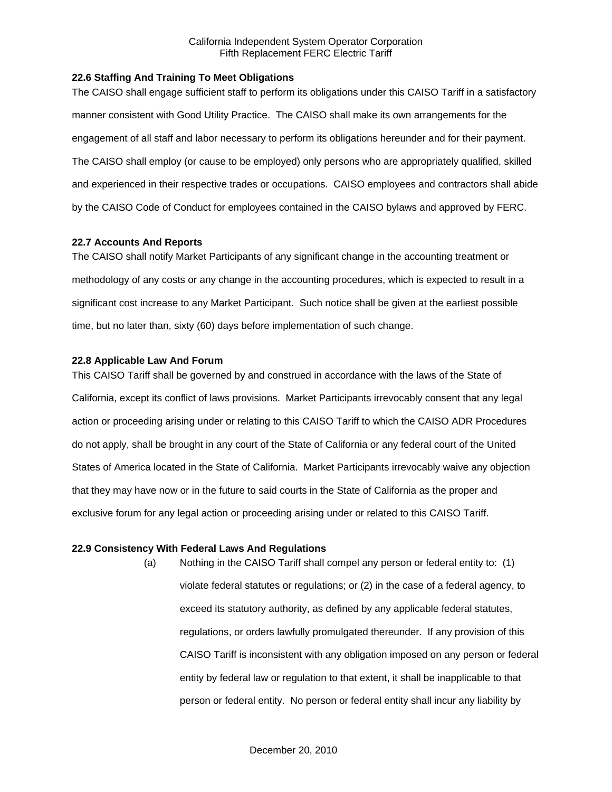## **22.6 Staffing And Training To Meet Obligations**

The CAISO shall engage sufficient staff to perform its obligations under this CAISO Tariff in a satisfactory manner consistent with Good Utility Practice. The CAISO shall make its own arrangements for the engagement of all staff and labor necessary to perform its obligations hereunder and for their payment. The CAISO shall employ (or cause to be employed) only persons who are appropriately qualified, skilled and experienced in their respective trades or occupations. CAISO employees and contractors shall abide by the CAISO Code of Conduct for employees contained in the CAISO bylaws and approved by FERC.

# **22.7 Accounts And Reports**

The CAISO shall notify Market Participants of any significant change in the accounting treatment or methodology of any costs or any change in the accounting procedures, which is expected to result in a significant cost increase to any Market Participant. Such notice shall be given at the earliest possible time, but no later than, sixty (60) days before implementation of such change.

# **22.8 Applicable Law And Forum**

This CAISO Tariff shall be governed by and construed in accordance with the laws of the State of California, except its conflict of laws provisions. Market Participants irrevocably consent that any legal action or proceeding arising under or relating to this CAISO Tariff to which the CAISO ADR Procedures do not apply, shall be brought in any court of the State of California or any federal court of the United States of America located in the State of California. Market Participants irrevocably waive any objection that they may have now or in the future to said courts in the State of California as the proper and exclusive forum for any legal action or proceeding arising under or related to this CAISO Tariff.

### **22.9 Consistency With Federal Laws And Regulations**

(a) Nothing in the CAISO Tariff shall compel any person or federal entity to: (1) violate federal statutes or regulations; or (2) in the case of a federal agency, to exceed its statutory authority, as defined by any applicable federal statutes, regulations, or orders lawfully promulgated thereunder. If any provision of this CAISO Tariff is inconsistent with any obligation imposed on any person or federal entity by federal law or regulation to that extent, it shall be inapplicable to that person or federal entity. No person or federal entity shall incur any liability by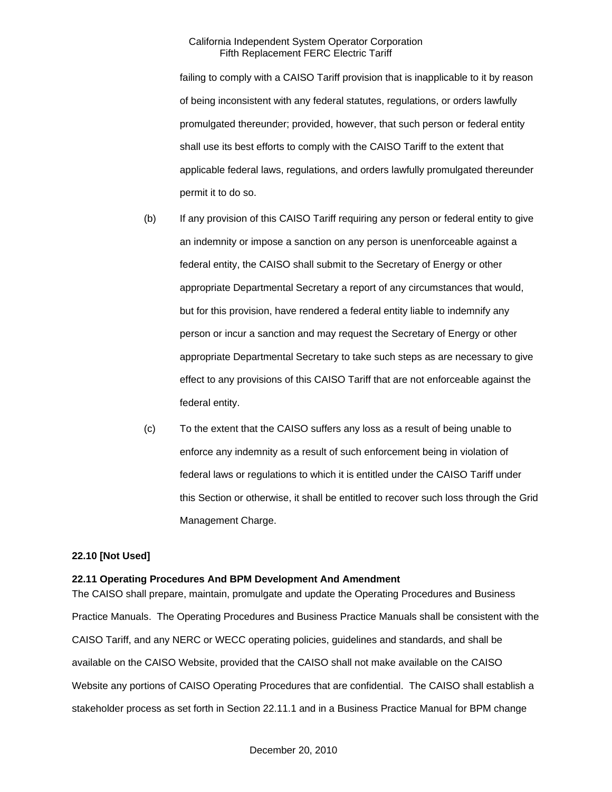failing to comply with a CAISO Tariff provision that is inapplicable to it by reason of being inconsistent with any federal statutes, regulations, or orders lawfully promulgated thereunder; provided, however, that such person or federal entity shall use its best efforts to comply with the CAISO Tariff to the extent that applicable federal laws, regulations, and orders lawfully promulgated thereunder permit it to do so.

- (b) If any provision of this CAISO Tariff requiring any person or federal entity to give an indemnity or impose a sanction on any person is unenforceable against a federal entity, the CAISO shall submit to the Secretary of Energy or other appropriate Departmental Secretary a report of any circumstances that would, but for this provision, have rendered a federal entity liable to indemnify any person or incur a sanction and may request the Secretary of Energy or other appropriate Departmental Secretary to take such steps as are necessary to give effect to any provisions of this CAISO Tariff that are not enforceable against the federal entity.
- (c) To the extent that the CAISO suffers any loss as a result of being unable to enforce any indemnity as a result of such enforcement being in violation of federal laws or regulations to which it is entitled under the CAISO Tariff under this Section or otherwise, it shall be entitled to recover such loss through the Grid Management Charge.

### **22.10 [Not Used]**

# **22.11 Operating Procedures And BPM Development And Amendment**

The CAISO shall prepare, maintain, promulgate and update the Operating Procedures and Business Practice Manuals. The Operating Procedures and Business Practice Manuals shall be consistent with the CAISO Tariff, and any NERC or WECC operating policies, guidelines and standards, and shall be available on the CAISO Website, provided that the CAISO shall not make available on the CAISO Website any portions of CAISO Operating Procedures that are confidential. The CAISO shall establish a stakeholder process as set forth in Section 22.11.1 and in a Business Practice Manual for BPM change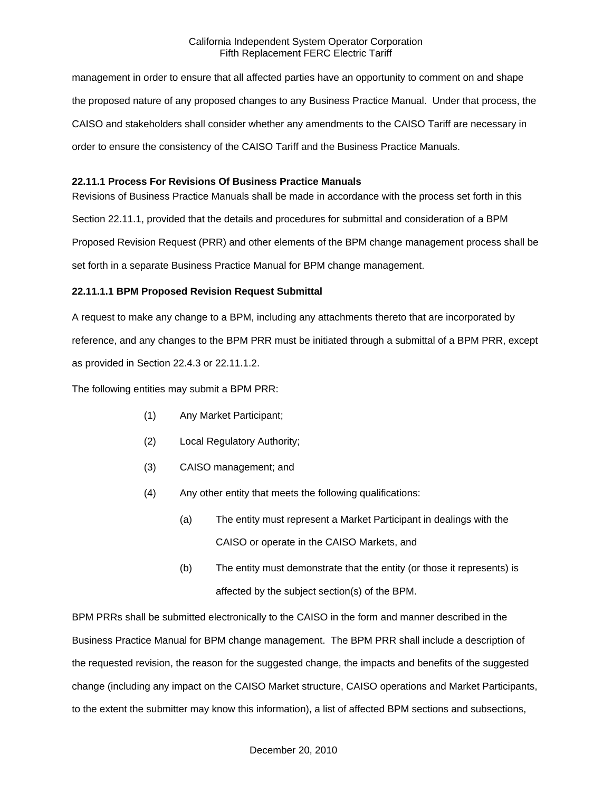management in order to ensure that all affected parties have an opportunity to comment on and shape the proposed nature of any proposed changes to any Business Practice Manual. Under that process, the CAISO and stakeholders shall consider whether any amendments to the CAISO Tariff are necessary in order to ensure the consistency of the CAISO Tariff and the Business Practice Manuals.

# **22.11.1 Process For Revisions Of Business Practice Manuals**

Revisions of Business Practice Manuals shall be made in accordance with the process set forth in this Section 22.11.1, provided that the details and procedures for submittal and consideration of a BPM Proposed Revision Request (PRR) and other elements of the BPM change management process shall be set forth in a separate Business Practice Manual for BPM change management.

# **22.11.1.1 BPM Proposed Revision Request Submittal**

A request to make any change to a BPM, including any attachments thereto that are incorporated by reference, and any changes to the BPM PRR must be initiated through a submittal of a BPM PRR, except as provided in Section 22.4.3 or 22.11.1.2.

The following entities may submit a BPM PRR:

- (1) Any Market Participant;
- (2) Local Regulatory Authority;
- (3) CAISO management; and
- (4) Any other entity that meets the following qualifications:
	- (a) The entity must represent a Market Participant in dealings with the CAISO or operate in the CAISO Markets, and
	- (b) The entity must demonstrate that the entity (or those it represents) is affected by the subject section(s) of the BPM.

BPM PRRs shall be submitted electronically to the CAISO in the form and manner described in the Business Practice Manual for BPM change management. The BPM PRR shall include a description of the requested revision, the reason for the suggested change, the impacts and benefits of the suggested change (including any impact on the CAISO Market structure, CAISO operations and Market Participants, to the extent the submitter may know this information), a list of affected BPM sections and subsections,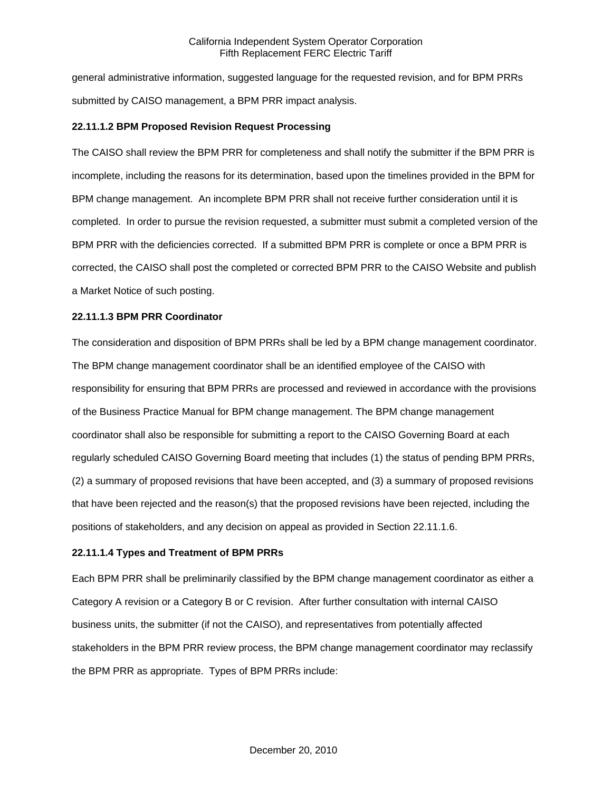general administrative information, suggested language for the requested revision, and for BPM PRRs submitted by CAISO management, a BPM PRR impact analysis.

## **22.11.1.2 BPM Proposed Revision Request Processing**

The CAISO shall review the BPM PRR for completeness and shall notify the submitter if the BPM PRR is incomplete, including the reasons for its determination, based upon the timelines provided in the BPM for BPM change management. An incomplete BPM PRR shall not receive further consideration until it is completed. In order to pursue the revision requested, a submitter must submit a completed version of the BPM PRR with the deficiencies corrected. If a submitted BPM PRR is complete or once a BPM PRR is corrected, the CAISO shall post the completed or corrected BPM PRR to the CAISO Website and publish a Market Notice of such posting.

### **22.11.1.3 BPM PRR Coordinator**

The consideration and disposition of BPM PRRs shall be led by a BPM change management coordinator. The BPM change management coordinator shall be an identified employee of the CAISO with responsibility for ensuring that BPM PRRs are processed and reviewed in accordance with the provisions of the Business Practice Manual for BPM change management. The BPM change management coordinator shall also be responsible for submitting a report to the CAISO Governing Board at each regularly scheduled CAISO Governing Board meeting that includes (1) the status of pending BPM PRRs, (2) a summary of proposed revisions that have been accepted, and (3) a summary of proposed revisions that have been rejected and the reason(s) that the proposed revisions have been rejected, including the positions of stakeholders, and any decision on appeal as provided in Section 22.11.1.6.

### **22.11.1.4 Types and Treatment of BPM PRRs**

Each BPM PRR shall be preliminarily classified by the BPM change management coordinator as either a Category A revision or a Category B or C revision. After further consultation with internal CAISO business units, the submitter (if not the CAISO), and representatives from potentially affected stakeholders in the BPM PRR review process, the BPM change management coordinator may reclassify the BPM PRR as appropriate. Types of BPM PRRs include: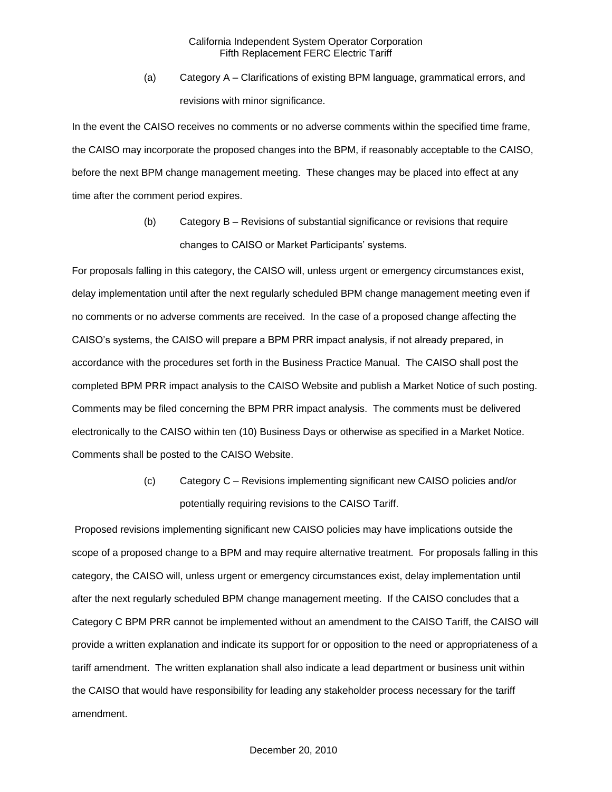(a) Category A – Clarifications of existing BPM language, grammatical errors, and revisions with minor significance.

In the event the CAISO receives no comments or no adverse comments within the specified time frame, the CAISO may incorporate the proposed changes into the BPM, if reasonably acceptable to the CAISO, before the next BPM change management meeting. These changes may be placed into effect at any time after the comment period expires.

> (b) Category B – Revisions of substantial significance or revisions that require changes to CAISO or Market Participants' systems.

For proposals falling in this category, the CAISO will, unless urgent or emergency circumstances exist, delay implementation until after the next regularly scheduled BPM change management meeting even if no comments or no adverse comments are received. In the case of a proposed change affecting the CAISO's systems, the CAISO will prepare a BPM PRR impact analysis, if not already prepared, in accordance with the procedures set forth in the Business Practice Manual. The CAISO shall post the completed BPM PRR impact analysis to the CAISO Website and publish a Market Notice of such posting. Comments may be filed concerning the BPM PRR impact analysis. The comments must be delivered electronically to the CAISO within ten (10) Business Days or otherwise as specified in a Market Notice. Comments shall be posted to the CAISO Website.

> (c) Category C – Revisions implementing significant new CAISO policies and/or potentially requiring revisions to the CAISO Tariff.

Proposed revisions implementing significant new CAISO policies may have implications outside the scope of a proposed change to a BPM and may require alternative treatment. For proposals falling in this category, the CAISO will, unless urgent or emergency circumstances exist, delay implementation until after the next regularly scheduled BPM change management meeting. If the CAISO concludes that a Category C BPM PRR cannot be implemented without an amendment to the CAISO Tariff, the CAISO will provide a written explanation and indicate its support for or opposition to the need or appropriateness of a tariff amendment. The written explanation shall also indicate a lead department or business unit within the CAISO that would have responsibility for leading any stakeholder process necessary for the tariff amendment.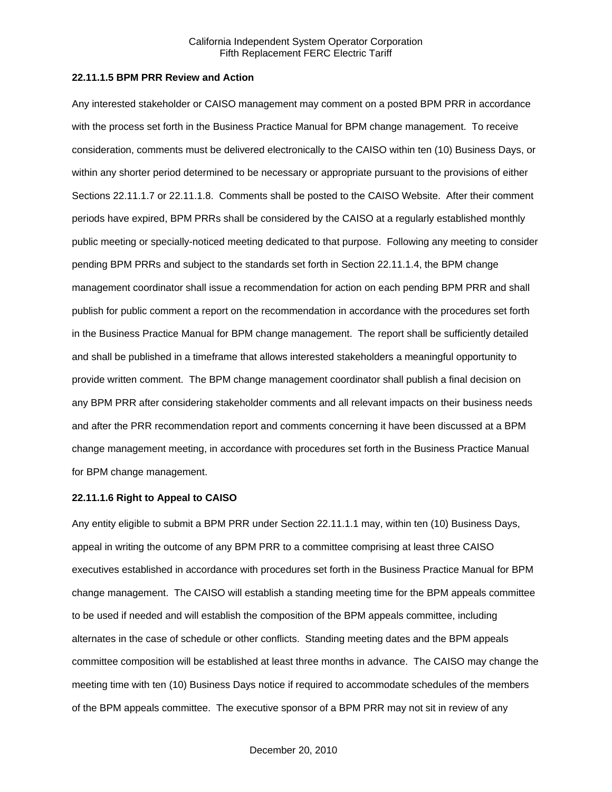## **22.11.1.5 BPM PRR Review and Action**

Any interested stakeholder or CAISO management may comment on a posted BPM PRR in accordance with the process set forth in the Business Practice Manual for BPM change management. To receive consideration, comments must be delivered electronically to the CAISO within ten (10) Business Days, or within any shorter period determined to be necessary or appropriate pursuant to the provisions of either Sections 22.11.1.7 or 22.11.1.8. Comments shall be posted to the CAISO Website. After their comment periods have expired, BPM PRRs shall be considered by the CAISO at a regularly established monthly public meeting or specially-noticed meeting dedicated to that purpose. Following any meeting to consider pending BPM PRRs and subject to the standards set forth in Section 22.11.1.4, the BPM change management coordinator shall issue a recommendation for action on each pending BPM PRR and shall publish for public comment a report on the recommendation in accordance with the procedures set forth in the Business Practice Manual for BPM change management. The report shall be sufficiently detailed and shall be published in a timeframe that allows interested stakeholders a meaningful opportunity to provide written comment. The BPM change management coordinator shall publish a final decision on any BPM PRR after considering stakeholder comments and all relevant impacts on their business needs and after the PRR recommendation report and comments concerning it have been discussed at a BPM change management meeting, in accordance with procedures set forth in the Business Practice Manual for BPM change management.

#### **22.11.1.6 Right to Appeal to CAISO**

Any entity eligible to submit a BPM PRR under Section 22.11.1.1 may, within ten (10) Business Days, appeal in writing the outcome of any BPM PRR to a committee comprising at least three CAISO executives established in accordance with procedures set forth in the Business Practice Manual for BPM change management. The CAISO will establish a standing meeting time for the BPM appeals committee to be used if needed and will establish the composition of the BPM appeals committee, including alternates in the case of schedule or other conflicts. Standing meeting dates and the BPM appeals committee composition will be established at least three months in advance. The CAISO may change the meeting time with ten (10) Business Days notice if required to accommodate schedules of the members of the BPM appeals committee. The executive sponsor of a BPM PRR may not sit in review of any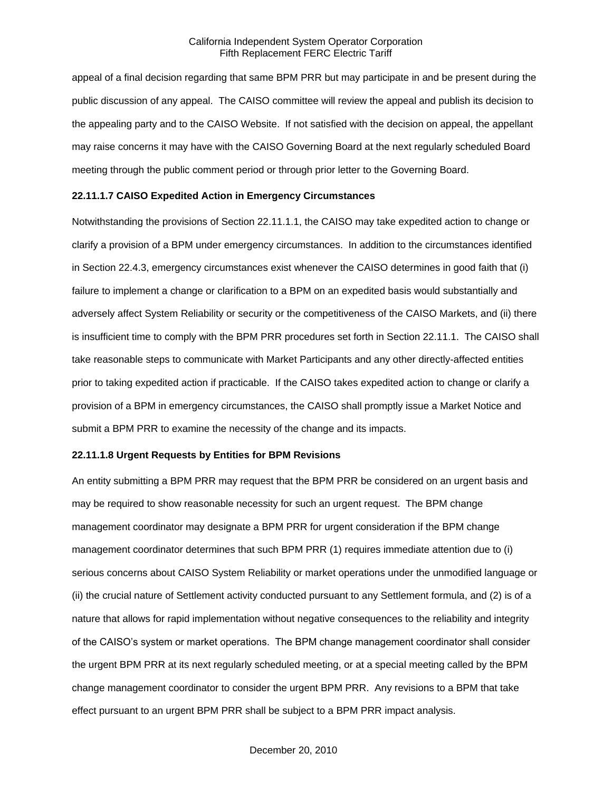appeal of a final decision regarding that same BPM PRR but may participate in and be present during the public discussion of any appeal. The CAISO committee will review the appeal and publish its decision to the appealing party and to the CAISO Website. If not satisfied with the decision on appeal, the appellant may raise concerns it may have with the CAISO Governing Board at the next regularly scheduled Board meeting through the public comment period or through prior letter to the Governing Board.

#### **22.11.1.7 CAISO Expedited Action in Emergency Circumstances**

Notwithstanding the provisions of Section 22.11.1.1, the CAISO may take expedited action to change or clarify a provision of a BPM under emergency circumstances. In addition to the circumstances identified in Section 22.4.3, emergency circumstances exist whenever the CAISO determines in good faith that (i) failure to implement a change or clarification to a BPM on an expedited basis would substantially and adversely affect System Reliability or security or the competitiveness of the CAISO Markets, and (ii) there is insufficient time to comply with the BPM PRR procedures set forth in Section 22.11.1. The CAISO shall take reasonable steps to communicate with Market Participants and any other directly-affected entities prior to taking expedited action if practicable. If the CAISO takes expedited action to change or clarify a provision of a BPM in emergency circumstances, the CAISO shall promptly issue a Market Notice and submit a BPM PRR to examine the necessity of the change and its impacts.

#### **22.11.1.8 Urgent Requests by Entities for BPM Revisions**

An entity submitting a BPM PRR may request that the BPM PRR be considered on an urgent basis and may be required to show reasonable necessity for such an urgent request. The BPM change management coordinator may designate a BPM PRR for urgent consideration if the BPM change management coordinator determines that such BPM PRR (1) requires immediate attention due to (i) serious concerns about CAISO System Reliability or market operations under the unmodified language or (ii) the crucial nature of Settlement activity conducted pursuant to any Settlement formula, and (2) is of a nature that allows for rapid implementation without negative consequences to the reliability and integrity of the CAISO's system or market operations. The BPM change management coordinator shall consider the urgent BPM PRR at its next regularly scheduled meeting, or at a special meeting called by the BPM change management coordinator to consider the urgent BPM PRR. Any revisions to a BPM that take effect pursuant to an urgent BPM PRR shall be subject to a BPM PRR impact analysis.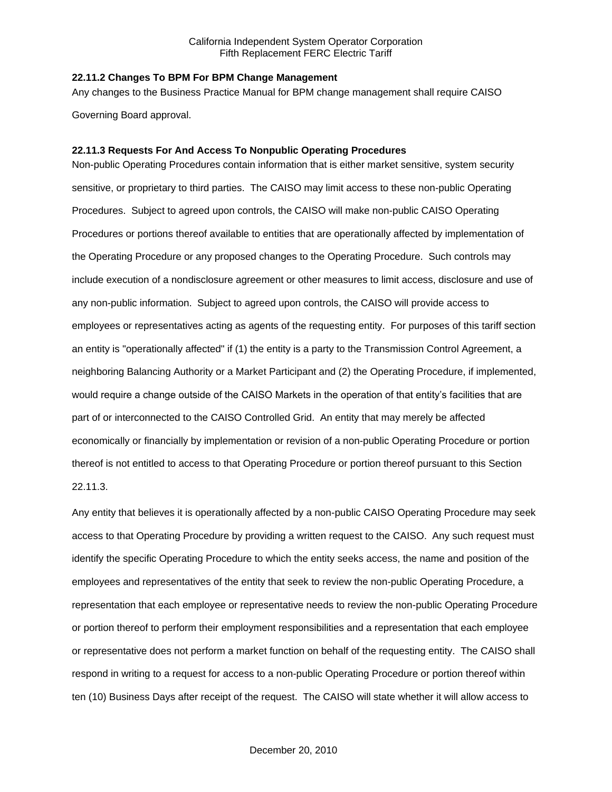#### **22.11.2 Changes To BPM For BPM Change Management**

Any changes to the Business Practice Manual for BPM change management shall require CAISO Governing Board approval.

#### **22.11.3 Requests For And Access To Nonpublic Operating Procedures**

Non-public Operating Procedures contain information that is either market sensitive, system security sensitive, or proprietary to third parties. The CAISO may limit access to these non-public Operating Procedures. Subject to agreed upon controls, the CAISO will make non-public CAISO Operating Procedures or portions thereof available to entities that are operationally affected by implementation of the Operating Procedure or any proposed changes to the Operating Procedure. Such controls may include execution of a nondisclosure agreement or other measures to limit access, disclosure and use of any non-public information. Subject to agreed upon controls, the CAISO will provide access to employees or representatives acting as agents of the requesting entity. For purposes of this tariff section an entity is "operationally affected" if (1) the entity is a party to the Transmission Control Agreement, a neighboring Balancing Authority or a Market Participant and (2) the Operating Procedure, if implemented, would require a change outside of the CAISO Markets in the operation of that entity's facilities that are part of or interconnected to the CAISO Controlled Grid. An entity that may merely be affected economically or financially by implementation or revision of a non-public Operating Procedure or portion thereof is not entitled to access to that Operating Procedure or portion thereof pursuant to this Section 22.11.3.

Any entity that believes it is operationally affected by a non-public CAISO Operating Procedure may seek access to that Operating Procedure by providing a written request to the CAISO. Any such request must identify the specific Operating Procedure to which the entity seeks access, the name and position of the employees and representatives of the entity that seek to review the non-public Operating Procedure, a representation that each employee or representative needs to review the non-public Operating Procedure or portion thereof to perform their employment responsibilities and a representation that each employee or representative does not perform a market function on behalf of the requesting entity. The CAISO shall respond in writing to a request for access to a non-public Operating Procedure or portion thereof within ten (10) Business Days after receipt of the request. The CAISO will state whether it will allow access to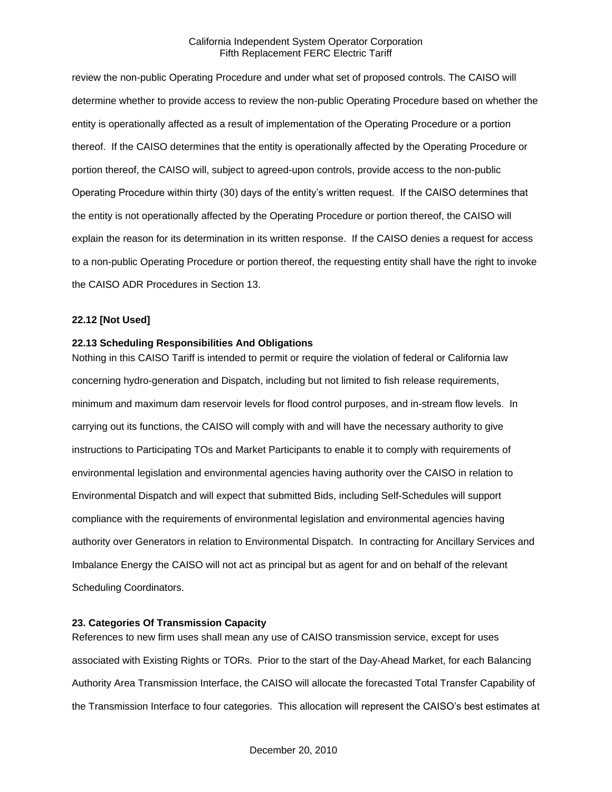review the non-public Operating Procedure and under what set of proposed controls. The CAISO will determine whether to provide access to review the non-public Operating Procedure based on whether the entity is operationally affected as a result of implementation of the Operating Procedure or a portion thereof. If the CAISO determines that the entity is operationally affected by the Operating Procedure or portion thereof, the CAISO will, subject to agreed-upon controls, provide access to the non-public Operating Procedure within thirty (30) days of the entity's written request. If the CAISO determines that the entity is not operationally affected by the Operating Procedure or portion thereof, the CAISO will explain the reason for its determination in its written response. If the CAISO denies a request for access to a non-public Operating Procedure or portion thereof, the requesting entity shall have the right to invoke the CAISO ADR Procedures in Section 13.

## **22.12 [Not Used]**

#### **22.13 Scheduling Responsibilities And Obligations**

Nothing in this CAISO Tariff is intended to permit or require the violation of federal or California law concerning hydro-generation and Dispatch, including but not limited to fish release requirements, minimum and maximum dam reservoir levels for flood control purposes, and in-stream flow levels. In carrying out its functions, the CAISO will comply with and will have the necessary authority to give instructions to Participating TOs and Market Participants to enable it to comply with requirements of environmental legislation and environmental agencies having authority over the CAISO in relation to Environmental Dispatch and will expect that submitted Bids, including Self-Schedules will support compliance with the requirements of environmental legislation and environmental agencies having authority over Generators in relation to Environmental Dispatch. In contracting for Ancillary Services and Imbalance Energy the CAISO will not act as principal but as agent for and on behalf of the relevant Scheduling Coordinators.

### **23. Categories Of Transmission Capacity**

References to new firm uses shall mean any use of CAISO transmission service, except for uses associated with Existing Rights or TORs. Prior to the start of the Day-Ahead Market, for each Balancing Authority Area Transmission Interface, the CAISO will allocate the forecasted Total Transfer Capability of the Transmission Interface to four categories. This allocation will represent the CAISO's best estimates at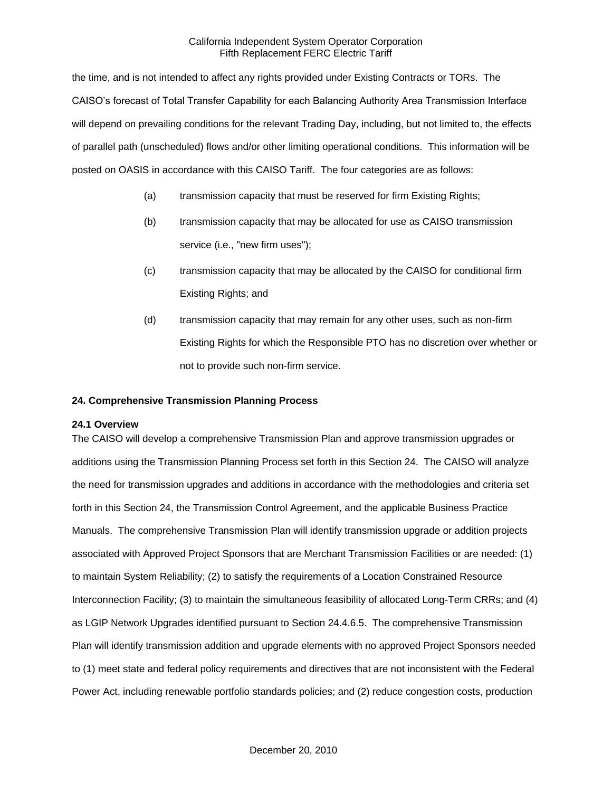the time, and is not intended to affect any rights provided under Existing Contracts or TORs. The CAISO's forecast of Total Transfer Capability for each Balancing Authority Area Transmission Interface will depend on prevailing conditions for the relevant Trading Day, including, but not limited to, the effects of parallel path (unscheduled) flows and/or other limiting operational conditions. This information will be posted on OASIS in accordance with this CAISO Tariff. The four categories are as follows:

- (a) transmission capacity that must be reserved for firm Existing Rights;
- (b) transmission capacity that may be allocated for use as CAISO transmission service (i.e., "new firm uses");
- (c) transmission capacity that may be allocated by the CAISO for conditional firm Existing Rights; and
- (d) transmission capacity that may remain for any other uses, such as non-firm Existing Rights for which the Responsible PTO has no discretion over whether or not to provide such non-firm service.

## **24. Comprehensive Transmission Planning Process**

### **24.1 Overview**

The CAISO will develop a comprehensive Transmission Plan and approve transmission upgrades or additions using the Transmission Planning Process set forth in this Section 24. The CAISO will analyze the need for transmission upgrades and additions in accordance with the methodologies and criteria set forth in this Section 24, the Transmission Control Agreement, and the applicable Business Practice Manuals. The comprehensive Transmission Plan will identify transmission upgrade or addition projects associated with Approved Project Sponsors that are Merchant Transmission Facilities or are needed: (1) to maintain System Reliability; (2) to satisfy the requirements of a Location Constrained Resource Interconnection Facility; (3) to maintain the simultaneous feasibility of allocated Long-Term CRRs; and (4) as LGIP Network Upgrades identified pursuant to Section 24.4.6.5. The comprehensive Transmission Plan will identify transmission addition and upgrade elements with no approved Project Sponsors needed to (1) meet state and federal policy requirements and directives that are not inconsistent with the Federal Power Act, including renewable portfolio standards policies; and (2) reduce congestion costs, production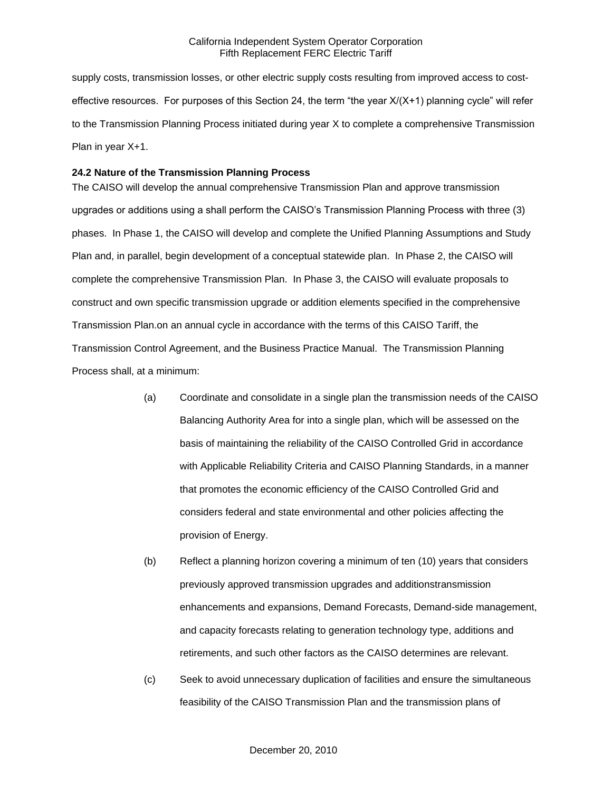supply costs, transmission losses, or other electric supply costs resulting from improved access to costeffective resources. For purposes of this Section 24, the term "the year X/(X+1) planning cycle" will refer to the Transmission Planning Process initiated during year X to complete a comprehensive Transmission Plan in year X+1.

#### **24.2 Nature of the Transmission Planning Process**

The CAISO will develop the annual comprehensive Transmission Plan and approve transmission upgrades or additions using a shall perform the CAISO's Transmission Planning Process with three (3) phases. In Phase 1, the CAISO will develop and complete the Unified Planning Assumptions and Study Plan and, in parallel, begin development of a conceptual statewide plan. In Phase 2, the CAISO will complete the comprehensive Transmission Plan. In Phase 3, the CAISO will evaluate proposals to construct and own specific transmission upgrade or addition elements specified in the comprehensive Transmission Plan.on an annual cycle in accordance with the terms of this CAISO Tariff, the Transmission Control Agreement, and the Business Practice Manual. The Transmission Planning Process shall, at a minimum:

- (a) Coordinate and consolidate in a single plan the transmission needs of the CAISO Balancing Authority Area for into a single plan, which will be assessed on the basis of maintaining the reliability of the CAISO Controlled Grid in accordance with Applicable Reliability Criteria and CAISO Planning Standards, in a manner that promotes the economic efficiency of the CAISO Controlled Grid and considers federal and state environmental and other policies affecting the provision of Energy.
- (b) Reflect a planning horizon covering a minimum of ten (10) years that considers previously approved transmission upgrades and additionstransmission enhancements and expansions, Demand Forecasts, Demand-side management, and capacity forecasts relating to generation technology type, additions and retirements, and such other factors as the CAISO determines are relevant.
- (c) Seek to avoid unnecessary duplication of facilities and ensure the simultaneous feasibility of the CAISO Transmission Plan and the transmission plans of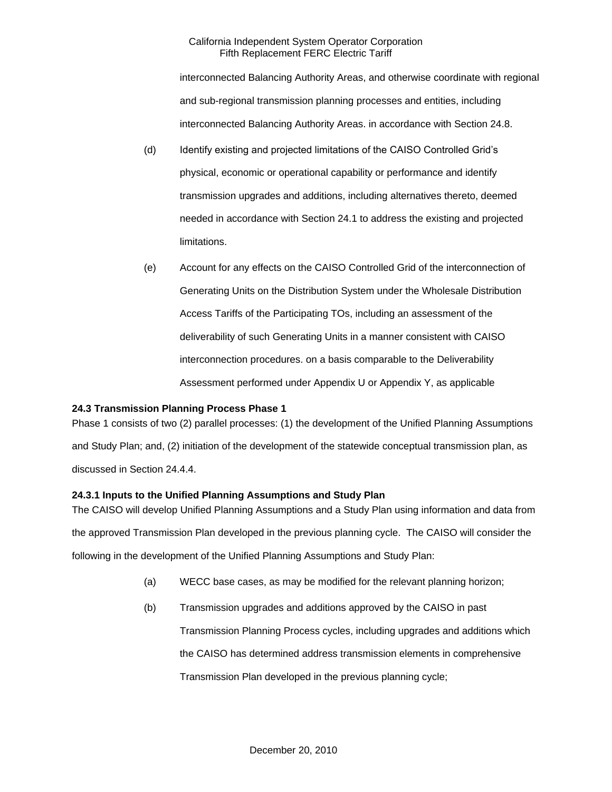interconnected Balancing Authority Areas, and otherwise coordinate with regional and sub-regional transmission planning processes and entities, including interconnected Balancing Authority Areas. in accordance with Section 24.8.

- (d) Identify existing and projected limitations of the CAISO Controlled Grid's physical, economic or operational capability or performance and identify transmission upgrades and additions, including alternatives thereto, deemed needed in accordance with Section 24.1 to address the existing and projected limitations.
- (e) Account for any effects on the CAISO Controlled Grid of the interconnection of Generating Units on the Distribution System under the Wholesale Distribution Access Tariffs of the Participating TOs, including an assessment of the deliverability of such Generating Units in a manner consistent with CAISO interconnection procedures. on a basis comparable to the Deliverability Assessment performed under Appendix U or Appendix Y, as applicable

# **24.3 Transmission Planning Process Phase 1**

Phase 1 consists of two (2) parallel processes: (1) the development of the Unified Planning Assumptions and Study Plan; and, (2) initiation of the development of the statewide conceptual transmission plan, as discussed in Section 24.4.4.

# **24.3.1 Inputs to the Unified Planning Assumptions and Study Plan**

The CAISO will develop Unified Planning Assumptions and a Study Plan using information and data from the approved Transmission Plan developed in the previous planning cycle. The CAISO will consider the following in the development of the Unified Planning Assumptions and Study Plan:

- (a) WECC base cases, as may be modified for the relevant planning horizon;
- (b) Transmission upgrades and additions approved by the CAISO in past Transmission Planning Process cycles, including upgrades and additions which the CAISO has determined address transmission elements in comprehensive Transmission Plan developed in the previous planning cycle;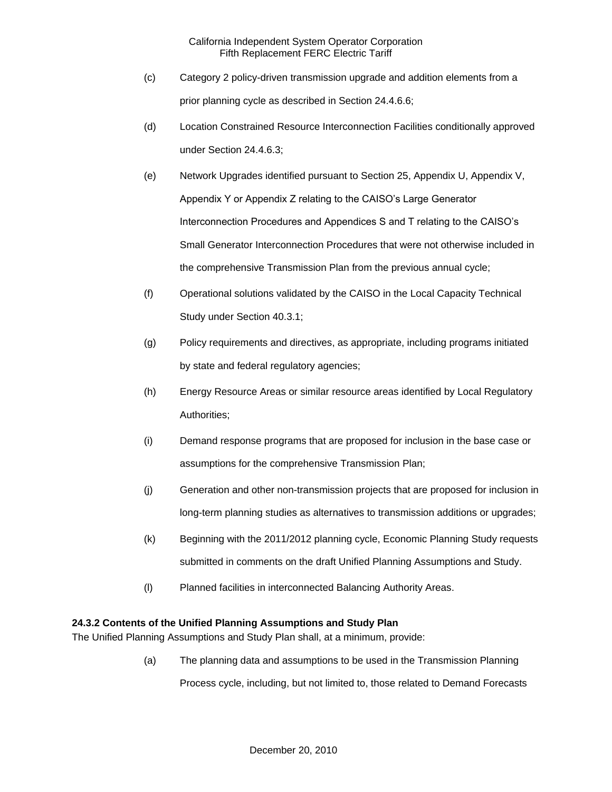- (c) Category 2 policy-driven transmission upgrade and addition elements from a prior planning cycle as described in Section 24.4.6.6;
- (d) Location Constrained Resource Interconnection Facilities conditionally approved under Section 24.4.6.3;
- (e) Network Upgrades identified pursuant to Section 25, Appendix U, Appendix V, Appendix Y or Appendix Z relating to the CAISO's Large Generator Interconnection Procedures and Appendices S and T relating to the CAISO's Small Generator Interconnection Procedures that were not otherwise included in the comprehensive Transmission Plan from the previous annual cycle;
- (f) Operational solutions validated by the CAISO in the Local Capacity Technical Study under Section 40.3.1;
- (g) Policy requirements and directives, as appropriate, including programs initiated by state and federal regulatory agencies;
- (h) Energy Resource Areas or similar resource areas identified by Local Regulatory Authorities;
- (i) Demand response programs that are proposed for inclusion in the base case or assumptions for the comprehensive Transmission Plan;
- (j) Generation and other non-transmission projects that are proposed for inclusion in long-term planning studies as alternatives to transmission additions or upgrades;
- (k) Beginning with the 2011/2012 planning cycle, Economic Planning Study requests submitted in comments on the draft Unified Planning Assumptions and Study.
- (l) Planned facilities in interconnected Balancing Authority Areas.

# **24.3.2 Contents of the Unified Planning Assumptions and Study Plan**

The Unified Planning Assumptions and Study Plan shall, at a minimum, provide:

(a) The planning data and assumptions to be used in the Transmission Planning

Process cycle, including, but not limited to, those related to Demand Forecasts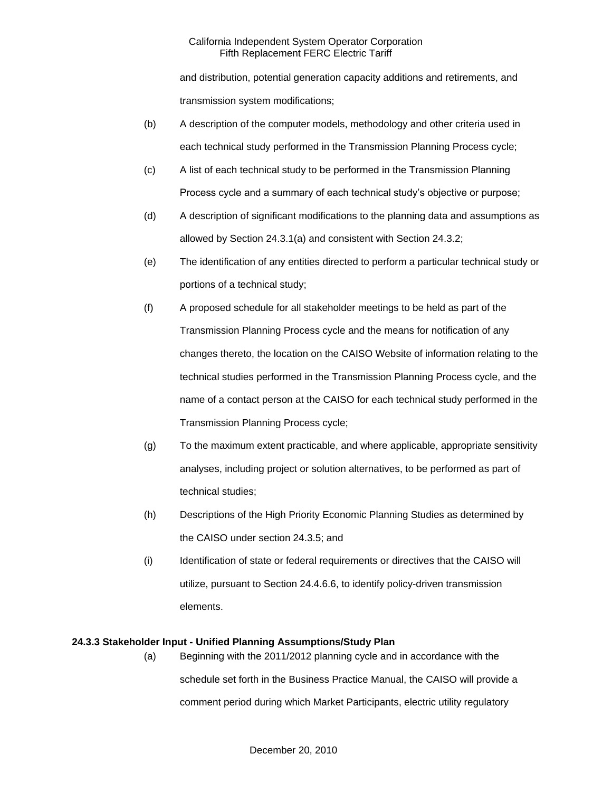and distribution, potential generation capacity additions and retirements, and transmission system modifications;

- (b) A description of the computer models, methodology and other criteria used in each technical study performed in the Transmission Planning Process cycle;
- (c) A list of each technical study to be performed in the Transmission Planning Process cycle and a summary of each technical study's objective or purpose;
- (d) A description of significant modifications to the planning data and assumptions as allowed by Section 24.3.1(a) and consistent with Section 24.3.2;
- (e) The identification of any entities directed to perform a particular technical study or portions of a technical study;
- (f) A proposed schedule for all stakeholder meetings to be held as part of the Transmission Planning Process cycle and the means for notification of any changes thereto, the location on the CAISO Website of information relating to the technical studies performed in the Transmission Planning Process cycle, and the name of a contact person at the CAISO for each technical study performed in the Transmission Planning Process cycle;
- (g) To the maximum extent practicable, and where applicable, appropriate sensitivity analyses, including project or solution alternatives, to be performed as part of technical studies;
- (h) Descriptions of the High Priority Economic Planning Studies as determined by the CAISO under section 24.3.5; and
- (i) Identification of state or federal requirements or directives that the CAISO will utilize, pursuant to Section 24.4.6.6, to identify policy-driven transmission elements.

# **24.3.3 Stakeholder Input - Unified Planning Assumptions/Study Plan**

(a) Beginning with the 2011/2012 planning cycle and in accordance with the schedule set forth in the Business Practice Manual, the CAISO will provide a comment period during which Market Participants, electric utility regulatory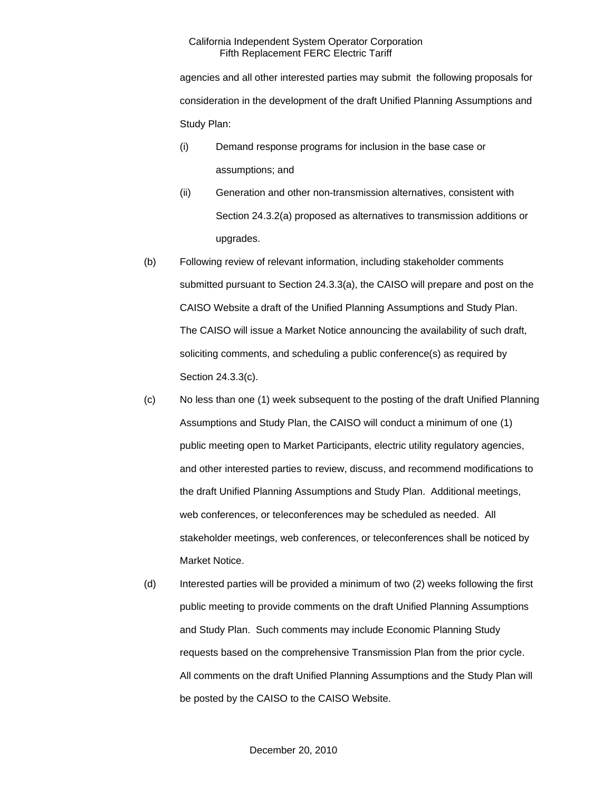agencies and all other interested parties may submit the following proposals for consideration in the development of the draft Unified Planning Assumptions and Study Plan:

- (i) Demand response programs for inclusion in the base case or assumptions; and
- (ii) Generation and other non-transmission alternatives, consistent with Section 24.3.2(a) proposed as alternatives to transmission additions or upgrades.
- (b) Following review of relevant information, including stakeholder comments submitted pursuant to Section 24.3.3(a), the CAISO will prepare and post on the CAISO Website a draft of the Unified Planning Assumptions and Study Plan. The CAISO will issue a Market Notice announcing the availability of such draft, soliciting comments, and scheduling a public conference(s) as required by Section 24.3.3(c).
- (c) No less than one (1) week subsequent to the posting of the draft Unified Planning Assumptions and Study Plan, the CAISO will conduct a minimum of one (1) public meeting open to Market Participants, electric utility regulatory agencies, and other interested parties to review, discuss, and recommend modifications to the draft Unified Planning Assumptions and Study Plan. Additional meetings, web conferences, or teleconferences may be scheduled as needed. All stakeholder meetings, web conferences, or teleconferences shall be noticed by Market Notice.
- (d) Interested parties will be provided a minimum of two (2) weeks following the first public meeting to provide comments on the draft Unified Planning Assumptions and Study Plan. Such comments may include Economic Planning Study requests based on the comprehensive Transmission Plan from the prior cycle. All comments on the draft Unified Planning Assumptions and the Study Plan will be posted by the CAISO to the CAISO Website.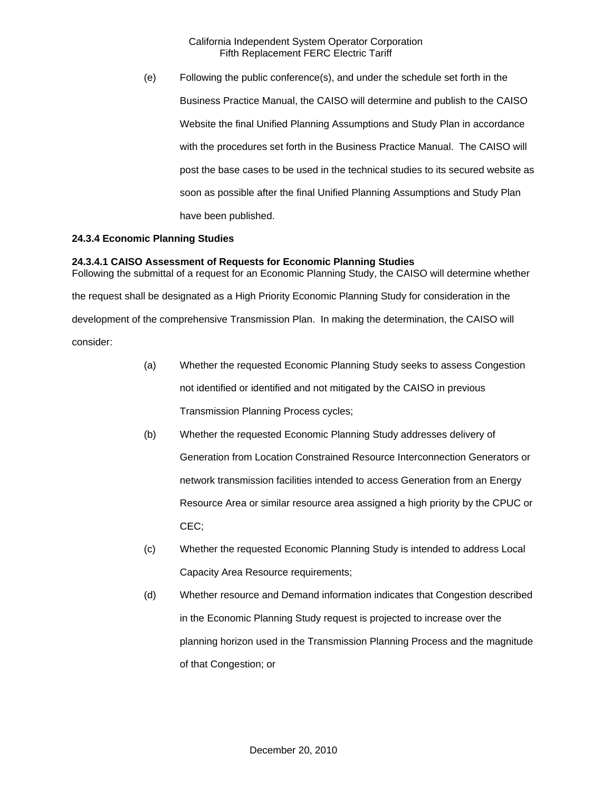(e) Following the public conference(s), and under the schedule set forth in the Business Practice Manual, the CAISO will determine and publish to the CAISO Website the final Unified Planning Assumptions and Study Plan in accordance with the procedures set forth in the Business Practice Manual. The CAISO will post the base cases to be used in the technical studies to its secured website as soon as possible after the final Unified Planning Assumptions and Study Plan have been published.

### **24.3.4 Economic Planning Studies**

### **24.3.4.1 CAISO Assessment of Requests for Economic Planning Studies**

Following the submittal of a request for an Economic Planning Study, the CAISO will determine whether the request shall be designated as a High Priority Economic Planning Study for consideration in the development of the comprehensive Transmission Plan. In making the determination, the CAISO will consider:

- (a) Whether the requested Economic Planning Study seeks to assess Congestion not identified or identified and not mitigated by the CAISO in previous Transmission Planning Process cycles;
- (b) Whether the requested Economic Planning Study addresses delivery of Generation from Location Constrained Resource Interconnection Generators or network transmission facilities intended to access Generation from an Energy Resource Area or similar resource area assigned a high priority by the CPUC or CEC;
- (c) Whether the requested Economic Planning Study is intended to address Local Capacity Area Resource requirements;
- (d) Whether resource and Demand information indicates that Congestion described in the Economic Planning Study request is projected to increase over the planning horizon used in the Transmission Planning Process and the magnitude of that Congestion; or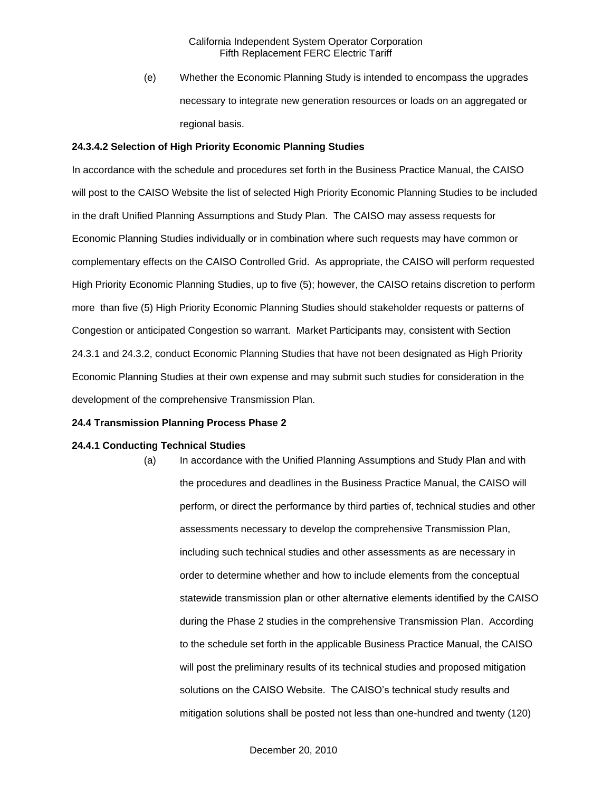(e) Whether the Economic Planning Study is intended to encompass the upgrades necessary to integrate new generation resources or loads on an aggregated or regional basis.

#### **24.3.4.2 Selection of High Priority Economic Planning Studies**

In accordance with the schedule and procedures set forth in the Business Practice Manual, the CAISO will post to the CAISO Website the list of selected High Priority Economic Planning Studies to be included in the draft Unified Planning Assumptions and Study Plan. The CAISO may assess requests for Economic Planning Studies individually or in combination where such requests may have common or complementary effects on the CAISO Controlled Grid. As appropriate, the CAISO will perform requested High Priority Economic Planning Studies, up to five (5); however, the CAISO retains discretion to perform more than five (5) High Priority Economic Planning Studies should stakeholder requests or patterns of Congestion or anticipated Congestion so warrant. Market Participants may, consistent with Section 24.3.1 and 24.3.2, conduct Economic Planning Studies that have not been designated as High Priority Economic Planning Studies at their own expense and may submit such studies for consideration in the development of the comprehensive Transmission Plan.

#### **24.4 Transmission Planning Process Phase 2**

#### **24.4.1 Conducting Technical Studies**

(a) In accordance with the Unified Planning Assumptions and Study Plan and with the procedures and deadlines in the Business Practice Manual, the CAISO will perform, or direct the performance by third parties of, technical studies and other assessments necessary to develop the comprehensive Transmission Plan, including such technical studies and other assessments as are necessary in order to determine whether and how to include elements from the conceptual statewide transmission plan or other alternative elements identified by the CAISO during the Phase 2 studies in the comprehensive Transmission Plan. According to the schedule set forth in the applicable Business Practice Manual, the CAISO will post the preliminary results of its technical studies and proposed mitigation solutions on the CAISO Website. The CAISO's technical study results and mitigation solutions shall be posted not less than one-hundred and twenty (120)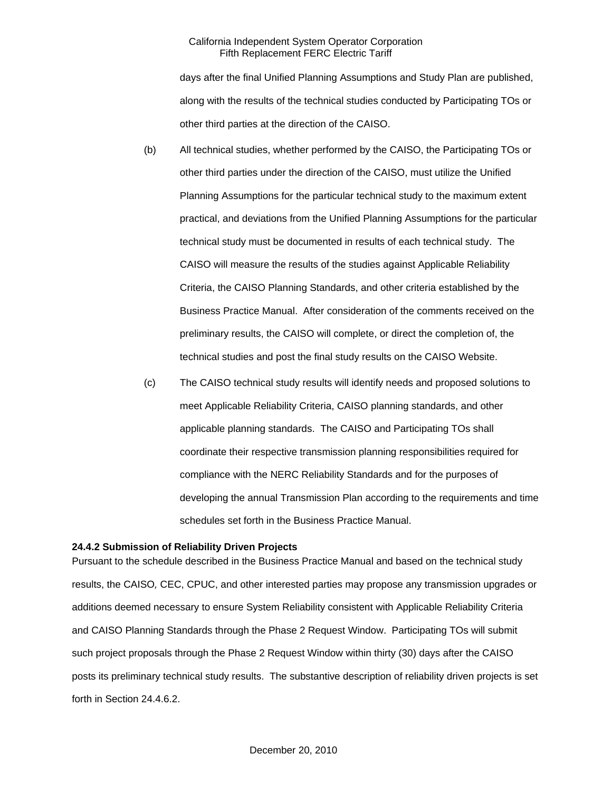days after the final Unified Planning Assumptions and Study Plan are published, along with the results of the technical studies conducted by Participating TOs or other third parties at the direction of the CAISO.

- (b) All technical studies, whether performed by the CAISO, the Participating TOs or other third parties under the direction of the CAISO, must utilize the Unified Planning Assumptions for the particular technical study to the maximum extent practical, and deviations from the Unified Planning Assumptions for the particular technical study must be documented in results of each technical study. The CAISO will measure the results of the studies against Applicable Reliability Criteria, the CAISO Planning Standards, and other criteria established by the Business Practice Manual. After consideration of the comments received on the preliminary results, the CAISO will complete, or direct the completion of, the technical studies and post the final study results on the CAISO Website.
- (c) The CAISO technical study results will identify needs and proposed solutions to meet Applicable Reliability Criteria, CAISO planning standards, and other applicable planning standards. The CAISO and Participating TOs shall coordinate their respective transmission planning responsibilities required for compliance with the NERC Reliability Standards and for the purposes of developing the annual Transmission Plan according to the requirements and time schedules set forth in the Business Practice Manual.

#### **24.4.2 Submission of Reliability Driven Projects**

Pursuant to the schedule described in the Business Practice Manual and based on the technical study results, the CAISO*,* CEC, CPUC, and other interested parties may propose any transmission upgrades or additions deemed necessary to ensure System Reliability consistent with Applicable Reliability Criteria and CAISO Planning Standards through the Phase 2 Request Window. Participating TOs will submit such project proposals through the Phase 2 Request Window within thirty (30) days after the CAISO posts its preliminary technical study results. The substantive description of reliability driven projects is set forth in Section 24.4.6.2.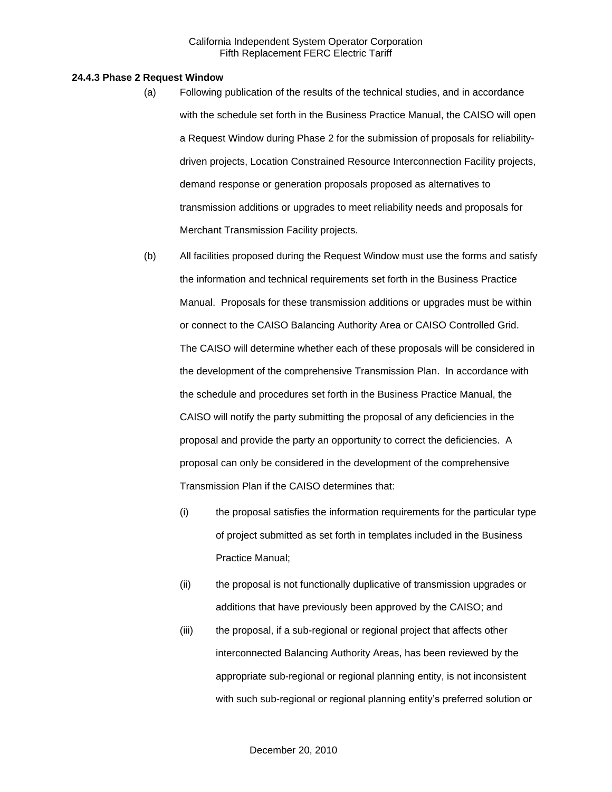#### **24.4.3 Phase 2 Request Window**

- (a) Following publication of the results of the technical studies, and in accordance with the schedule set forth in the Business Practice Manual, the CAISO will open a Request Window during Phase 2 for the submission of proposals for reliabilitydriven projects, Location Constrained Resource Interconnection Facility projects, demand response or generation proposals proposed as alternatives to transmission additions or upgrades to meet reliability needs and proposals for Merchant Transmission Facility projects.
- (b) All facilities proposed during the Request Window must use the forms and satisfy the information and technical requirements set forth in the Business Practice Manual. Proposals for these transmission additions or upgrades must be within or connect to the CAISO Balancing Authority Area or CAISO Controlled Grid. The CAISO will determine whether each of these proposals will be considered in the development of the comprehensive Transmission Plan. In accordance with the schedule and procedures set forth in the Business Practice Manual, the CAISO will notify the party submitting the proposal of any deficiencies in the proposal and provide the party an opportunity to correct the deficiencies. A proposal can only be considered in the development of the comprehensive Transmission Plan if the CAISO determines that:
	- (i) the proposal satisfies the information requirements for the particular type of project submitted as set forth in templates included in the Business Practice Manual;
	- (ii) the proposal is not functionally duplicative of transmission upgrades or additions that have previously been approved by the CAISO; and
	- (iii) the proposal, if a sub-regional or regional project that affects other interconnected Balancing Authority Areas, has been reviewed by the appropriate sub-regional or regional planning entity, is not inconsistent with such sub-regional or regional planning entity's preferred solution or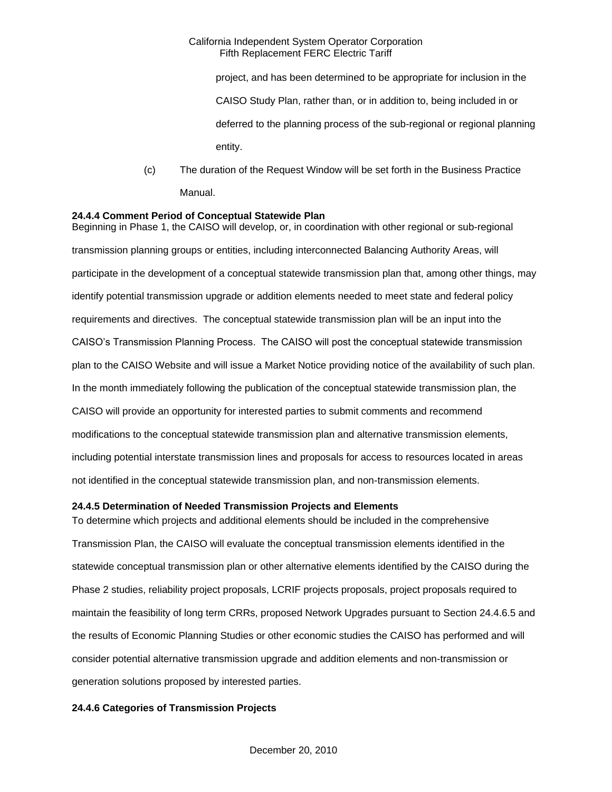project, and has been determined to be appropriate for inclusion in the CAISO Study Plan, rather than, or in addition to, being included in or deferred to the planning process of the sub-regional or regional planning entity.

(c) The duration of the Request Window will be set forth in the Business Practice Manual.

### **24.4.4 Comment Period of Conceptual Statewide Plan**

Beginning in Phase 1, the CAISO will develop, or, in coordination with other regional or sub-regional transmission planning groups or entities, including interconnected Balancing Authority Areas, will participate in the development of a conceptual statewide transmission plan that, among other things, may identify potential transmission upgrade or addition elements needed to meet state and federal policy requirements and directives. The conceptual statewide transmission plan will be an input into the CAISO's Transmission Planning Process. The CAISO will post the conceptual statewide transmission plan to the CAISO Website and will issue a Market Notice providing notice of the availability of such plan. In the month immediately following the publication of the conceptual statewide transmission plan, the CAISO will provide an opportunity for interested parties to submit comments and recommend modifications to the conceptual statewide transmission plan and alternative transmission elements, including potential interstate transmission lines and proposals for access to resources located in areas not identified in the conceptual statewide transmission plan, and non-transmission elements.

### **24.4.5 Determination of Needed Transmission Projects and Elements**

To determine which projects and additional elements should be included in the comprehensive Transmission Plan, the CAISO will evaluate the conceptual transmission elements identified in the statewide conceptual transmission plan or other alternative elements identified by the CAISO during the Phase 2 studies, reliability project proposals, LCRIF projects proposals, project proposals required to maintain the feasibility of long term CRRs, proposed Network Upgrades pursuant to Section 24.4.6.5 and the results of Economic Planning Studies or other economic studies the CAISO has performed and will consider potential alternative transmission upgrade and addition elements and non-transmission or generation solutions proposed by interested parties.

### **24.4.6 Categories of Transmission Projects**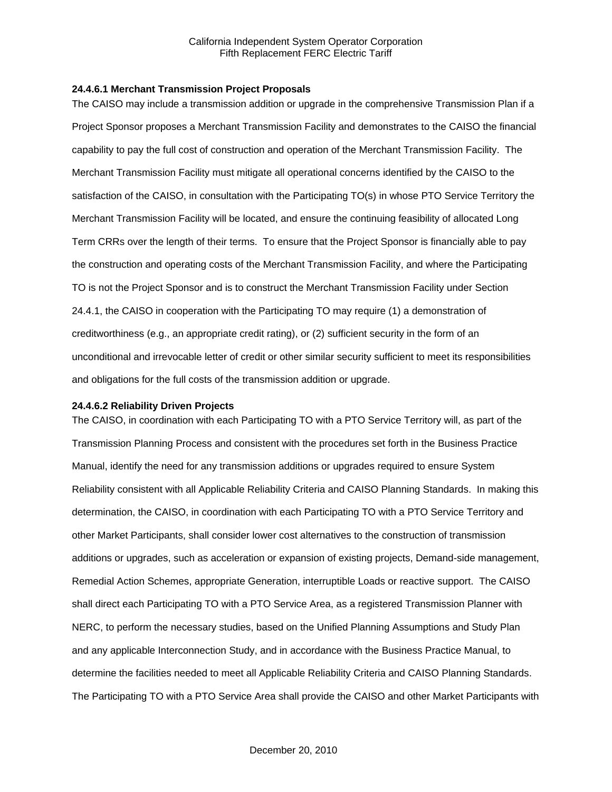### **24.4.6.1 Merchant Transmission Project Proposals**

The CAISO may include a transmission addition or upgrade in the comprehensive Transmission Plan if a Project Sponsor proposes a Merchant Transmission Facility and demonstrates to the CAISO the financial capability to pay the full cost of construction and operation of the Merchant Transmission Facility. The Merchant Transmission Facility must mitigate all operational concerns identified by the CAISO to the satisfaction of the CAISO, in consultation with the Participating TO(s) in whose PTO Service Territory the Merchant Transmission Facility will be located, and ensure the continuing feasibility of allocated Long Term CRRs over the length of their terms. To ensure that the Project Sponsor is financially able to pay the construction and operating costs of the Merchant Transmission Facility, and where the Participating TO is not the Project Sponsor and is to construct the Merchant Transmission Facility under Section 24.4.1, the CAISO in cooperation with the Participating TO may require (1) a demonstration of creditworthiness (e.g., an appropriate credit rating), or (2) sufficient security in the form of an unconditional and irrevocable letter of credit or other similar security sufficient to meet its responsibilities and obligations for the full costs of the transmission addition or upgrade.

#### **24.4.6.2 Reliability Driven Projects**

The CAISO, in coordination with each Participating TO with a PTO Service Territory will, as part of the Transmission Planning Process and consistent with the procedures set forth in the Business Practice Manual, identify the need for any transmission additions or upgrades required to ensure System Reliability consistent with all Applicable Reliability Criteria and CAISO Planning Standards. In making this determination, the CAISO, in coordination with each Participating TO with a PTO Service Territory and other Market Participants, shall consider lower cost alternatives to the construction of transmission additions or upgrades, such as acceleration or expansion of existing projects, Demand-side management, Remedial Action Schemes, appropriate Generation, interruptible Loads or reactive support. The CAISO shall direct each Participating TO with a PTO Service Area, as a registered Transmission Planner with NERC, to perform the necessary studies, based on the Unified Planning Assumptions and Study Plan and any applicable Interconnection Study, and in accordance with the Business Practice Manual, to determine the facilities needed to meet all Applicable Reliability Criteria and CAISO Planning Standards. The Participating TO with a PTO Service Area shall provide the CAISO and other Market Participants with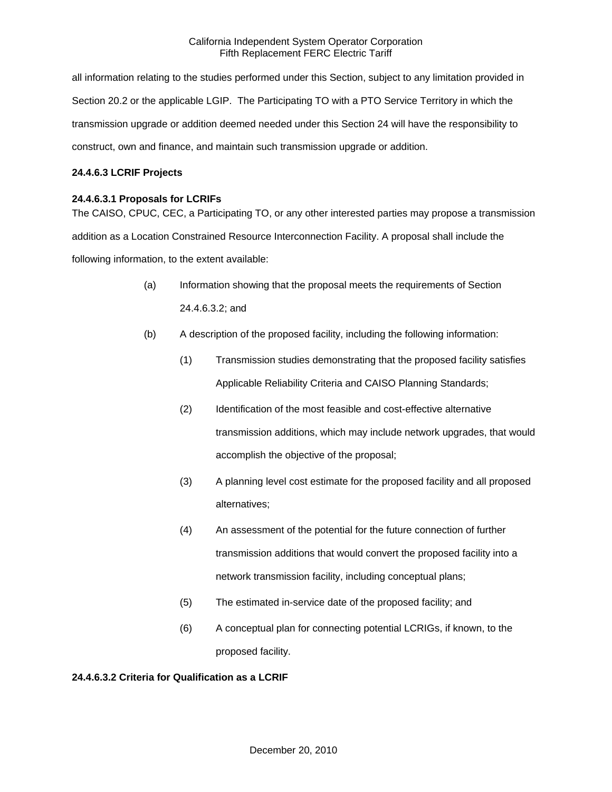all information relating to the studies performed under this Section, subject to any limitation provided in Section 20.2 or the applicable LGIP. The Participating TO with a PTO Service Territory in which the transmission upgrade or addition deemed needed under this Section 24 will have the responsibility to construct, own and finance, and maintain such transmission upgrade or addition.

# **24.4.6.3 LCRIF Projects**

# **24.4.6.3.1 Proposals for LCRIFs**

The CAISO, CPUC, CEC, a Participating TO, or any other interested parties may propose a transmission addition as a Location Constrained Resource Interconnection Facility. A proposal shall include the following information, to the extent available:

- (a) Information showing that the proposal meets the requirements of Section 24.4.6.3.2; and
- (b) A description of the proposed facility, including the following information:
	- (1) Transmission studies demonstrating that the proposed facility satisfies Applicable Reliability Criteria and CAISO Planning Standards;
	- (2) Identification of the most feasible and cost-effective alternative transmission additions, which may include network upgrades, that would accomplish the objective of the proposal;
	- (3) A planning level cost estimate for the proposed facility and all proposed alternatives;
	- (4) An assessment of the potential for the future connection of further transmission additions that would convert the proposed facility into a network transmission facility, including conceptual plans;
	- (5) The estimated in-service date of the proposed facility; and
	- (6) A conceptual plan for connecting potential LCRIGs, if known, to the proposed facility.

# **24.4.6.3.2 Criteria for Qualification as a LCRIF**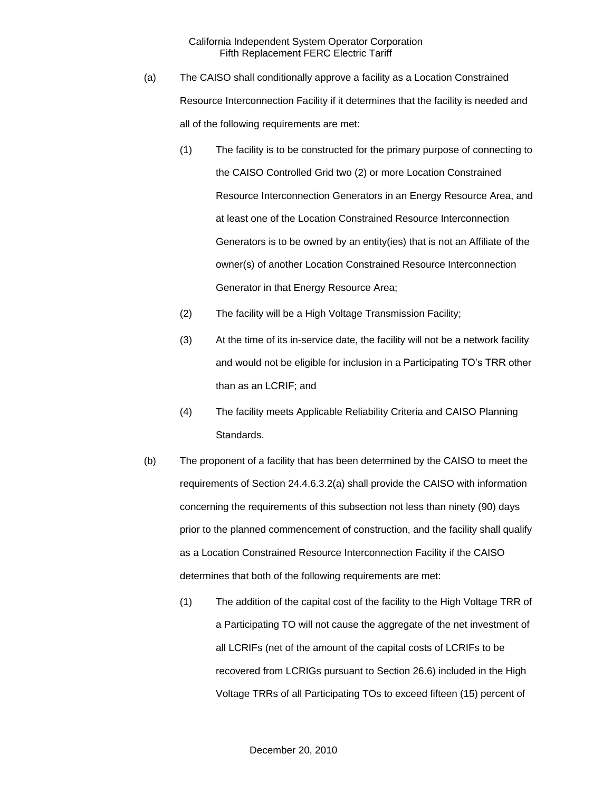- (a) The CAISO shall conditionally approve a facility as a Location Constrained Resource Interconnection Facility if it determines that the facility is needed and all of the following requirements are met:
	- (1) The facility is to be constructed for the primary purpose of connecting to the CAISO Controlled Grid two (2) or more Location Constrained Resource Interconnection Generators in an Energy Resource Area, and at least one of the Location Constrained Resource Interconnection Generators is to be owned by an entity(ies) that is not an Affiliate of the owner(s) of another Location Constrained Resource Interconnection Generator in that Energy Resource Area;
	- (2) The facility will be a High Voltage Transmission Facility;
	- (3) At the time of its in-service date, the facility will not be a network facility and would not be eligible for inclusion in a Participating TO's TRR other than as an LCRIF; and
	- (4) The facility meets Applicable Reliability Criteria and CAISO Planning Standards.
- (b) The proponent of a facility that has been determined by the CAISO to meet the requirements of Section 24.4.6.3.2(a) shall provide the CAISO with information concerning the requirements of this subsection not less than ninety (90) days prior to the planned commencement of construction, and the facility shall qualify as a Location Constrained Resource Interconnection Facility if the CAISO determines that both of the following requirements are met:
	- (1) The addition of the capital cost of the facility to the High Voltage TRR of a Participating TO will not cause the aggregate of the net investment of all LCRIFs (net of the amount of the capital costs of LCRIFs to be recovered from LCRIGs pursuant to Section 26.6) included in the High Voltage TRRs of all Participating TOs to exceed fifteen (15) percent of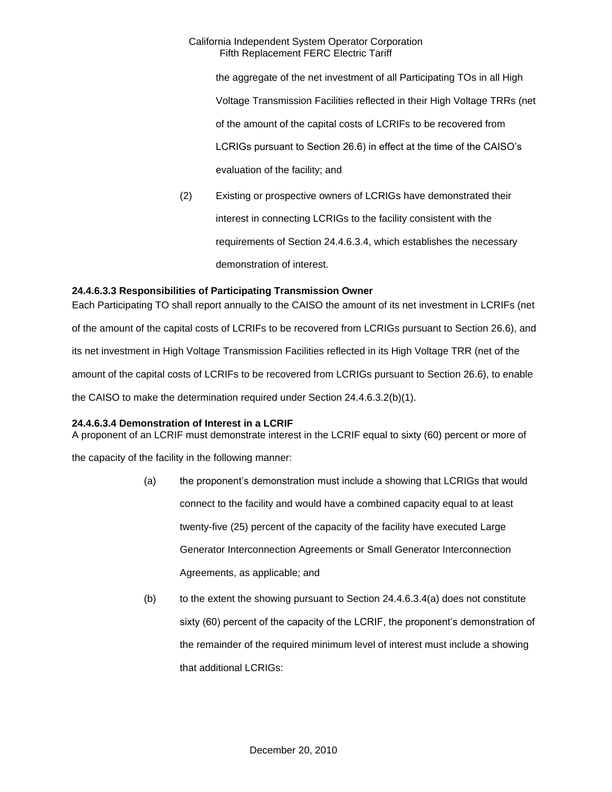the aggregate of the net investment of all Participating TOs in all High Voltage Transmission Facilities reflected in their High Voltage TRRs (net of the amount of the capital costs of LCRIFs to be recovered from LCRIGs pursuant to Section 26.6) in effect at the time of the CAISO's evaluation of the facility; and

(2) Existing or prospective owners of LCRIGs have demonstrated their interest in connecting LCRIGs to the facility consistent with the requirements of Section 24.4.6.3.4, which establishes the necessary demonstration of interest.

# **24.4.6.3.3 Responsibilities of Participating Transmission Owner**

Each Participating TO shall report annually to the CAISO the amount of its net investment in LCRIFs (net of the amount of the capital costs of LCRIFs to be recovered from LCRIGs pursuant to Section 26.6), and its net investment in High Voltage Transmission Facilities reflected in its High Voltage TRR (net of the amount of the capital costs of LCRIFs to be recovered from LCRIGs pursuant to Section 26.6), to enable the CAISO to make the determination required under Section 24.4.6.3.2(b)(1).

# **24.4.6.3.4 Demonstration of Interest in a LCRIF**

A proponent of an LCRIF must demonstrate interest in the LCRIF equal to sixty (60) percent or more of

the capacity of the facility in the following manner:

- (a) the proponent's demonstration must include a showing that LCRIGs that would connect to the facility and would have a combined capacity equal to at least twenty-five (25) percent of the capacity of the facility have executed Large Generator Interconnection Agreements or Small Generator Interconnection Agreements, as applicable; and
- $(b)$  to the extent the showing pursuant to Section 24.4.6.3.4(a) does not constitute sixty (60) percent of the capacity of the LCRIF, the proponent's demonstration of the remainder of the required minimum level of interest must include a showing that additional LCRIGs: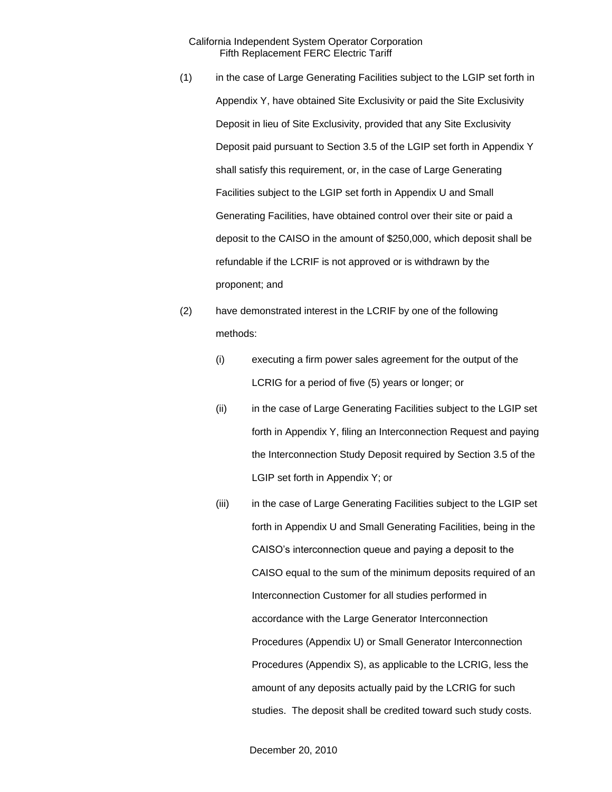- (1) in the case of Large Generating Facilities subject to the LGIP set forth in Appendix Y, have obtained Site Exclusivity or paid the Site Exclusivity Deposit in lieu of Site Exclusivity, provided that any Site Exclusivity Deposit paid pursuant to Section 3.5 of the LGIP set forth in Appendix Y shall satisfy this requirement, or, in the case of Large Generating Facilities subject to the LGIP set forth in Appendix U and Small Generating Facilities, have obtained control over their site or paid a deposit to the CAISO in the amount of \$250,000, which deposit shall be refundable if the LCRIF is not approved or is withdrawn by the proponent; and
- (2) have demonstrated interest in the LCRIF by one of the following methods:
	- (i) executing a firm power sales agreement for the output of the LCRIG for a period of five (5) years or longer; or
	- (ii) in the case of Large Generating Facilities subject to the LGIP set forth in Appendix Y, filing an Interconnection Request and paying the Interconnection Study Deposit required by Section 3.5 of the LGIP set forth in Appendix Y; or
	- (iii) in the case of Large Generating Facilities subject to the LGIP set forth in Appendix U and Small Generating Facilities, being in the CAISO's interconnection queue and paying a deposit to the CAISO equal to the sum of the minimum deposits required of an Interconnection Customer for all studies performed in accordance with the Large Generator Interconnection Procedures (Appendix U) or Small Generator Interconnection Procedures (Appendix S), as applicable to the LCRIG, less the amount of any deposits actually paid by the LCRIG for such studies. The deposit shall be credited toward such study costs.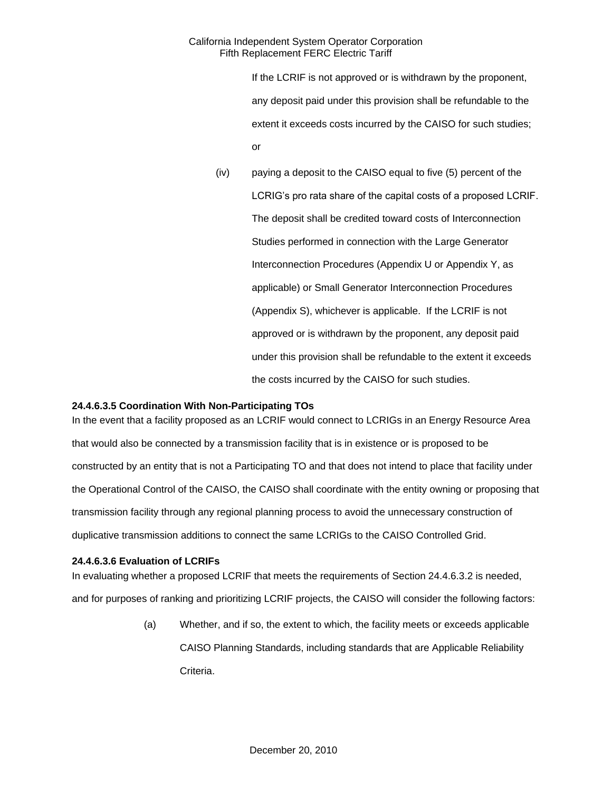If the LCRIF is not approved or is withdrawn by the proponent, any deposit paid under this provision shall be refundable to the extent it exceeds costs incurred by the CAISO for such studies; or

(iv) paying a deposit to the CAISO equal to five (5) percent of the LCRIG's pro rata share of the capital costs of a proposed LCRIF. The deposit shall be credited toward costs of Interconnection Studies performed in connection with the Large Generator Interconnection Procedures (Appendix U or Appendix Y, as applicable) or Small Generator Interconnection Procedures (Appendix S), whichever is applicable. If the LCRIF is not approved or is withdrawn by the proponent, any deposit paid under this provision shall be refundable to the extent it exceeds the costs incurred by the CAISO for such studies.

# **24.4.6.3.5 Coordination With Non-Participating TOs**

In the event that a facility proposed as an LCRIF would connect to LCRIGs in an Energy Resource Area that would also be connected by a transmission facility that is in existence or is proposed to be constructed by an entity that is not a Participating TO and that does not intend to place that facility under the Operational Control of the CAISO, the CAISO shall coordinate with the entity owning or proposing that transmission facility through any regional planning process to avoid the unnecessary construction of duplicative transmission additions to connect the same LCRIGs to the CAISO Controlled Grid.

### **24.4.6.3.6 Evaluation of LCRIFs**

In evaluating whether a proposed LCRIF that meets the requirements of Section 24.4.6.3.2 is needed, and for purposes of ranking and prioritizing LCRIF projects, the CAISO will consider the following factors:

> (a) Whether, and if so, the extent to which, the facility meets or exceeds applicable CAISO Planning Standards, including standards that are Applicable Reliability Criteria.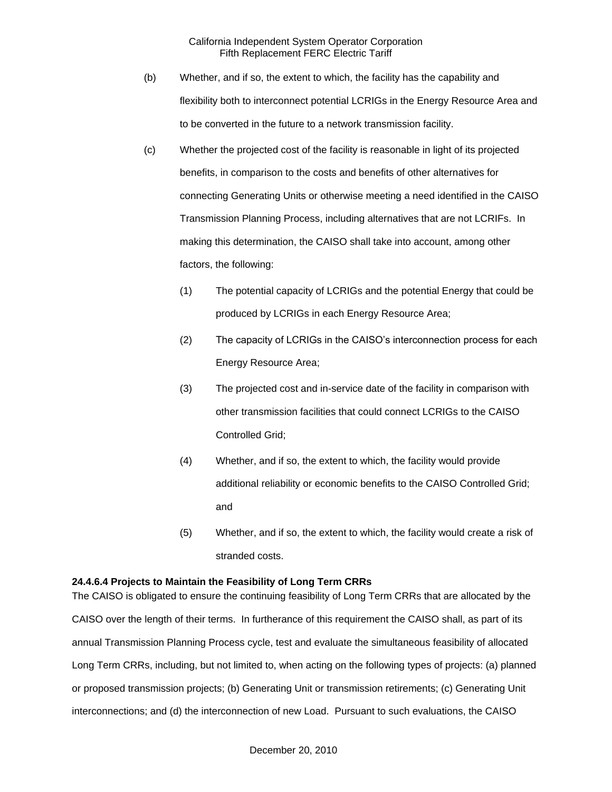- (b) Whether, and if so, the extent to which, the facility has the capability and flexibility both to interconnect potential LCRIGs in the Energy Resource Area and to be converted in the future to a network transmission facility.
- (c) Whether the projected cost of the facility is reasonable in light of its projected benefits, in comparison to the costs and benefits of other alternatives for connecting Generating Units or otherwise meeting a need identified in the CAISO Transmission Planning Process, including alternatives that are not LCRIFs. In making this determination, the CAISO shall take into account, among other factors, the following:
	- (1) The potential capacity of LCRIGs and the potential Energy that could be produced by LCRIGs in each Energy Resource Area;
	- (2) The capacity of LCRIGs in the CAISO's interconnection process for each Energy Resource Area;
	- (3) The projected cost and in-service date of the facility in comparison with other transmission facilities that could connect LCRIGs to the CAISO Controlled Grid;
	- (4) Whether, and if so, the extent to which, the facility would provide additional reliability or economic benefits to the CAISO Controlled Grid; and
	- (5) Whether, and if so, the extent to which, the facility would create a risk of stranded costs.

### **24.4.6.4 Projects to Maintain the Feasibility of Long Term CRRs**

The CAISO is obligated to ensure the continuing feasibility of Long Term CRRs that are allocated by the CAISO over the length of their terms. In furtherance of this requirement the CAISO shall, as part of its annual Transmission Planning Process cycle, test and evaluate the simultaneous feasibility of allocated Long Term CRRs, including, but not limited to, when acting on the following types of projects: (a) planned or proposed transmission projects; (b) Generating Unit or transmission retirements; (c) Generating Unit interconnections; and (d) the interconnection of new Load. Pursuant to such evaluations, the CAISO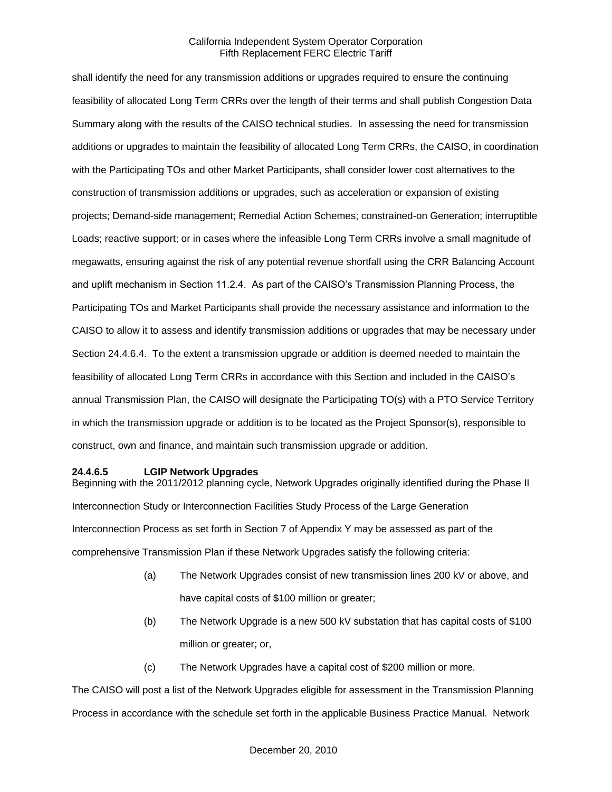shall identify the need for any transmission additions or upgrades required to ensure the continuing feasibility of allocated Long Term CRRs over the length of their terms and shall publish Congestion Data Summary along with the results of the CAISO technical studies. In assessing the need for transmission additions or upgrades to maintain the feasibility of allocated Long Term CRRs, the CAISO, in coordination with the Participating TOs and other Market Participants, shall consider lower cost alternatives to the construction of transmission additions or upgrades, such as acceleration or expansion of existing projects; Demand-side management; Remedial Action Schemes; constrained-on Generation; interruptible Loads; reactive support; or in cases where the infeasible Long Term CRRs involve a small magnitude of megawatts, ensuring against the risk of any potential revenue shortfall using the CRR Balancing Account and uplift mechanism in Section 11.2.4. As part of the CAISO's Transmission Planning Process, the Participating TOs and Market Participants shall provide the necessary assistance and information to the CAISO to allow it to assess and identify transmission additions or upgrades that may be necessary under Section 24.4.6.4. To the extent a transmission upgrade or addition is deemed needed to maintain the feasibility of allocated Long Term CRRs in accordance with this Section and included in the CAISO's annual Transmission Plan, the CAISO will designate the Participating TO(s) with a PTO Service Territory in which the transmission upgrade or addition is to be located as the Project Sponsor(s), responsible to construct, own and finance, and maintain such transmission upgrade or addition.

### **24.4.6.5 LGIP Network Upgrades**

Beginning with the 2011/2012 planning cycle, Network Upgrades originally identified during the Phase II Interconnection Study or Interconnection Facilities Study Process of the Large Generation Interconnection Process as set forth in Section 7 of Appendix Y may be assessed as part of the comprehensive Transmission Plan if these Network Upgrades satisfy the following criteria:

- (a) The Network Upgrades consist of new transmission lines 200 kV or above, and have capital costs of \$100 million or greater;
- (b) The Network Upgrade is a new 500 kV substation that has capital costs of \$100 million or greater; or,
- (c) The Network Upgrades have a capital cost of \$200 million or more.

The CAISO will post a list of the Network Upgrades eligible for assessment in the Transmission Planning Process in accordance with the schedule set forth in the applicable Business Practice Manual. Network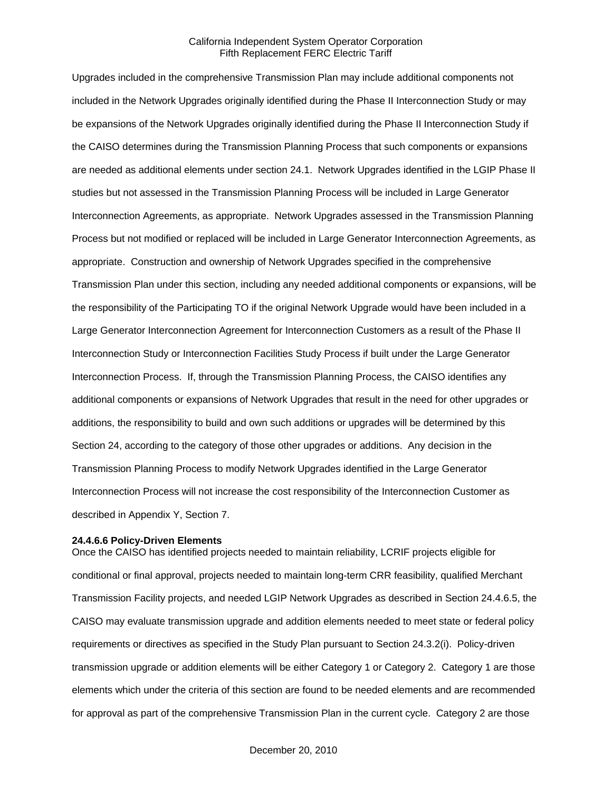Upgrades included in the comprehensive Transmission Plan may include additional components not included in the Network Upgrades originally identified during the Phase II Interconnection Study or may be expansions of the Network Upgrades originally identified during the Phase II Interconnection Study if the CAISO determines during the Transmission Planning Process that such components or expansions are needed as additional elements under section 24.1. Network Upgrades identified in the LGIP Phase II studies but not assessed in the Transmission Planning Process will be included in Large Generator Interconnection Agreements, as appropriate. Network Upgrades assessed in the Transmission Planning Process but not modified or replaced will be included in Large Generator Interconnection Agreements, as appropriate. Construction and ownership of Network Upgrades specified in the comprehensive Transmission Plan under this section, including any needed additional components or expansions, will be the responsibility of the Participating TO if the original Network Upgrade would have been included in a Large Generator Interconnection Agreement for Interconnection Customers as a result of the Phase II Interconnection Study or Interconnection Facilities Study Process if built under the Large Generator Interconnection Process. If, through the Transmission Planning Process, the CAISO identifies any additional components or expansions of Network Upgrades that result in the need for other upgrades or additions, the responsibility to build and own such additions or upgrades will be determined by this Section 24, according to the category of those other upgrades or additions. Any decision in the Transmission Planning Process to modify Network Upgrades identified in the Large Generator Interconnection Process will not increase the cost responsibility of the Interconnection Customer as described in Appendix Y, Section 7.

#### **24.4.6.6 Policy-Driven Elements**

Once the CAISO has identified projects needed to maintain reliability, LCRIF projects eligible for conditional or final approval, projects needed to maintain long-term CRR feasibility, qualified Merchant Transmission Facility projects, and needed LGIP Network Upgrades as described in Section 24.4.6.5, the CAISO may evaluate transmission upgrade and addition elements needed to meet state or federal policy requirements or directives as specified in the Study Plan pursuant to Section 24.3.2(i). Policy-driven transmission upgrade or addition elements will be either Category 1 or Category 2. Category 1 are those elements which under the criteria of this section are found to be needed elements and are recommended for approval as part of the comprehensive Transmission Plan in the current cycle. Category 2 are those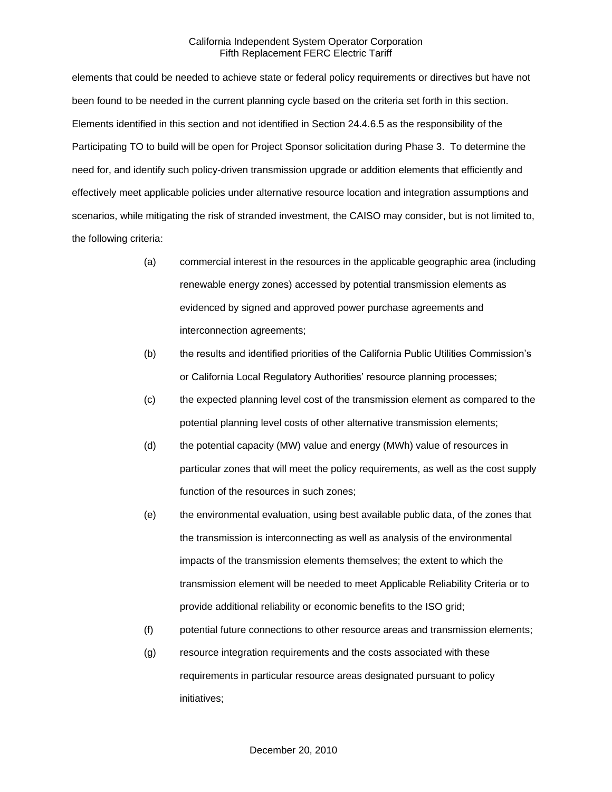elements that could be needed to achieve state or federal policy requirements or directives but have not been found to be needed in the current planning cycle based on the criteria set forth in this section. Elements identified in this section and not identified in Section 24.4.6.5 as the responsibility of the Participating TO to build will be open for Project Sponsor solicitation during Phase 3. To determine the need for, and identify such policy-driven transmission upgrade or addition elements that efficiently and effectively meet applicable policies under alternative resource location and integration assumptions and scenarios, while mitigating the risk of stranded investment, the CAISO may consider, but is not limited to, the following criteria:

- (a) commercial interest in the resources in the applicable geographic area (including renewable energy zones) accessed by potential transmission elements as evidenced by signed and approved power purchase agreements and interconnection agreements;
- (b) the results and identified priorities of the California Public Utilities Commission's or California Local Regulatory Authorities' resource planning processes;
- (c) the expected planning level cost of the transmission element as compared to the potential planning level costs of other alternative transmission elements;
- (d) the potential capacity (MW) value and energy (MWh) value of resources in particular zones that will meet the policy requirements, as well as the cost supply function of the resources in such zones;
- (e) the environmental evaluation, using best available public data, of the zones that the transmission is interconnecting as well as analysis of the environmental impacts of the transmission elements themselves; the extent to which the transmission element will be needed to meet Applicable Reliability Criteria or to provide additional reliability or economic benefits to the ISO grid;
- (f) potential future connections to other resource areas and transmission elements;
- (g) resource integration requirements and the costs associated with these requirements in particular resource areas designated pursuant to policy initiatives;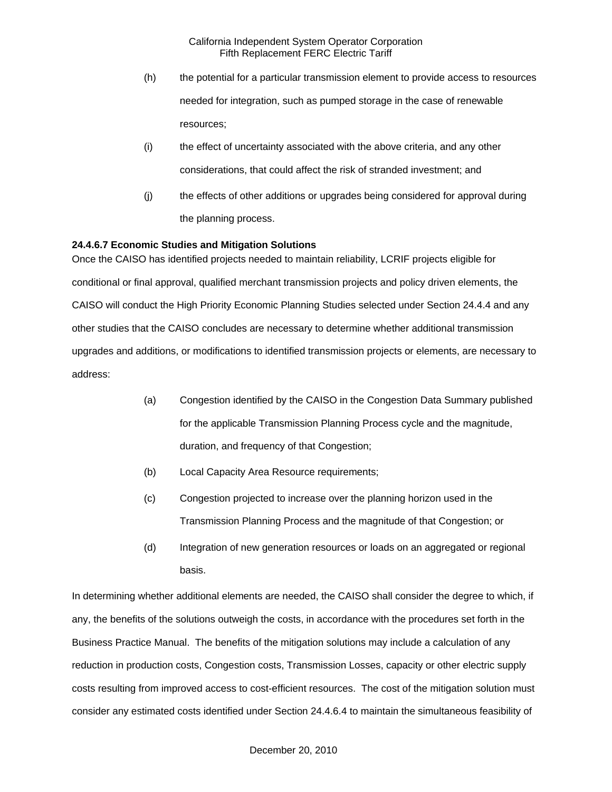- (h) the potential for a particular transmission element to provide access to resources needed for integration, such as pumped storage in the case of renewable resources;
- (i) the effect of uncertainty associated with the above criteria, and any other considerations, that could affect the risk of stranded investment; and
- (j) the effects of other additions or upgrades being considered for approval during the planning process.

### **24.4.6.7 Economic Studies and Mitigation Solutions**

Once the CAISO has identified projects needed to maintain reliability, LCRIF projects eligible for conditional or final approval, qualified merchant transmission projects and policy driven elements, the CAISO will conduct the High Priority Economic Planning Studies selected under Section 24.4.4 and any other studies that the CAISO concludes are necessary to determine whether additional transmission upgrades and additions, or modifications to identified transmission projects or elements, are necessary to address:

- (a) Congestion identified by the CAISO in the Congestion Data Summary published for the applicable Transmission Planning Process cycle and the magnitude, duration, and frequency of that Congestion;
- (b) Local Capacity Area Resource requirements;
- (c) Congestion projected to increase over the planning horizon used in the Transmission Planning Process and the magnitude of that Congestion; or
- (d) Integration of new generation resources or loads on an aggregated or regional basis.

In determining whether additional elements are needed, the CAISO shall consider the degree to which, if any, the benefits of the solutions outweigh the costs, in accordance with the procedures set forth in the Business Practice Manual. The benefits of the mitigation solutions may include a calculation of any reduction in production costs, Congestion costs, Transmission Losses, capacity or other electric supply costs resulting from improved access to cost-efficient resources. The cost of the mitigation solution must consider any estimated costs identified under Section 24.4.6.4 to maintain the simultaneous feasibility of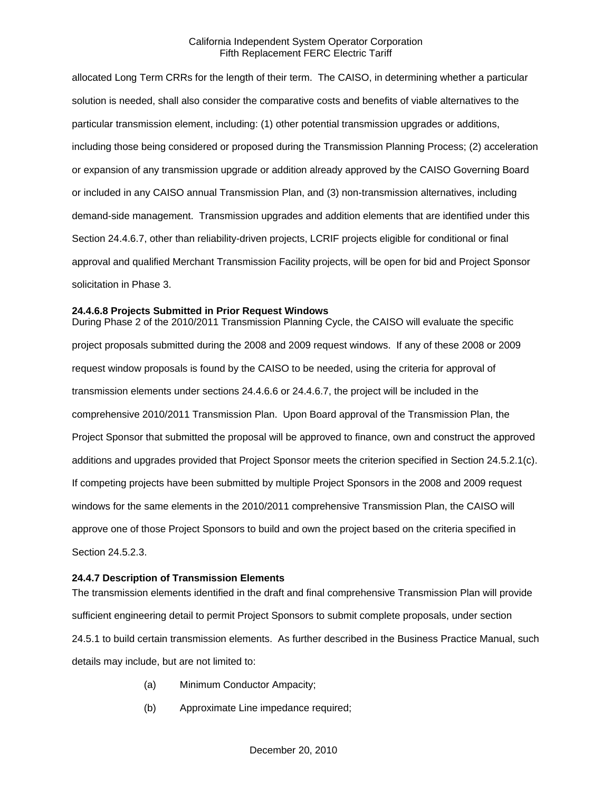allocated Long Term CRRs for the length of their term. The CAISO, in determining whether a particular solution is needed, shall also consider the comparative costs and benefits of viable alternatives to the particular transmission element, including: (1) other potential transmission upgrades or additions, including those being considered or proposed during the Transmission Planning Process; (2) acceleration or expansion of any transmission upgrade or addition already approved by the CAISO Governing Board or included in any CAISO annual Transmission Plan, and (3) non-transmission alternatives, including demand-side management. Transmission upgrades and addition elements that are identified under this Section 24.4.6.7, other than reliability-driven projects, LCRIF projects eligible for conditional or final approval and qualified Merchant Transmission Facility projects, will be open for bid and Project Sponsor solicitation in Phase 3.

### **24.4.6.8 Projects Submitted in Prior Request Windows**

During Phase 2 of the 2010/2011 Transmission Planning Cycle, the CAISO will evaluate the specific project proposals submitted during the 2008 and 2009 request windows. If any of these 2008 or 2009 request window proposals is found by the CAISO to be needed, using the criteria for approval of transmission elements under sections 24.4.6.6 or 24.4.6.7, the project will be included in the comprehensive 2010/2011 Transmission Plan. Upon Board approval of the Transmission Plan, the Project Sponsor that submitted the proposal will be approved to finance, own and construct the approved additions and upgrades provided that Project Sponsor meets the criterion specified in Section 24.5.2.1(c). If competing projects have been submitted by multiple Project Sponsors in the 2008 and 2009 request windows for the same elements in the 2010/2011 comprehensive Transmission Plan, the CAISO will approve one of those Project Sponsors to build and own the project based on the criteria specified in Section 24.5.2.3.

#### **24.4.7 Description of Transmission Elements**

The transmission elements identified in the draft and final comprehensive Transmission Plan will provide sufficient engineering detail to permit Project Sponsors to submit complete proposals, under section 24.5.1 to build certain transmission elements. As further described in the Business Practice Manual, such details may include, but are not limited to:

- (a) Minimum Conductor Ampacity;
- (b) Approximate Line impedance required;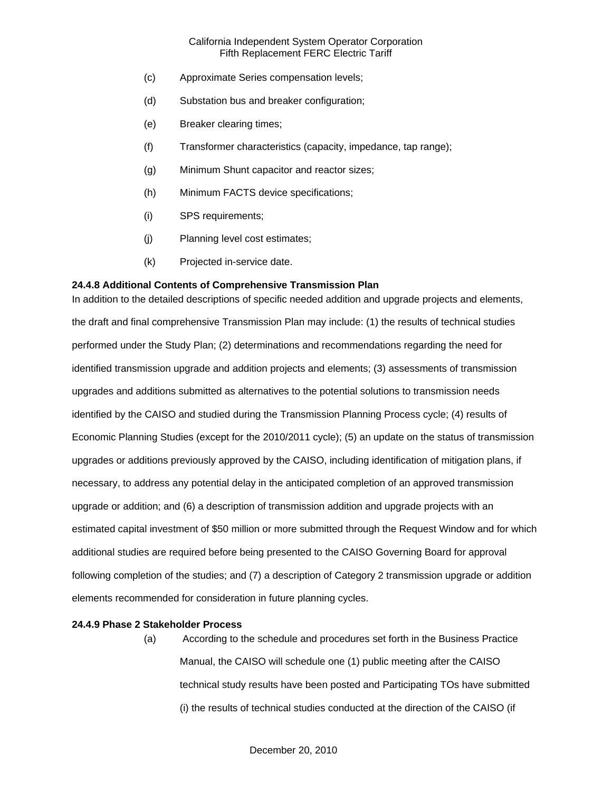- (c) Approximate Series compensation levels;
- (d) Substation bus and breaker configuration;
- (e) Breaker clearing times;
- (f) Transformer characteristics (capacity, impedance, tap range);
- (g) Minimum Shunt capacitor and reactor sizes;
- (h) Minimum FACTS device specifications;
- (i) SPS requirements;
- (j) Planning level cost estimates;
- (k) Projected in-service date.

#### **24.4.8 Additional Contents of Comprehensive Transmission Plan**

In addition to the detailed descriptions of specific needed addition and upgrade projects and elements, the draft and final comprehensive Transmission Plan may include: (1) the results of technical studies performed under the Study Plan; (2) determinations and recommendations regarding the need for identified transmission upgrade and addition projects and elements; (3) assessments of transmission upgrades and additions submitted as alternatives to the potential solutions to transmission needs identified by the CAISO and studied during the Transmission Planning Process cycle; (4) results of Economic Planning Studies (except for the 2010/2011 cycle); (5) an update on the status of transmission upgrades or additions previously approved by the CAISO, including identification of mitigation plans, if necessary, to address any potential delay in the anticipated completion of an approved transmission upgrade or addition; and (6) a description of transmission addition and upgrade projects with an estimated capital investment of \$50 million or more submitted through the Request Window and for which additional studies are required before being presented to the CAISO Governing Board for approval following completion of the studies; and (7) a description of Category 2 transmission upgrade or addition elements recommended for consideration in future planning cycles.

### **24.4.9 Phase 2 Stakeholder Process**

(a) According to the schedule and procedures set forth in the Business Practice Manual, the CAISO will schedule one (1) public meeting after the CAISO technical study results have been posted and Participating TOs have submitted (i) the results of technical studies conducted at the direction of the CAISO (if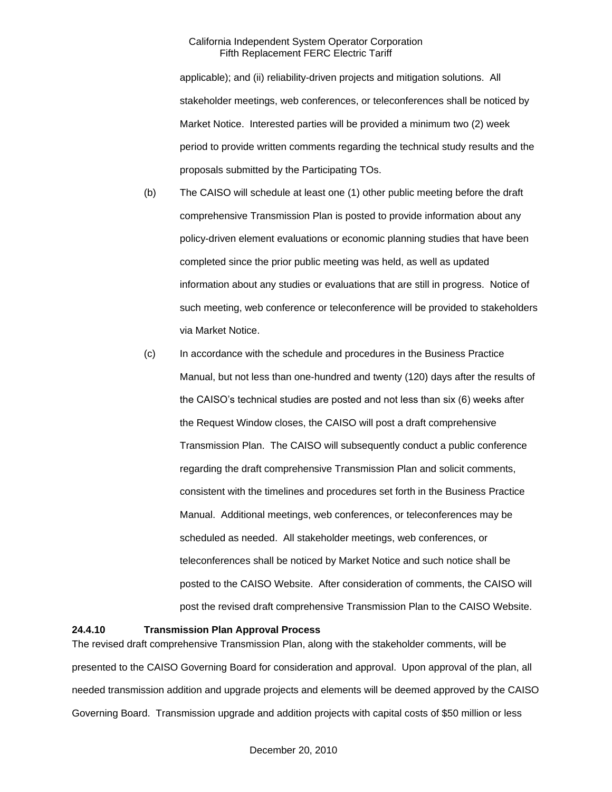applicable); and (ii) reliability-driven projects and mitigation solutions. All stakeholder meetings, web conferences, or teleconferences shall be noticed by Market Notice. Interested parties will be provided a minimum two (2) week period to provide written comments regarding the technical study results and the proposals submitted by the Participating TOs.

- (b) The CAISO will schedule at least one (1) other public meeting before the draft comprehensive Transmission Plan is posted to provide information about any policy-driven element evaluations or economic planning studies that have been completed since the prior public meeting was held, as well as updated information about any studies or evaluations that are still in progress. Notice of such meeting, web conference or teleconference will be provided to stakeholders via Market Notice.
- (c) In accordance with the schedule and procedures in the Business Practice Manual, but not less than one-hundred and twenty (120) days after the results of the CAISO's technical studies are posted and not less than six (6) weeks after the Request Window closes, the CAISO will post a draft comprehensive Transmission Plan. The CAISO will subsequently conduct a public conference regarding the draft comprehensive Transmission Plan and solicit comments, consistent with the timelines and procedures set forth in the Business Practice Manual. Additional meetings, web conferences, or teleconferences may be scheduled as needed. All stakeholder meetings, web conferences, or teleconferences shall be noticed by Market Notice and such notice shall be posted to the CAISO Website. After consideration of comments, the CAISO will post the revised draft comprehensive Transmission Plan to the CAISO Website.

### **24.4.10 Transmission Plan Approval Process**

The revised draft comprehensive Transmission Plan, along with the stakeholder comments, will be presented to the CAISO Governing Board for consideration and approval. Upon approval of the plan, all needed transmission addition and upgrade projects and elements will be deemed approved by the CAISO Governing Board. Transmission upgrade and addition projects with capital costs of \$50 million or less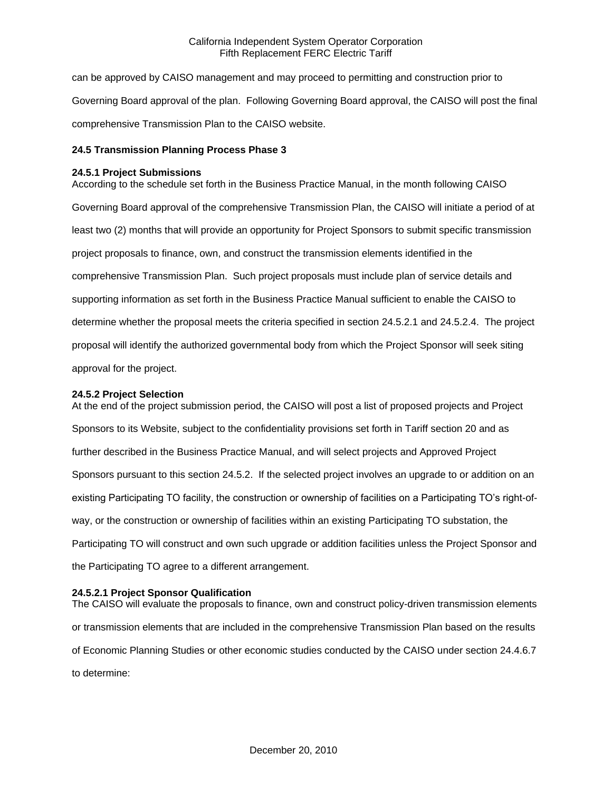can be approved by CAISO management and may proceed to permitting and construction prior to Governing Board approval of the plan. Following Governing Board approval, the CAISO will post the final comprehensive Transmission Plan to the CAISO website.

### **24.5 Transmission Planning Process Phase 3**

### **24.5.1 Project Submissions**

According to the schedule set forth in the Business Practice Manual, in the month following CAISO Governing Board approval of the comprehensive Transmission Plan, the CAISO will initiate a period of at least two (2) months that will provide an opportunity for Project Sponsors to submit specific transmission project proposals to finance, own, and construct the transmission elements identified in the comprehensive Transmission Plan. Such project proposals must include plan of service details and supporting information as set forth in the Business Practice Manual sufficient to enable the CAISO to determine whether the proposal meets the criteria specified in section 24.5.2.1 and 24.5.2.4. The project proposal will identify the authorized governmental body from which the Project Sponsor will seek siting approval for the project.

### **24.5.2 Project Selection**

At the end of the project submission period, the CAISO will post a list of proposed projects and Project Sponsors to its Website, subject to the confidentiality provisions set forth in Tariff section 20 and as further described in the Business Practice Manual, and will select projects and Approved Project Sponsors pursuant to this section 24.5.2. If the selected project involves an upgrade to or addition on an existing Participating TO facility, the construction or ownership of facilities on a Participating TO's right-ofway, or the construction or ownership of facilities within an existing Participating TO substation, the Participating TO will construct and own such upgrade or addition facilities unless the Project Sponsor and the Participating TO agree to a different arrangement.

### **24.5.2.1 Project Sponsor Qualification**

The CAISO will evaluate the proposals to finance, own and construct policy-driven transmission elements or transmission elements that are included in the comprehensive Transmission Plan based on the results of Economic Planning Studies or other economic studies conducted by the CAISO under section 24.4.6.7 to determine: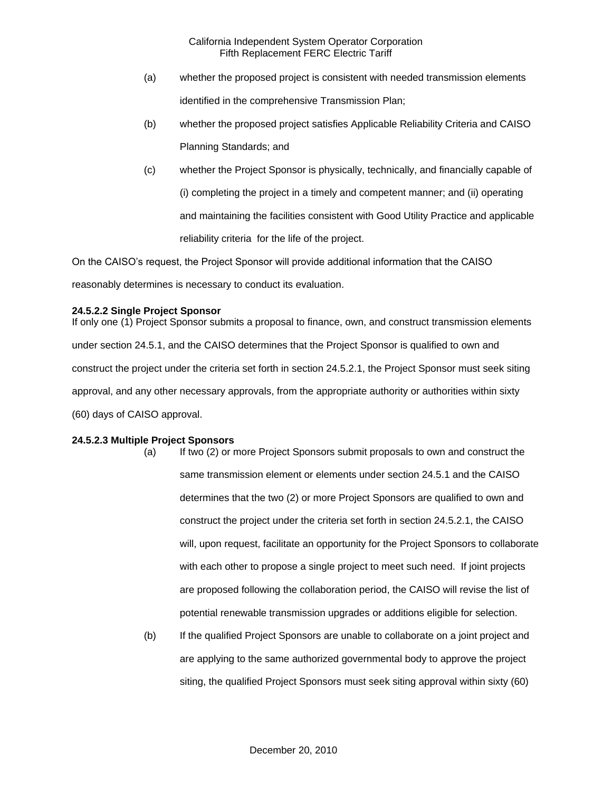- (a) whether the proposed project is consistent with needed transmission elements identified in the comprehensive Transmission Plan;
- (b) whether the proposed project satisfies Applicable Reliability Criteria and CAISO Planning Standards; and
- (c) whether the Project Sponsor is physically, technically, and financially capable of (i) completing the project in a timely and competent manner; and (ii) operating and maintaining the facilities consistent with Good Utility Practice and applicable reliability criteria for the life of the project.

On the CAISO's request, the Project Sponsor will provide additional information that the CAISO reasonably determines is necessary to conduct its evaluation.

## **24.5.2.2 Single Project Sponsor**

If only one (1) Project Sponsor submits a proposal to finance, own, and construct transmission elements under section 24.5.1, and the CAISO determines that the Project Sponsor is qualified to own and construct the project under the criteria set forth in section 24.5.2.1, the Project Sponsor must seek siting approval, and any other necessary approvals, from the appropriate authority or authorities within sixty (60) days of CAISO approval.

## **24.5.2.3 Multiple Project Sponsors**

- (a) If two (2) or more Project Sponsors submit proposals to own and construct the same transmission element or elements under section 24.5.1 and the CAISO determines that the two (2) or more Project Sponsors are qualified to own and construct the project under the criteria set forth in section 24.5.2.1, the CAISO will, upon request, facilitate an opportunity for the Project Sponsors to collaborate with each other to propose a single project to meet such need. If joint projects are proposed following the collaboration period, the CAISO will revise the list of potential renewable transmission upgrades or additions eligible for selection.
- (b) If the qualified Project Sponsors are unable to collaborate on a joint project and are applying to the same authorized governmental body to approve the project siting, the qualified Project Sponsors must seek siting approval within sixty (60)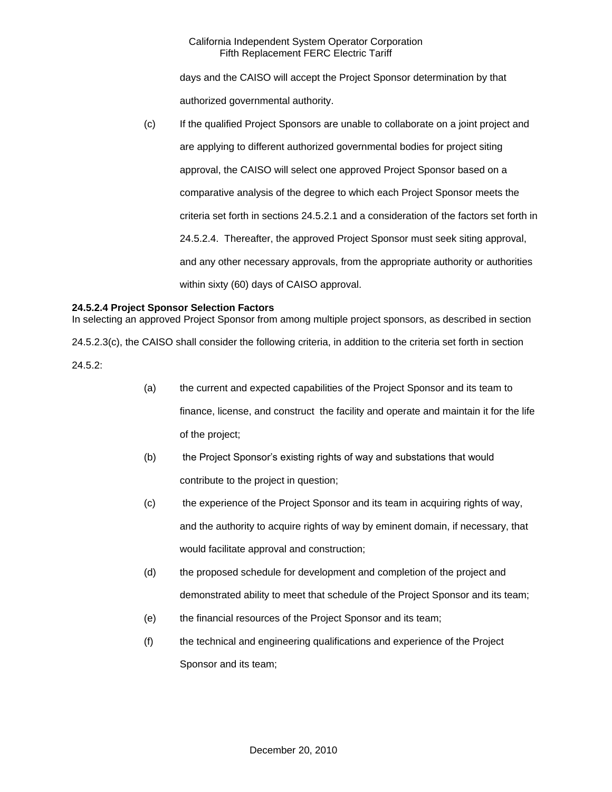days and the CAISO will accept the Project Sponsor determination by that authorized governmental authority.

(c) If the qualified Project Sponsors are unable to collaborate on a joint project and are applying to different authorized governmental bodies for project siting approval, the CAISO will select one approved Project Sponsor based on a comparative analysis of the degree to which each Project Sponsor meets the criteria set forth in sections 24.5.2.1 and a consideration of the factors set forth in 24.5.2.4. Thereafter, the approved Project Sponsor must seek siting approval, and any other necessary approvals, from the appropriate authority or authorities within sixty (60) days of CAISO approval.

## **24.5.2.4 Project Sponsor Selection Factors**

In selecting an approved Project Sponsor from among multiple project sponsors, as described in section

24.5.2.3(c), the CAISO shall consider the following criteria, in addition to the criteria set forth in section

24.5.2:

- (a) the current and expected capabilities of the Project Sponsor and its team to finance, license, and construct the facility and operate and maintain it for the life of the project;
- (b) the Project Sponsor's existing rights of way and substations that would contribute to the project in question;
- (c) the experience of the Project Sponsor and its team in acquiring rights of way, and the authority to acquire rights of way by eminent domain, if necessary, that would facilitate approval and construction;
- (d) the proposed schedule for development and completion of the project and demonstrated ability to meet that schedule of the Project Sponsor and its team;
- (e) the financial resources of the Project Sponsor and its team;
- (f) the technical and engineering qualifications and experience of the Project Sponsor and its team;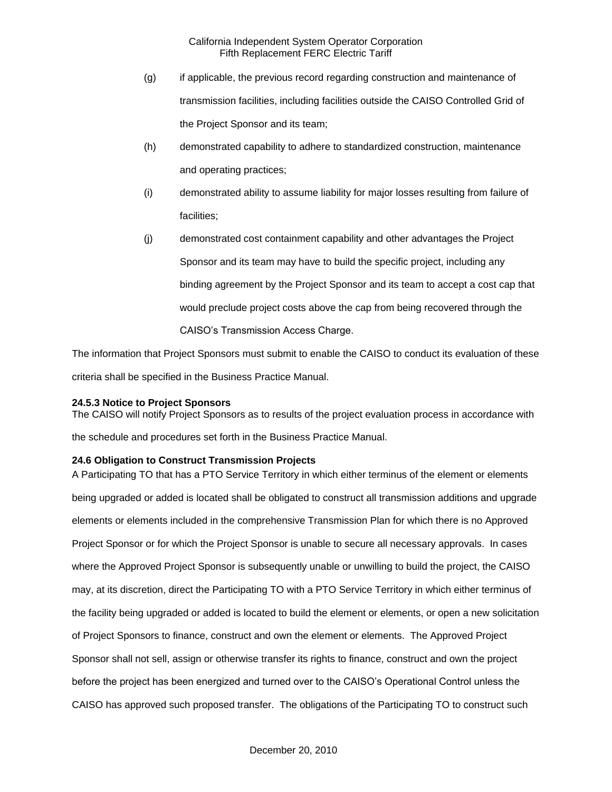- (g) if applicable, the previous record regarding construction and maintenance of transmission facilities, including facilities outside the CAISO Controlled Grid of the Project Sponsor and its team;
- (h) demonstrated capability to adhere to standardized construction, maintenance and operating practices;
- (i) demonstrated ability to assume liability for major losses resulting from failure of facilities;
- (j) demonstrated cost containment capability and other advantages the Project Sponsor and its team may have to build the specific project, including any binding agreement by the Project Sponsor and its team to accept a cost cap that would preclude project costs above the cap from being recovered through the CAISO's Transmission Access Charge.

The information that Project Sponsors must submit to enable the CAISO to conduct its evaluation of these criteria shall be specified in the Business Practice Manual.

## **24.5.3 Notice to Project Sponsors**

The CAISO will notify Project Sponsors as to results of the project evaluation process in accordance with the schedule and procedures set forth in the Business Practice Manual.

## **24.6 Obligation to Construct Transmission Projects**

A Participating TO that has a PTO Service Territory in which either terminus of the element or elements being upgraded or added is located shall be obligated to construct all transmission additions and upgrade elements or elements included in the comprehensive Transmission Plan for which there is no Approved Project Sponsor or for which the Project Sponsor is unable to secure all necessary approvals. In cases where the Approved Project Sponsor is subsequently unable or unwilling to build the project, the CAISO may, at its discretion, direct the Participating TO with a PTO Service Territory in which either terminus of the facility being upgraded or added is located to build the element or elements, or open a new solicitation of Project Sponsors to finance, construct and own the element or elements. The Approved Project Sponsor shall not sell, assign or otherwise transfer its rights to finance, construct and own the project before the project has been energized and turned over to the CAISO's Operational Control unless the CAISO has approved such proposed transfer. The obligations of the Participating TO to construct such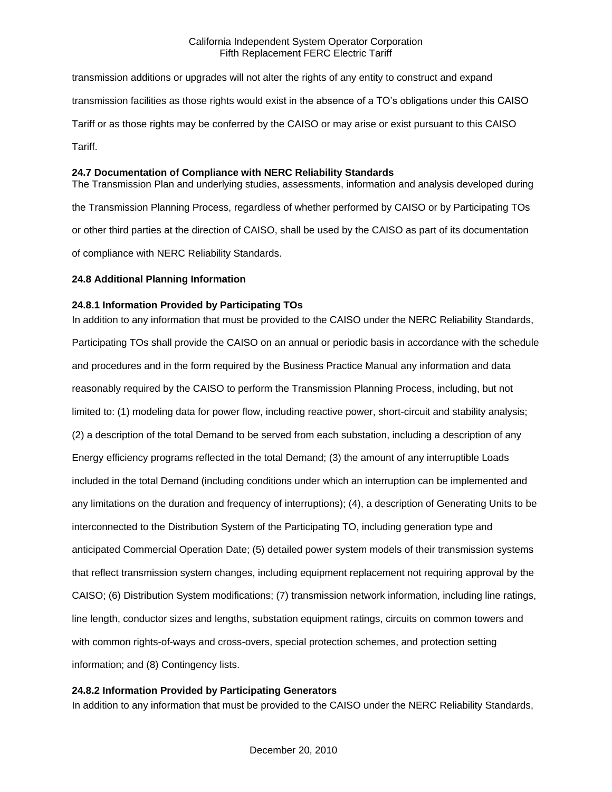transmission additions or upgrades will not alter the rights of any entity to construct and expand transmission facilities as those rights would exist in the absence of a TO's obligations under this CAISO Tariff or as those rights may be conferred by the CAISO or may arise or exist pursuant to this CAISO Tariff.

## **24.7 Documentation of Compliance with NERC Reliability Standards**

The Transmission Plan and underlying studies, assessments, information and analysis developed during the Transmission Planning Process, regardless of whether performed by CAISO or by Participating TOs or other third parties at the direction of CAISO, shall be used by the CAISO as part of its documentation of compliance with NERC Reliability Standards.

## **24.8 Additional Planning Information**

## **24.8.1 Information Provided by Participating TOs**

In addition to any information that must be provided to the CAISO under the NERC Reliability Standards, Participating TOs shall provide the CAISO on an annual or periodic basis in accordance with the schedule and procedures and in the form required by the Business Practice Manual any information and data reasonably required by the CAISO to perform the Transmission Planning Process, including, but not limited to: (1) modeling data for power flow, including reactive power, short-circuit and stability analysis; (2) a description of the total Demand to be served from each substation, including a description of any Energy efficiency programs reflected in the total Demand; (3) the amount of any interruptible Loads included in the total Demand (including conditions under which an interruption can be implemented and any limitations on the duration and frequency of interruptions); (4), a description of Generating Units to be interconnected to the Distribution System of the Participating TO, including generation type and anticipated Commercial Operation Date; (5) detailed power system models of their transmission systems that reflect transmission system changes, including equipment replacement not requiring approval by the CAISO; (6) Distribution System modifications; (7) transmission network information, including line ratings, line length, conductor sizes and lengths, substation equipment ratings, circuits on common towers and with common rights-of-ways and cross-overs, special protection schemes, and protection setting information; and (8) Contingency lists.

# **24.8.2 Information Provided by Participating Generators**

In addition to any information that must be provided to the CAISO under the NERC Reliability Standards,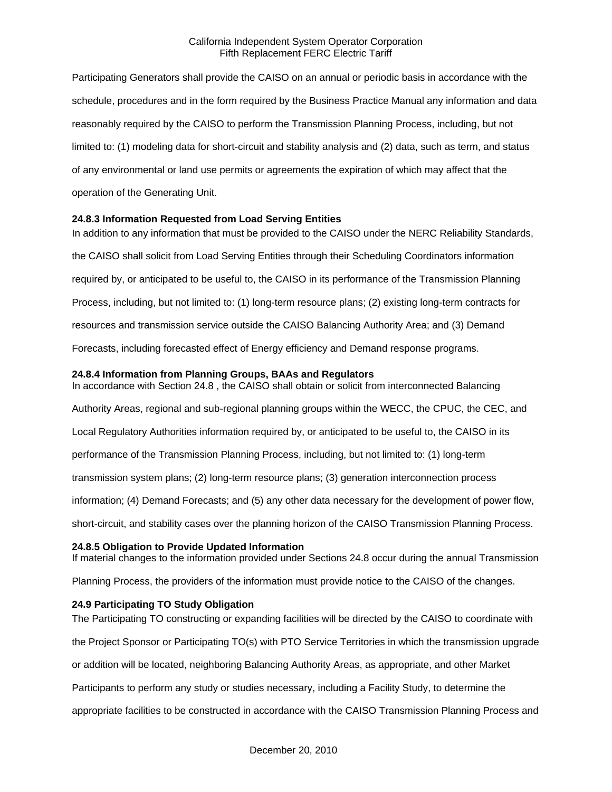Participating Generators shall provide the CAISO on an annual or periodic basis in accordance with the schedule, procedures and in the form required by the Business Practice Manual any information and data reasonably required by the CAISO to perform the Transmission Planning Process, including, but not limited to: (1) modeling data for short-circuit and stability analysis and (2) data, such as term, and status of any environmental or land use permits or agreements the expiration of which may affect that the operation of the Generating Unit.

### **24.8.3 Information Requested from Load Serving Entities**

In addition to any information that must be provided to the CAISO under the NERC Reliability Standards, the CAISO shall solicit from Load Serving Entities through their Scheduling Coordinators information required by, or anticipated to be useful to, the CAISO in its performance of the Transmission Planning Process, including, but not limited to: (1) long-term resource plans; (2) existing long-term contracts for resources and transmission service outside the CAISO Balancing Authority Area; and (3) Demand Forecasts, including forecasted effect of Energy efficiency and Demand response programs.

### **24.8.4 Information from Planning Groups, BAAs and Regulators**

In accordance with Section 24.8 , the CAISO shall obtain or solicit from interconnected Balancing Authority Areas, regional and sub-regional planning groups within the WECC, the CPUC, the CEC, and Local Regulatory Authorities information required by, or anticipated to be useful to, the CAISO in its performance of the Transmission Planning Process, including, but not limited to: (1) long-term transmission system plans; (2) long-term resource plans; (3) generation interconnection process information; (4) Demand Forecasts; and (5) any other data necessary for the development of power flow, short-circuit, and stability cases over the planning horizon of the CAISO Transmission Planning Process.

### **24.8.5 Obligation to Provide Updated Information**

If material changes to the information provided under Sections 24.8 occur during the annual Transmission

Planning Process, the providers of the information must provide notice to the CAISO of the changes.

## **24.9 Participating TO Study Obligation**

The Participating TO constructing or expanding facilities will be directed by the CAISO to coordinate with the Project Sponsor or Participating TO(s) with PTO Service Territories in which the transmission upgrade or addition will be located, neighboring Balancing Authority Areas, as appropriate, and other Market Participants to perform any study or studies necessary, including a Facility Study, to determine the appropriate facilities to be constructed in accordance with the CAISO Transmission Planning Process and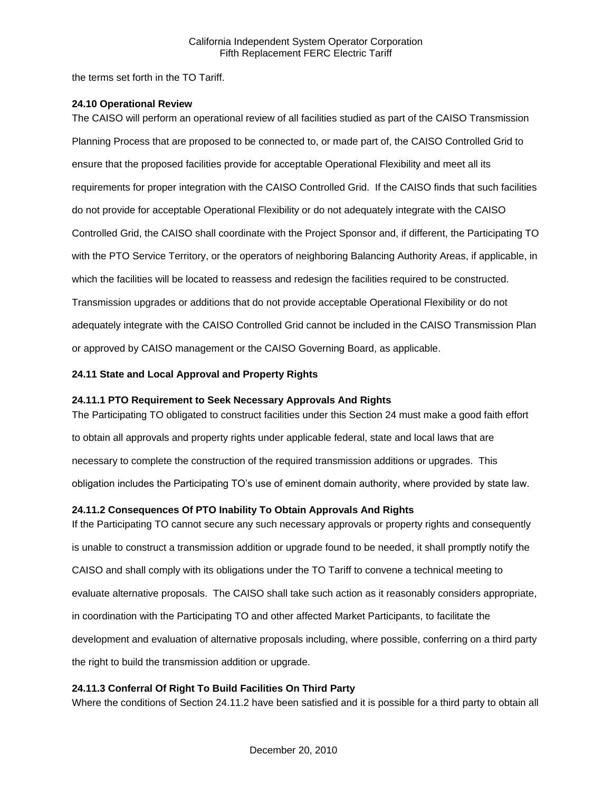the terms set forth in the TO Tariff.

### **24.10 Operational Review**

The CAISO will perform an operational review of all facilities studied as part of the CAISO Transmission Planning Process that are proposed to be connected to, or made part of, the CAISO Controlled Grid to ensure that the proposed facilities provide for acceptable Operational Flexibility and meet all its requirements for proper integration with the CAISO Controlled Grid. If the CAISO finds that such facilities do not provide for acceptable Operational Flexibility or do not adequately integrate with the CAISO Controlled Grid, the CAISO shall coordinate with the Project Sponsor and, if different, the Participating TO with the PTO Service Territory, or the operators of neighboring Balancing Authority Areas, if applicable, in which the facilities will be located to reassess and redesign the facilities required to be constructed. Transmission upgrades or additions that do not provide acceptable Operational Flexibility or do not adequately integrate with the CAISO Controlled Grid cannot be included in the CAISO Transmission Plan or approved by CAISO management or the CAISO Governing Board, as applicable.

## **24.11 State and Local Approval and Property Rights**

## **24.11.1 PTO Requirement to Seek Necessary Approvals And Rights**

The Participating TO obligated to construct facilities under this Section 24 must make a good faith effort to obtain all approvals and property rights under applicable federal, state and local laws that are necessary to complete the construction of the required transmission additions or upgrades. This obligation includes the Participating TO's use of eminent domain authority, where provided by state law.

## **24.11.2 Consequences Of PTO Inability To Obtain Approvals And Rights**

If the Participating TO cannot secure any such necessary approvals or property rights and consequently is unable to construct a transmission addition or upgrade found to be needed, it shall promptly notify the CAISO and shall comply with its obligations under the TO Tariff to convene a technical meeting to evaluate alternative proposals. The CAISO shall take such action as it reasonably considers appropriate, in coordination with the Participating TO and other affected Market Participants, to facilitate the development and evaluation of alternative proposals including, where possible, conferring on a third party the right to build the transmission addition or upgrade.

## **24.11.3 Conferral Of Right To Build Facilities On Third Party**

Where the conditions of Section 24.11.2 have been satisfied and it is possible for a third party to obtain all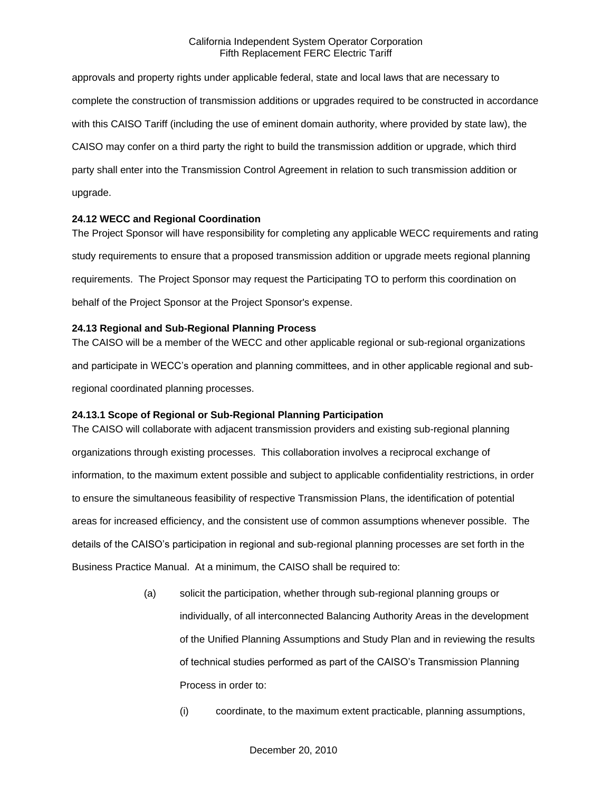approvals and property rights under applicable federal, state and local laws that are necessary to complete the construction of transmission additions or upgrades required to be constructed in accordance with this CAISO Tariff (including the use of eminent domain authority, where provided by state law), the CAISO may confer on a third party the right to build the transmission addition or upgrade, which third party shall enter into the Transmission Control Agreement in relation to such transmission addition or upgrade.

### **24.12 WECC and Regional Coordination**

The Project Sponsor will have responsibility for completing any applicable WECC requirements and rating study requirements to ensure that a proposed transmission addition or upgrade meets regional planning requirements. The Project Sponsor may request the Participating TO to perform this coordination on behalf of the Project Sponsor at the Project Sponsor's expense.

### **24.13 Regional and Sub-Regional Planning Process**

The CAISO will be a member of the WECC and other applicable regional or sub-regional organizations and participate in WECC's operation and planning committees, and in other applicable regional and subregional coordinated planning processes.

## **24.13.1 Scope of Regional or Sub-Regional Planning Participation**

The CAISO will collaborate with adjacent transmission providers and existing sub-regional planning organizations through existing processes. This collaboration involves a reciprocal exchange of information, to the maximum extent possible and subject to applicable confidentiality restrictions, in order to ensure the simultaneous feasibility of respective Transmission Plans, the identification of potential areas for increased efficiency, and the consistent use of common assumptions whenever possible. The details of the CAISO's participation in regional and sub-regional planning processes are set forth in the Business Practice Manual. At a minimum, the CAISO shall be required to:

- (a) solicit the participation, whether through sub-regional planning groups or individually, of all interconnected Balancing Authority Areas in the development of the Unified Planning Assumptions and Study Plan and in reviewing the results of technical studies performed as part of the CAISO's Transmission Planning Process in order to:
	- (i) coordinate, to the maximum extent practicable, planning assumptions,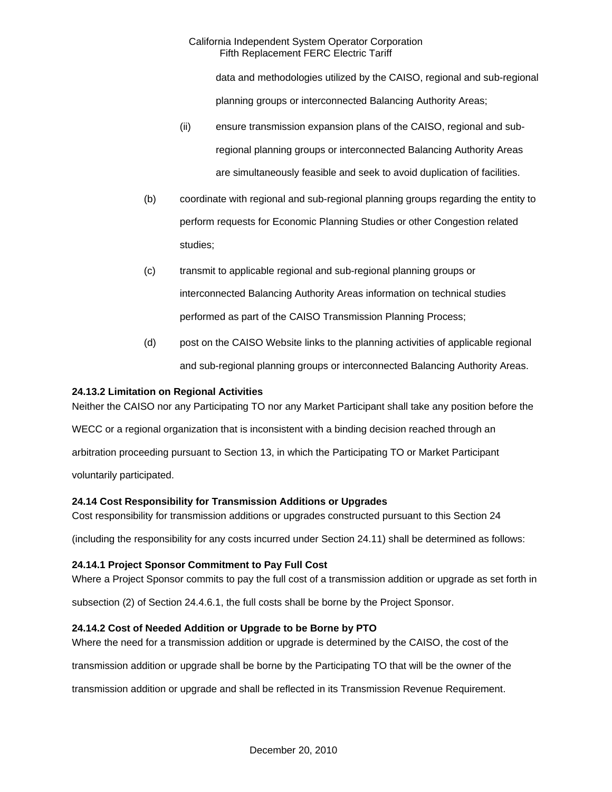data and methodologies utilized by the CAISO, regional and sub-regional planning groups or interconnected Balancing Authority Areas;

- (ii) ensure transmission expansion plans of the CAISO, regional and subregional planning groups or interconnected Balancing Authority Areas are simultaneously feasible and seek to avoid duplication of facilities.
- (b) coordinate with regional and sub-regional planning groups regarding the entity to perform requests for Economic Planning Studies or other Congestion related studies;
- (c) transmit to applicable regional and sub-regional planning groups or interconnected Balancing Authority Areas information on technical studies performed as part of the CAISO Transmission Planning Process;
- (d) post on the CAISO Website links to the planning activities of applicable regional and sub-regional planning groups or interconnected Balancing Authority Areas.

# **24.13.2 Limitation on Regional Activities**

Neither the CAISO nor any Participating TO nor any Market Participant shall take any position before the

WECC or a regional organization that is inconsistent with a binding decision reached through an arbitration proceeding pursuant to Section 13, in which the Participating TO or Market Participant

voluntarily participated.

# **24.14 Cost Responsibility for Transmission Additions or Upgrades**

Cost responsibility for transmission additions or upgrades constructed pursuant to this Section 24

(including the responsibility for any costs incurred under Section 24.11) shall be determined as follows:

## **24.14.1 Project Sponsor Commitment to Pay Full Cost**

Where a Project Sponsor commits to pay the full cost of a transmission addition or upgrade as set forth in

subsection (2) of Section 24.4.6.1, the full costs shall be borne by the Project Sponsor.

## **24.14.2 Cost of Needed Addition or Upgrade to be Borne by PTO**

Where the need for a transmission addition or upgrade is determined by the CAISO, the cost of the

transmission addition or upgrade shall be borne by the Participating TO that will be the owner of the

transmission addition or upgrade and shall be reflected in its Transmission Revenue Requirement.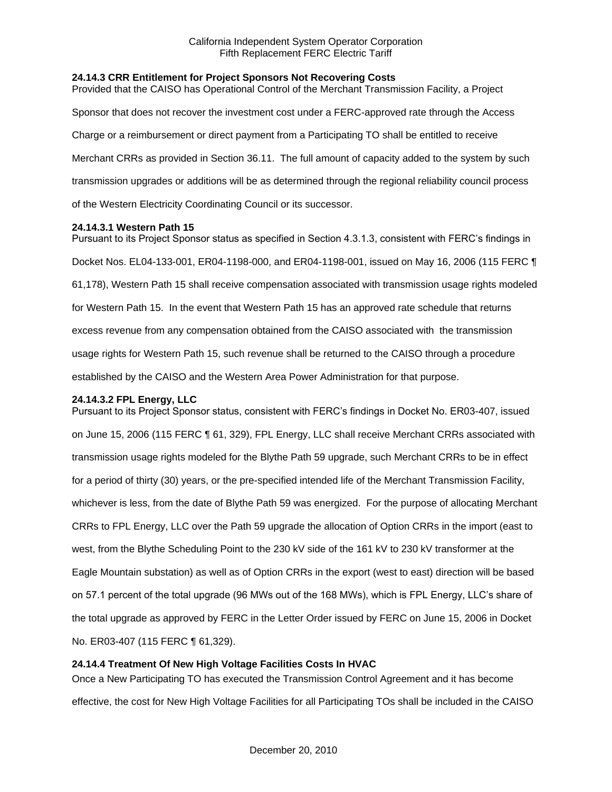### **24.14.3 CRR Entitlement for Project Sponsors Not Recovering Costs**

Provided that the CAISO has Operational Control of the Merchant Transmission Facility, a Project Sponsor that does not recover the investment cost under a FERC-approved rate through the Access Charge or a reimbursement or direct payment from a Participating TO shall be entitled to receive Merchant CRRs as provided in Section 36.11. The full amount of capacity added to the system by such transmission upgrades or additions will be as determined through the regional reliability council process of the Western Electricity Coordinating Council or its successor.

#### **24.14.3.1 Western Path 15**

Pursuant to its Project Sponsor status as specified in Section 4.3.1.3, consistent with FERC's findings in Docket Nos. EL04-133-001, ER04-1198-000, and ER04-1198-001, issued on May 16, 2006 (115 FERC ¶ 61,178), Western Path 15 shall receive compensation associated with transmission usage rights modeled for Western Path 15. In the event that Western Path 15 has an approved rate schedule that returns excess revenue from any compensation obtained from the CAISO associated with the transmission usage rights for Western Path 15, such revenue shall be returned to the CAISO through a procedure established by the CAISO and the Western Area Power Administration for that purpose.

#### **24.14.3.2 FPL Energy, LLC**

Pursuant to its Project Sponsor status, consistent with FERC's findings in Docket No. ER03-407, issued on June 15, 2006 (115 FERC ¶ 61, 329), FPL Energy, LLC shall receive Merchant CRRs associated with transmission usage rights modeled for the Blythe Path 59 upgrade, such Merchant CRRs to be in effect for a period of thirty (30) years, or the pre-specified intended life of the Merchant Transmission Facility, whichever is less, from the date of Blythe Path 59 was energized. For the purpose of allocating Merchant CRRs to FPL Energy, LLC over the Path 59 upgrade the allocation of Option CRRs in the import (east to west, from the Blythe Scheduling Point to the 230 kV side of the 161 kV to 230 kV transformer at the Eagle Mountain substation) as well as of Option CRRs in the export (west to east) direction will be based on 57.1 percent of the total upgrade (96 MWs out of the 168 MWs), which is FPL Energy, LLC's share of the total upgrade as approved by FERC in the Letter Order issued by FERC on June 15, 2006 in Docket No. ER03-407 (115 FERC ¶ 61,329).

### **24.14.4 Treatment Of New High Voltage Facilities Costs In HVAC**

Once a New Participating TO has executed the Transmission Control Agreement and it has become effective, the cost for New High Voltage Facilities for all Participating TOs shall be included in the CAISO